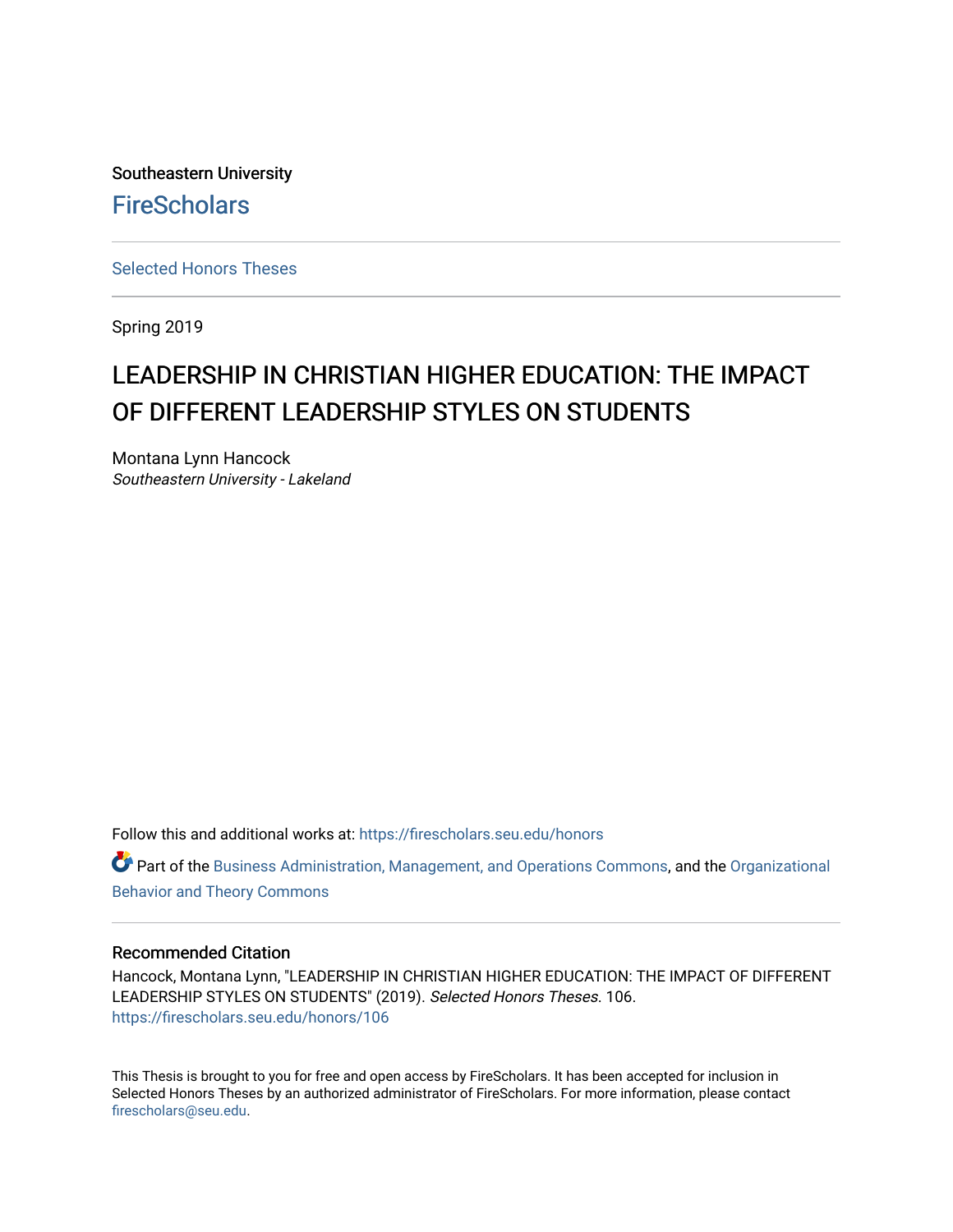Southeastern University **FireScholars** 

[Selected Honors Theses](https://firescholars.seu.edu/honors)

Spring 2019

## LEADERSHIP IN CHRISTIAN HIGHER EDUCATION: THE IMPACT OF DIFFERENT LEADERSHIP STYLES ON STUDENTS

Montana Lynn Hancock Southeastern University - Lakeland

Follow this and additional works at: [https://firescholars.seu.edu/honors](https://firescholars.seu.edu/honors?utm_source=firescholars.seu.edu%2Fhonors%2F106&utm_medium=PDF&utm_campaign=PDFCoverPages)

Part of the [Business Administration, Management, and Operations Commons](http://network.bepress.com/hgg/discipline/623?utm_source=firescholars.seu.edu%2Fhonors%2F106&utm_medium=PDF&utm_campaign=PDFCoverPages), and the [Organizational](http://network.bepress.com/hgg/discipline/639?utm_source=firescholars.seu.edu%2Fhonors%2F106&utm_medium=PDF&utm_campaign=PDFCoverPages)  [Behavior and Theory Commons](http://network.bepress.com/hgg/discipline/639?utm_source=firescholars.seu.edu%2Fhonors%2F106&utm_medium=PDF&utm_campaign=PDFCoverPages) 

#### Recommended Citation

Hancock, Montana Lynn, "LEADERSHIP IN CHRISTIAN HIGHER EDUCATION: THE IMPACT OF DIFFERENT LEADERSHIP STYLES ON STUDENTS" (2019). Selected Honors Theses. 106. [https://firescholars.seu.edu/honors/106](https://firescholars.seu.edu/honors/106?utm_source=firescholars.seu.edu%2Fhonors%2F106&utm_medium=PDF&utm_campaign=PDFCoverPages)

This Thesis is brought to you for free and open access by FireScholars. It has been accepted for inclusion in Selected Honors Theses by an authorized administrator of FireScholars. For more information, please contact [firescholars@seu.edu.](mailto:firescholars@seu.edu)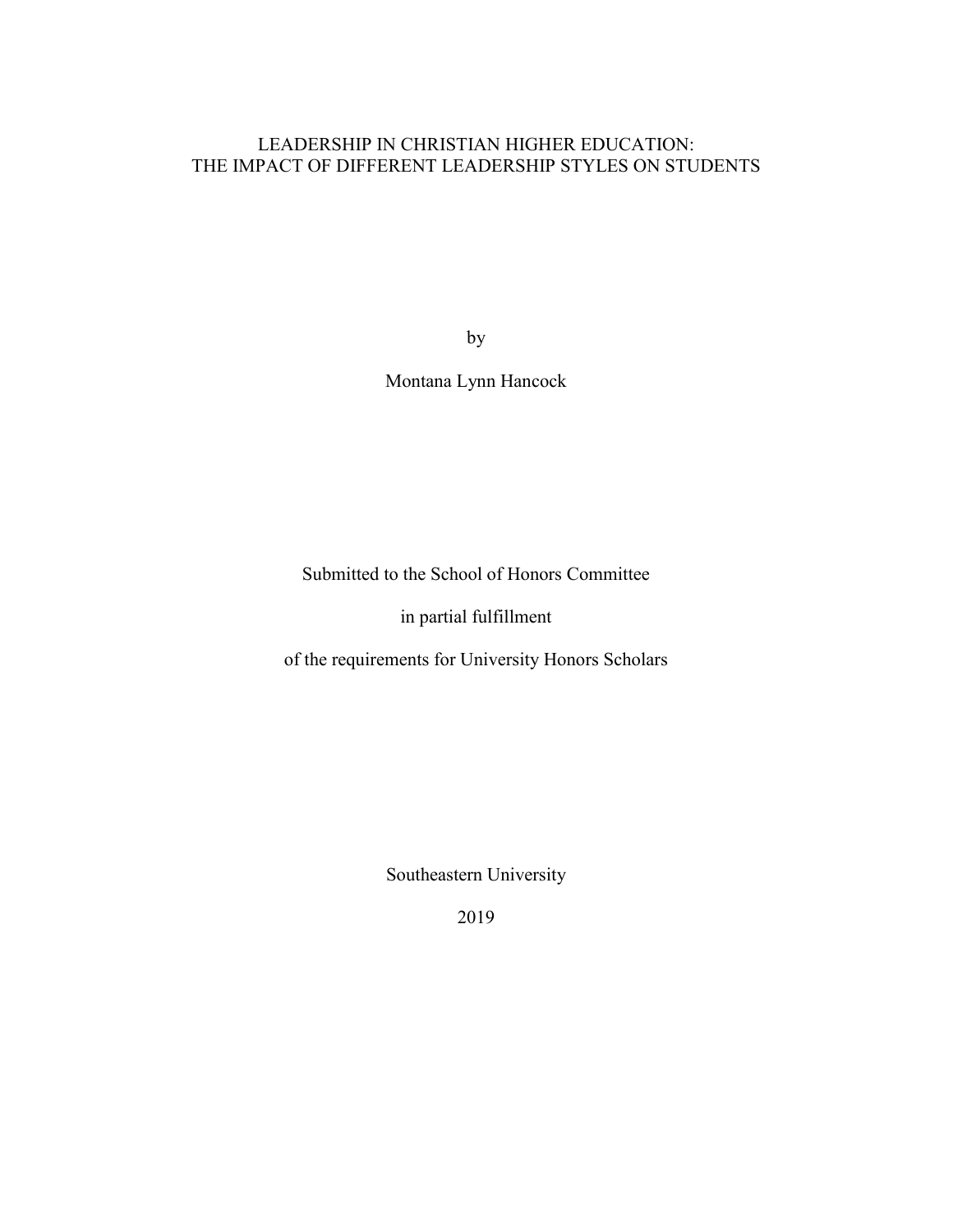### LEADERSHIP IN CHRISTIAN HIGHER EDUCATION: THE IMPACT OF DIFFERENT LEADERSHIP STYLES ON STUDENTS

by

Montana Lynn Hancock

Submitted to the School of Honors Committee

in partial fulfillment

of the requirements for University Honors Scholars

Southeastern University

2019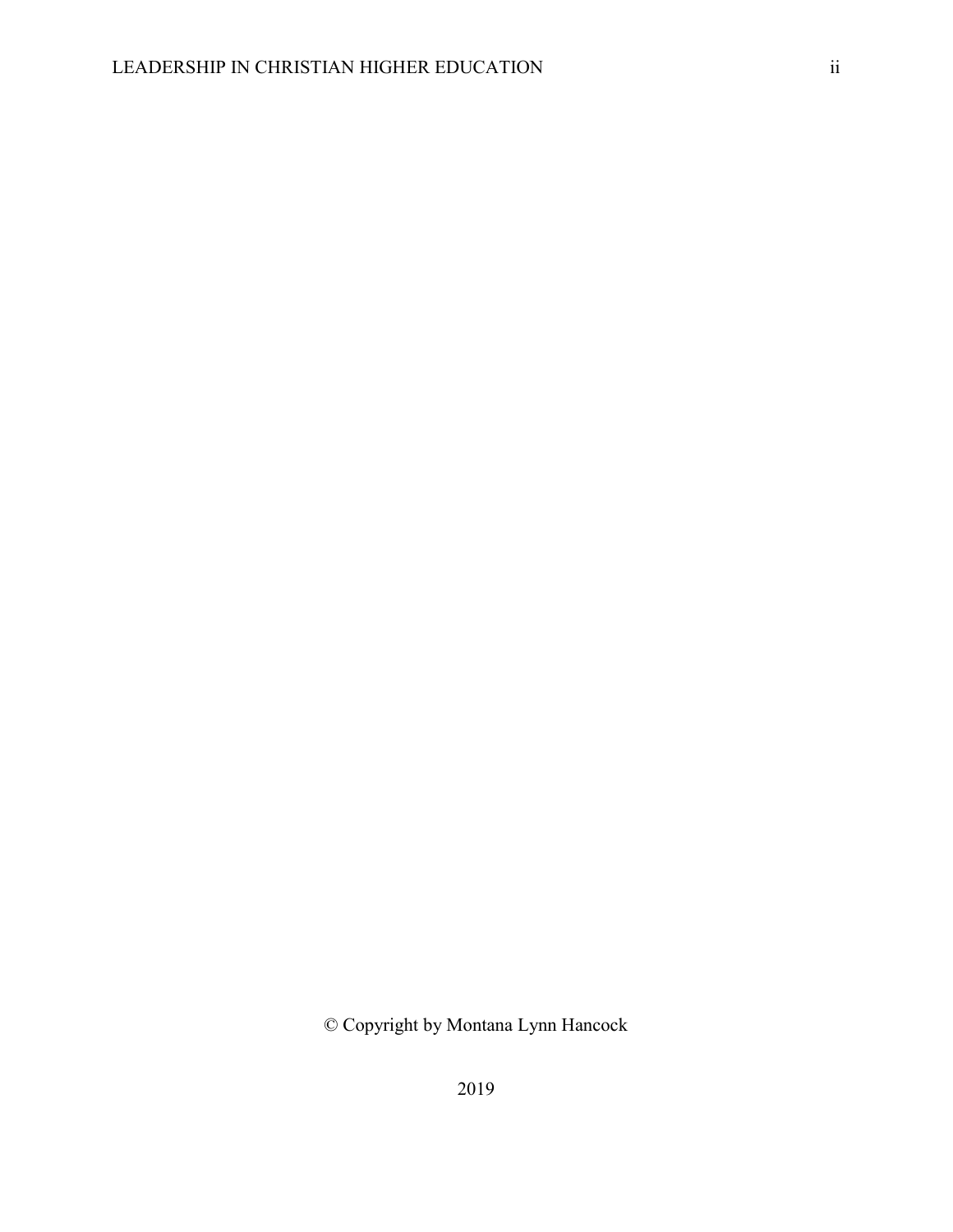© Copyright by Montana Lynn Hancock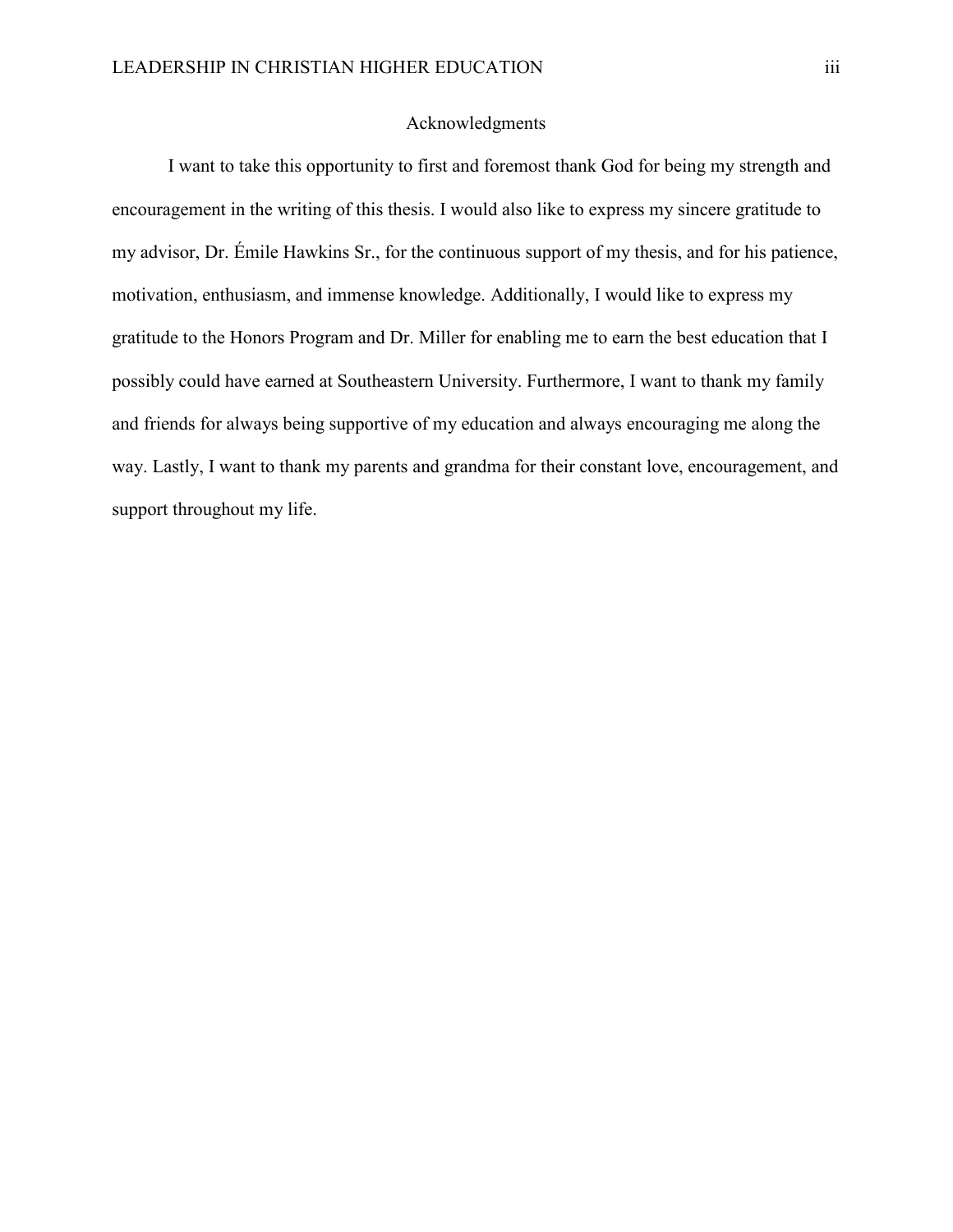#### Acknowledgments

I want to take this opportunity to first and foremost thank God for being my strength and encouragement in the writing of this thesis. I would also like to express my sincere gratitude to my advisor, Dr. Émile Hawkins Sr., for the continuous support of my thesis, and for his patience, motivation, enthusiasm, and immense knowledge. Additionally, I would like to express my gratitude to the Honors Program and Dr. Miller for enabling me to earn the best education that I possibly could have earned at Southeastern University. Furthermore, I want to thank my family and friends for always being supportive of my education and always encouraging me along the way. Lastly, I want to thank my parents and grandma for their constant love, encouragement, and support throughout my life.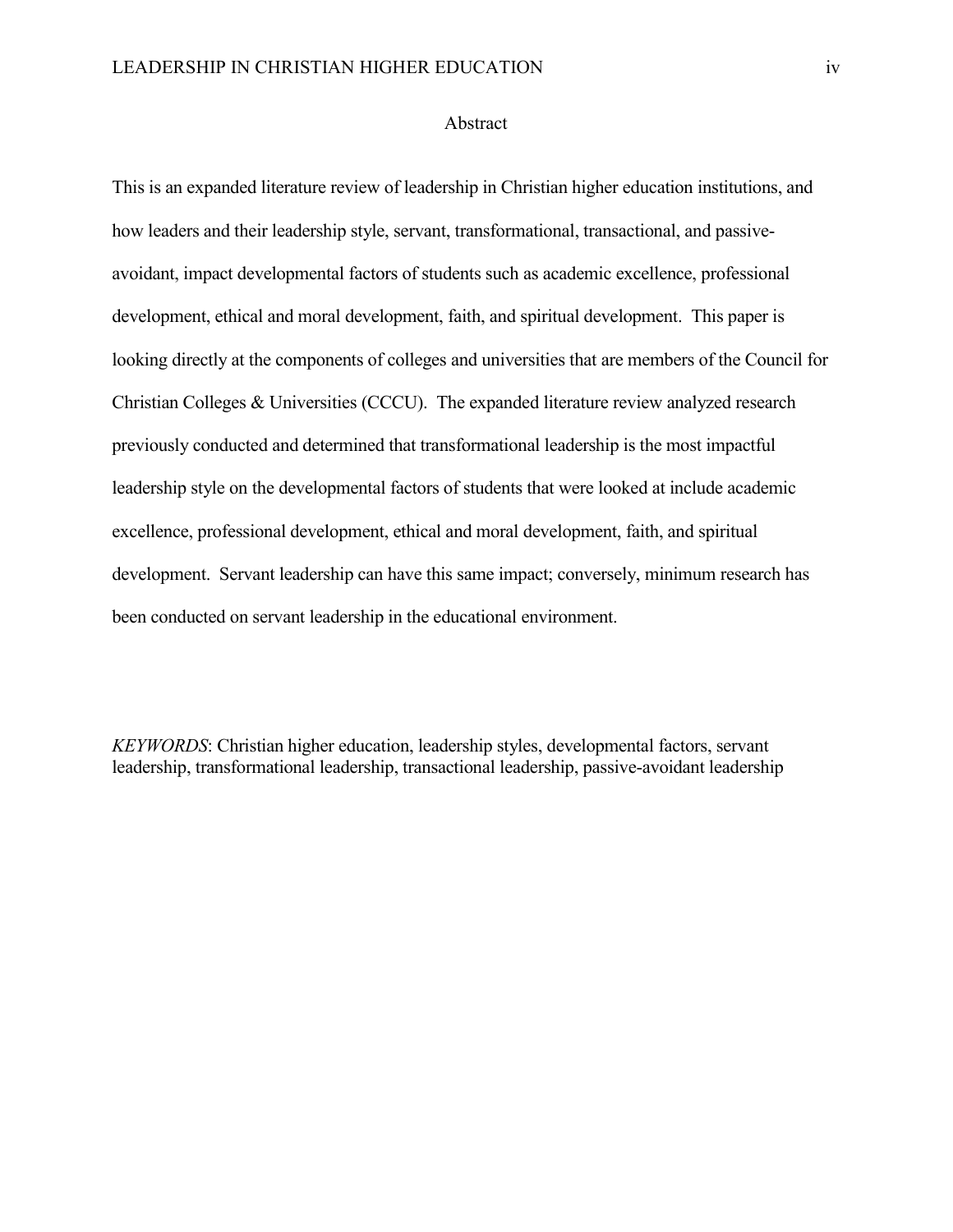#### Abstract

This is an expanded literature review of leadership in Christian higher education institutions, and how leaders and their leadership style, servant, transformational, transactional, and passiveavoidant, impact developmental factors of students such as academic excellence, professional development, ethical and moral development, faith, and spiritual development. This paper is looking directly at the components of colleges and universities that are members of the Council for Christian Colleges & Universities (CCCU). The expanded literature review analyzed research previously conducted and determined that transformational leadership is the most impactful leadership style on the developmental factors of students that were looked at include academic excellence, professional development, ethical and moral development, faith, and spiritual development. Servant leadership can have this same impact; conversely, minimum research has been conducted on servant leadership in the educational environment.

*KEYWORDS*: Christian higher education, leadership styles, developmental factors, servant leadership, transformational leadership, transactional leadership, passive-avoidant leadership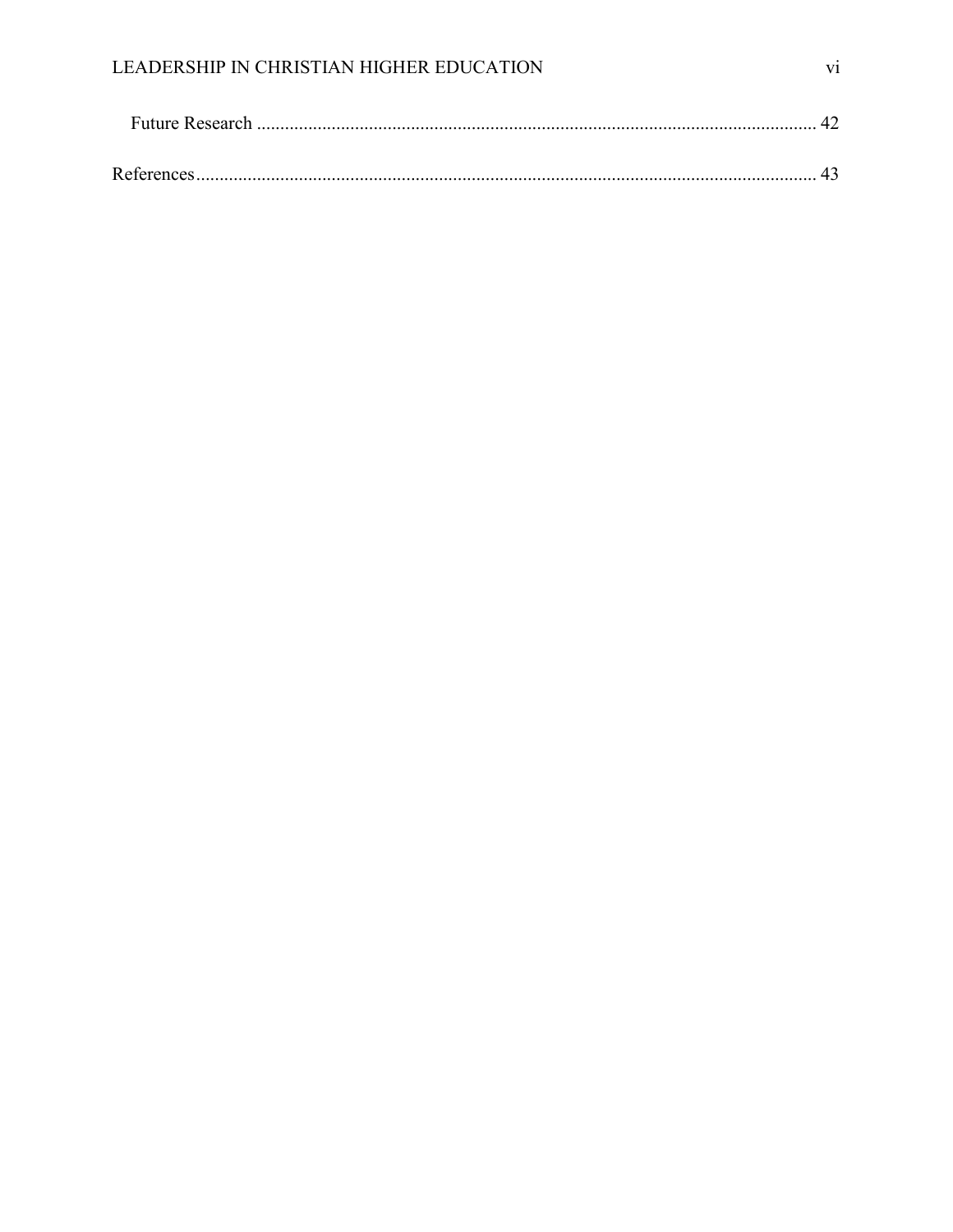| References. |  |
|-------------|--|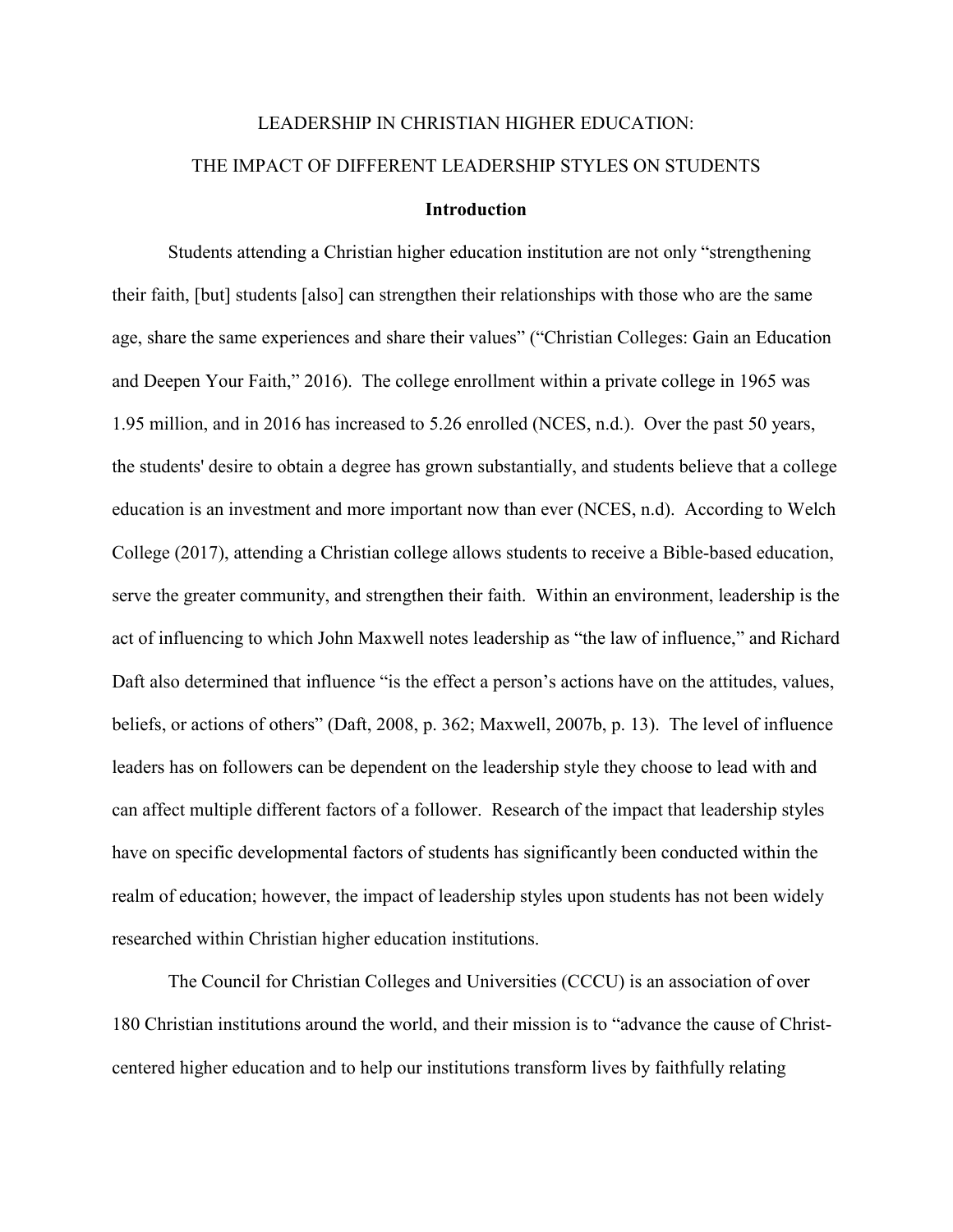# LEADERSHIP IN CHRISTIAN HIGHER EDUCATION: THE IMPACT OF DIFFERENT LEADERSHIP STYLES ON STUDENTS **Introduction**

<span id="page-7-0"></span>Students attending a Christian higher education institution are not only "strengthening their faith, [but] students [also] can strengthen their relationships with those who are the same age, share the same experiences and share their values" ("Christian Colleges: Gain an Education and Deepen Your Faith," 2016). The college enrollment within a private college in 1965 was 1.95 million, and in 2016 has increased to 5.26 enrolled (NCES, n.d.). Over the past 50 years, the students' desire to obtain a degree has grown substantially, and students believe that a college education is an investment and more important now than ever (NCES, n.d). According to Welch College (2017), attending a Christian college allows students to receive a Bible-based education, serve the greater community, and strengthen their faith. Within an environment, leadership is the act of influencing to which John Maxwell notes leadership as "the law of influence," and Richard Daft also determined that influence "is the effect a person's actions have on the attitudes, values, beliefs, or actions of others" (Daft, 2008, p. 362; Maxwell, 2007b, p. 13). The level of influence leaders has on followers can be dependent on the leadership style they choose to lead with and can affect multiple different factors of a follower. Research of the impact that leadership styles have on specific developmental factors of students has significantly been conducted within the realm of education; however, the impact of leadership styles upon students has not been widely researched within Christian higher education institutions.

The Council for Christian Colleges and Universities (CCCU) is an association of over 180 Christian institutions around the world, and their mission is to "advance the cause of Christcentered higher education and to help our institutions transform lives by faithfully relating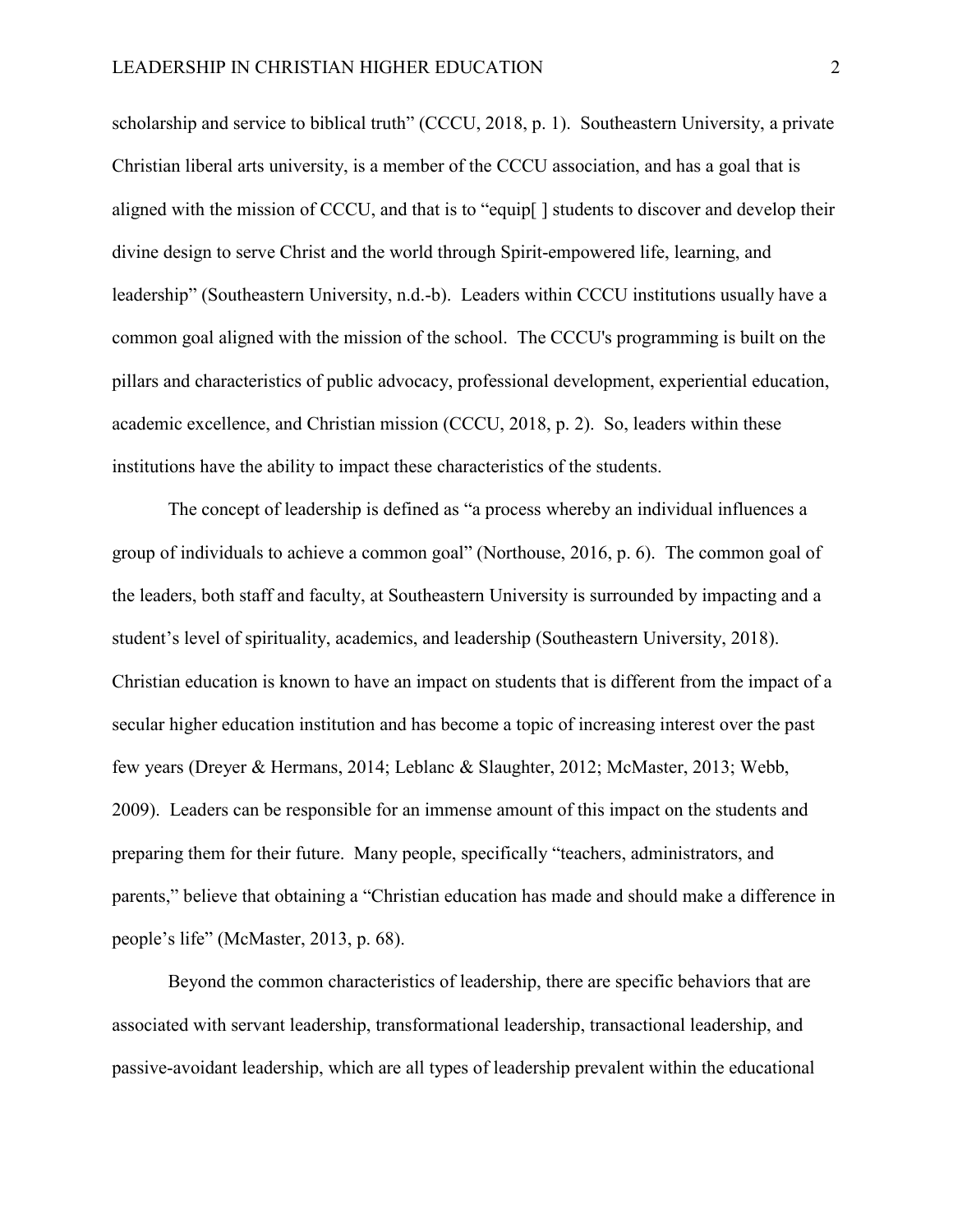scholarship and service to biblical truth" (CCCU, 2018, p. 1). Southeastern University, a private Christian liberal arts university, is a member of the CCCU association, and has a goal that is aligned with the mission of CCCU, and that is to "equip[ ] students to discover and develop their divine design to serve Christ and the world through Spirit-empowered life, learning, and leadership" (Southeastern University, n.d.-b). Leaders within CCCU institutions usually have a common goal aligned with the mission of the school. The CCCU's programming is built on the pillars and characteristics of public advocacy, professional development, experiential education, academic excellence, and Christian mission (CCCU, 2018, p. 2). So, leaders within these institutions have the ability to impact these characteristics of the students.

The concept of leadership is defined as "a process whereby an individual influences a group of individuals to achieve a common goal" (Northouse, 2016, p. 6). The common goal of the leaders, both staff and faculty, at Southeastern University is surrounded by impacting and a student's level of spirituality, academics, and leadership (Southeastern University, 2018). Christian education is known to have an impact on students that is different from the impact of a secular higher education institution and has become a topic of increasing interest over the past few years (Dreyer & Hermans, 2014; Leblanc & Slaughter, 2012; McMaster, 2013; Webb, 2009). Leaders can be responsible for an immense amount of this impact on the students and preparing them for their future. Many people, specifically "teachers, administrators, and parents," believe that obtaining a "Christian education has made and should make a difference in people's life" (McMaster, 2013, p. 68).

Beyond the common characteristics of leadership, there are specific behaviors that are associated with servant leadership, transformational leadership, transactional leadership, and passive-avoidant leadership, which are all types of leadership prevalent within the educational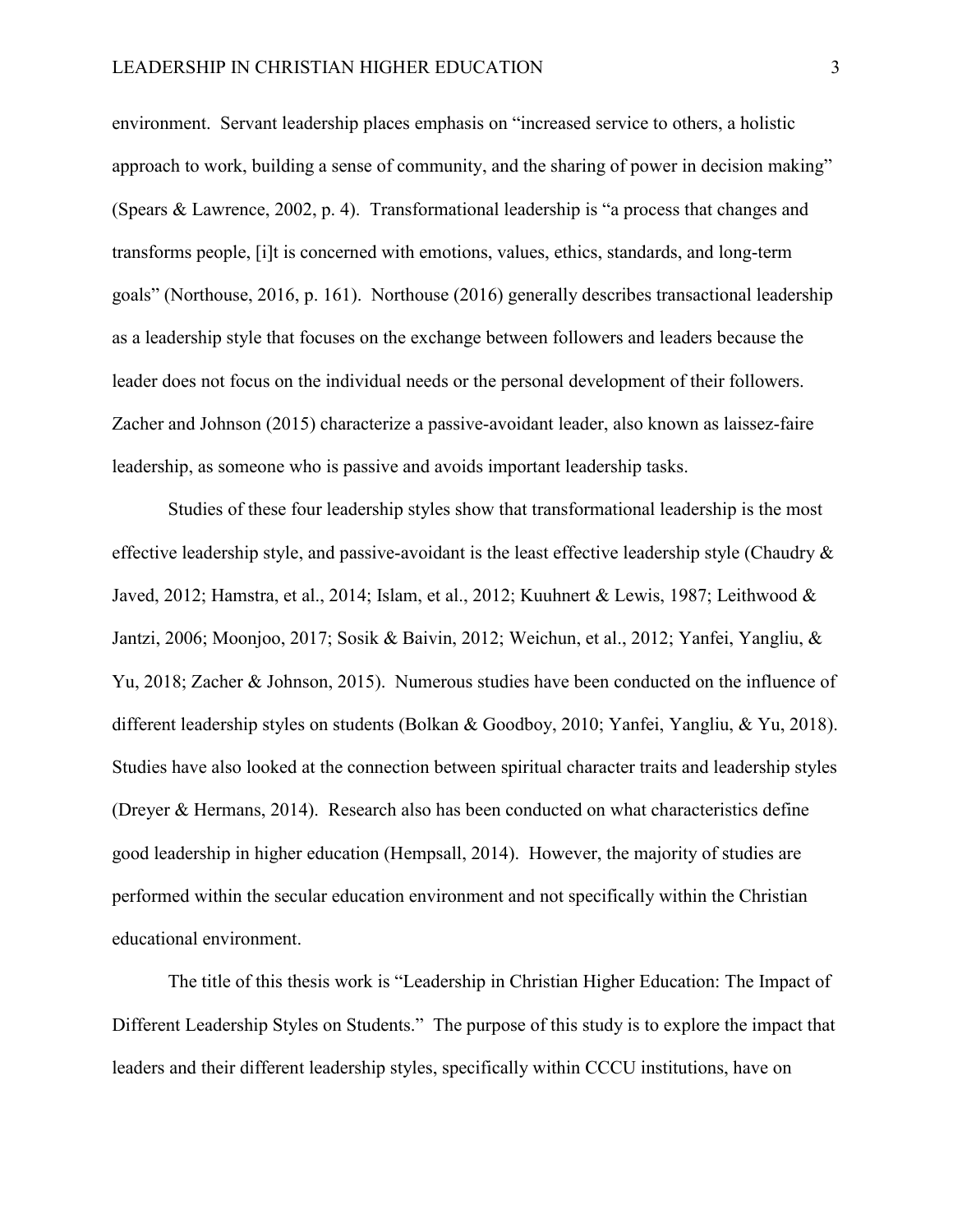environment. Servant leadership places emphasis on "increased service to others, a holistic approach to work, building a sense of community, and the sharing of power in decision making" (Spears & Lawrence, 2002, p. 4). Transformational leadership is "a process that changes and transforms people, [i]t is concerned with emotions, values, ethics, standards, and long-term goals" (Northouse, 2016, p. 161). Northouse (2016) generally describes transactional leadership as a leadership style that focuses on the exchange between followers and leaders because the leader does not focus on the individual needs or the personal development of their followers. Zacher and Johnson (2015) characterize a passive-avoidant leader, also known as laissez-faire leadership, as someone who is passive and avoids important leadership tasks.

Studies of these four leadership styles show that transformational leadership is the most effective leadership style, and passive-avoidant is the least effective leadership style (Chaudry  $\&$ Javed, 2012; Hamstra, et al., 2014; Islam, et al., 2012; Kuuhnert & Lewis, 1987; Leithwood & Jantzi, 2006; Moonjoo, 2017; Sosik & Baivin, 2012; Weichun, et al., 2012; Yanfei, Yangliu, & Yu, 2018; Zacher & Johnson, 2015). Numerous studies have been conducted on the influence of different leadership styles on students (Bolkan & Goodboy, 2010; Yanfei, Yangliu, & Yu, 2018). Studies have also looked at the connection between spiritual character traits and leadership styles (Dreyer & Hermans, 2014). Research also has been conducted on what characteristics define good leadership in higher education (Hempsall, 2014). However, the majority of studies are performed within the secular education environment and not specifically within the Christian educational environment.

The title of this thesis work is "Leadership in Christian Higher Education: The Impact of Different Leadership Styles on Students." The purpose of this study is to explore the impact that leaders and their different leadership styles, specifically within CCCU institutions, have on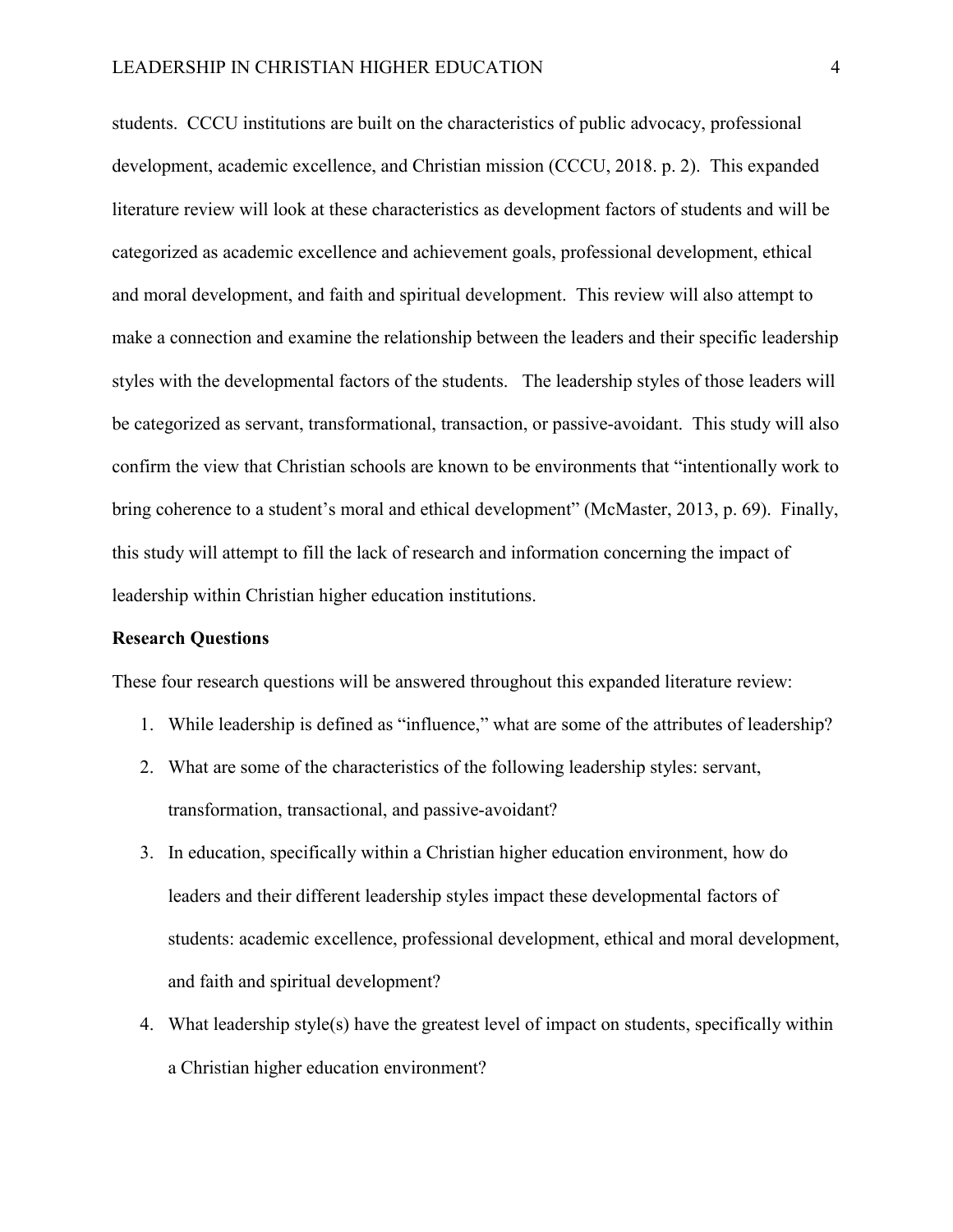students. CCCU institutions are built on the characteristics of public advocacy, professional development, academic excellence, and Christian mission (CCCU, 2018. p. 2). This expanded literature review will look at these characteristics as development factors of students and will be categorized as academic excellence and achievement goals, professional development, ethical and moral development, and faith and spiritual development. This review will also attempt to make a connection and examine the relationship between the leaders and their specific leadership styles with the developmental factors of the students. The leadership styles of those leaders will be categorized as servant, transformational, transaction, or passive-avoidant. This study will also confirm the view that Christian schools are known to be environments that "intentionally work to bring coherence to a student's moral and ethical development" (McMaster, 2013, p. 69). Finally, this study will attempt to fill the lack of research and information concerning the impact of leadership within Christian higher education institutions.

#### <span id="page-10-0"></span>**Research Questions**

These four research questions will be answered throughout this expanded literature review:

- 1. While leadership is defined as "influence," what are some of the attributes of leadership?
- 2. What are some of the characteristics of the following leadership styles: servant, transformation, transactional, and passive-avoidant?
- 3. In education, specifically within a Christian higher education environment, how do leaders and their different leadership styles impact these developmental factors of students: academic excellence, professional development, ethical and moral development, and faith and spiritual development?
- 4. What leadership style(s) have the greatest level of impact on students, specifically within a Christian higher education environment?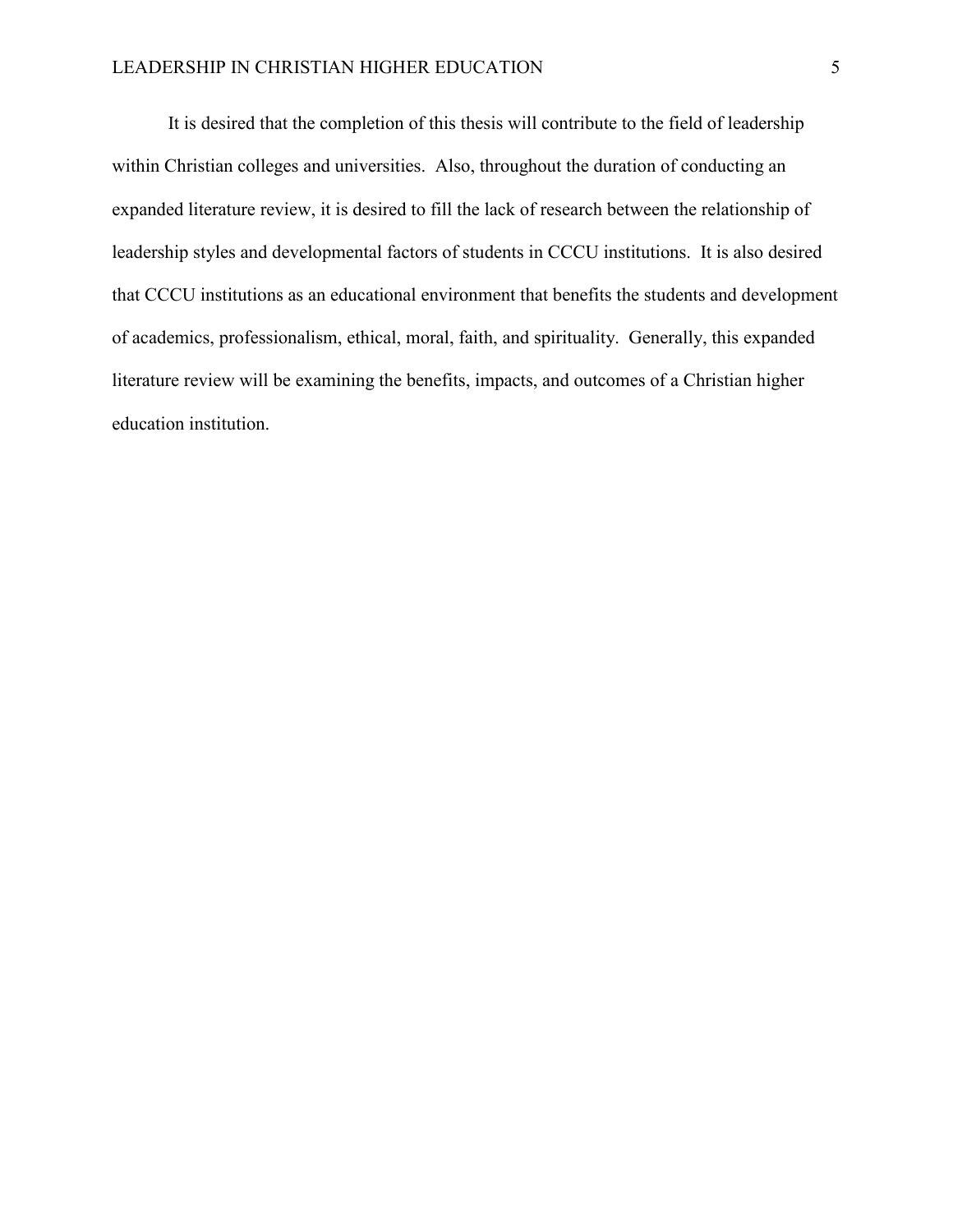It is desired that the completion of this thesis will contribute to the field of leadership within Christian colleges and universities. Also, throughout the duration of conducting an expanded literature review, it is desired to fill the lack of research between the relationship of leadership styles and developmental factors of students in CCCU institutions. It is also desired that CCCU institutions as an educational environment that benefits the students and development of academics, professionalism, ethical, moral, faith, and spirituality. Generally, this expanded literature review will be examining the benefits, impacts, and outcomes of a Christian higher education institution.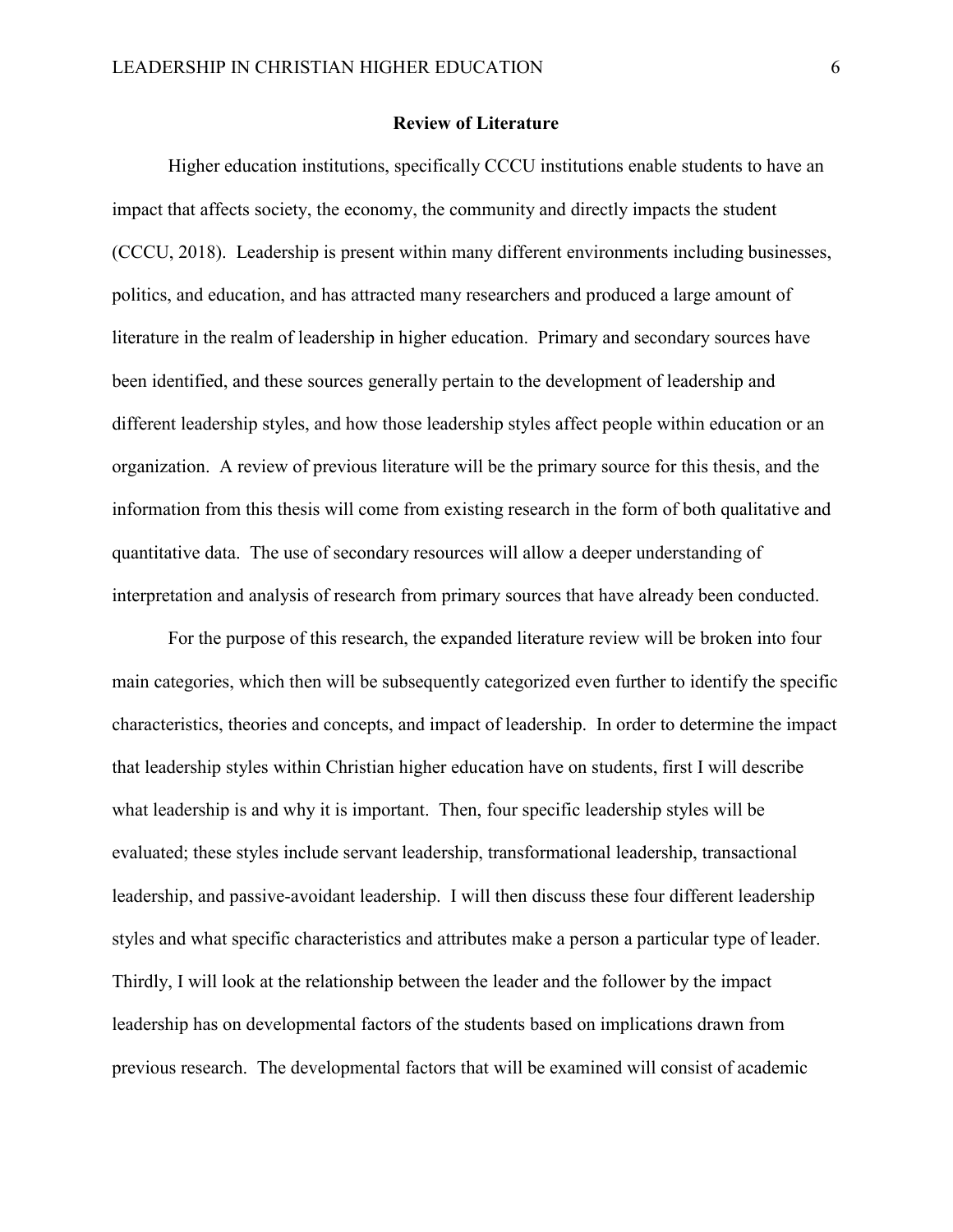#### **Review of Literature**

<span id="page-12-0"></span>Higher education institutions, specifically CCCU institutions enable students to have an impact that affects society, the economy, the community and directly impacts the student (CCCU, 2018). Leadership is present within many different environments including businesses, politics, and education, and has attracted many researchers and produced a large amount of literature in the realm of leadership in higher education. Primary and secondary sources have been identified, and these sources generally pertain to the development of leadership and different leadership styles, and how those leadership styles affect people within education or an organization. A review of previous literature will be the primary source for this thesis, and the information from this thesis will come from existing research in the form of both qualitative and quantitative data. The use of secondary resources will allow a deeper understanding of interpretation and analysis of research from primary sources that have already been conducted.

For the purpose of this research, the expanded literature review will be broken into four main categories, which then will be subsequently categorized even further to identify the specific characteristics, theories and concepts, and impact of leadership. In order to determine the impact that leadership styles within Christian higher education have on students, first I will describe what leadership is and why it is important. Then, four specific leadership styles will be evaluated; these styles include servant leadership, transformational leadership, transactional leadership, and passive-avoidant leadership. I will then discuss these four different leadership styles and what specific characteristics and attributes make a person a particular type of leader. Thirdly, I will look at the relationship between the leader and the follower by the impact leadership has on developmental factors of the students based on implications drawn from previous research. The developmental factors that will be examined will consist of academic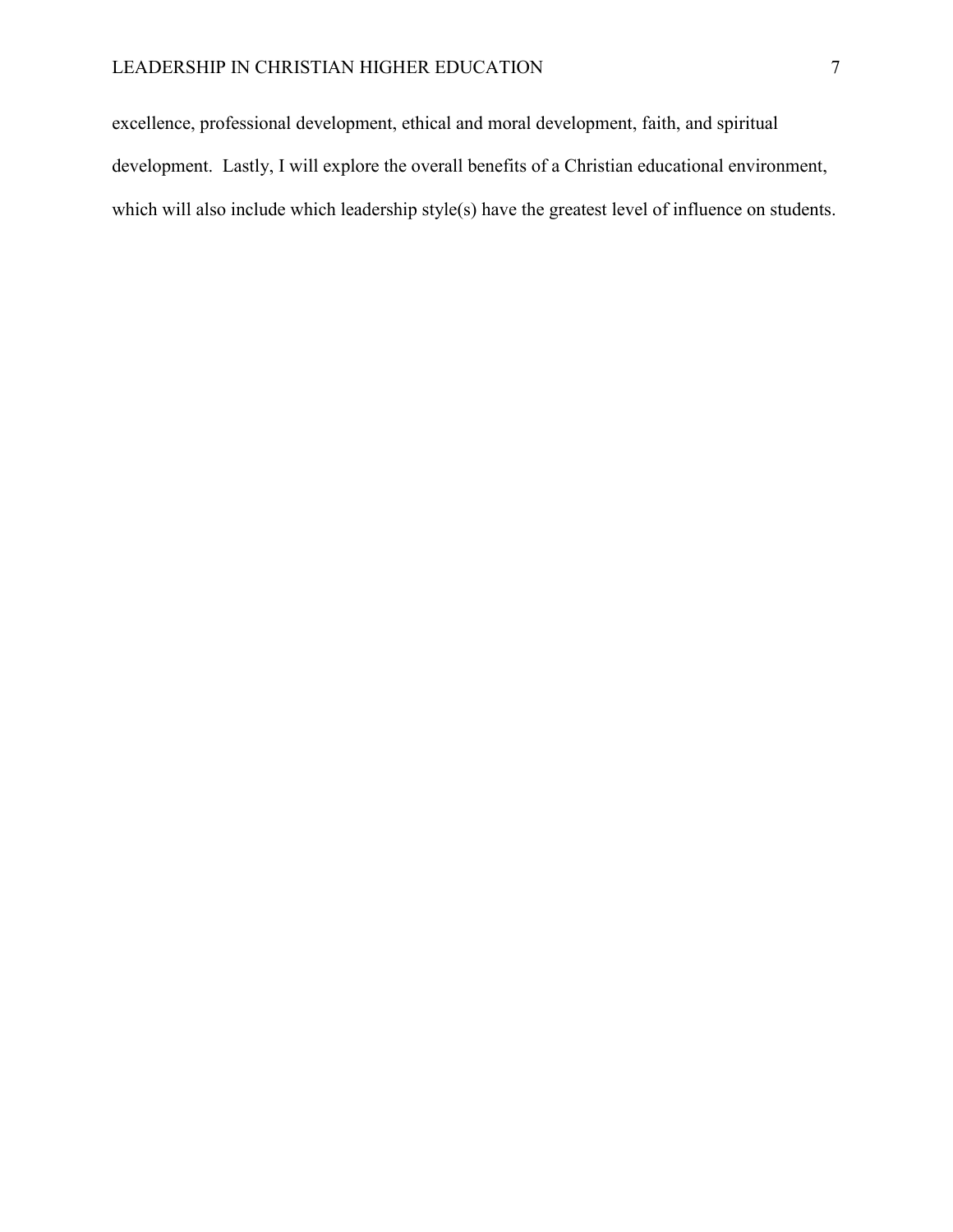excellence, professional development, ethical and moral development, faith, and spiritual development. Lastly, I will explore the overall benefits of a Christian educational environment, which will also include which leadership style(s) have the greatest level of influence on students.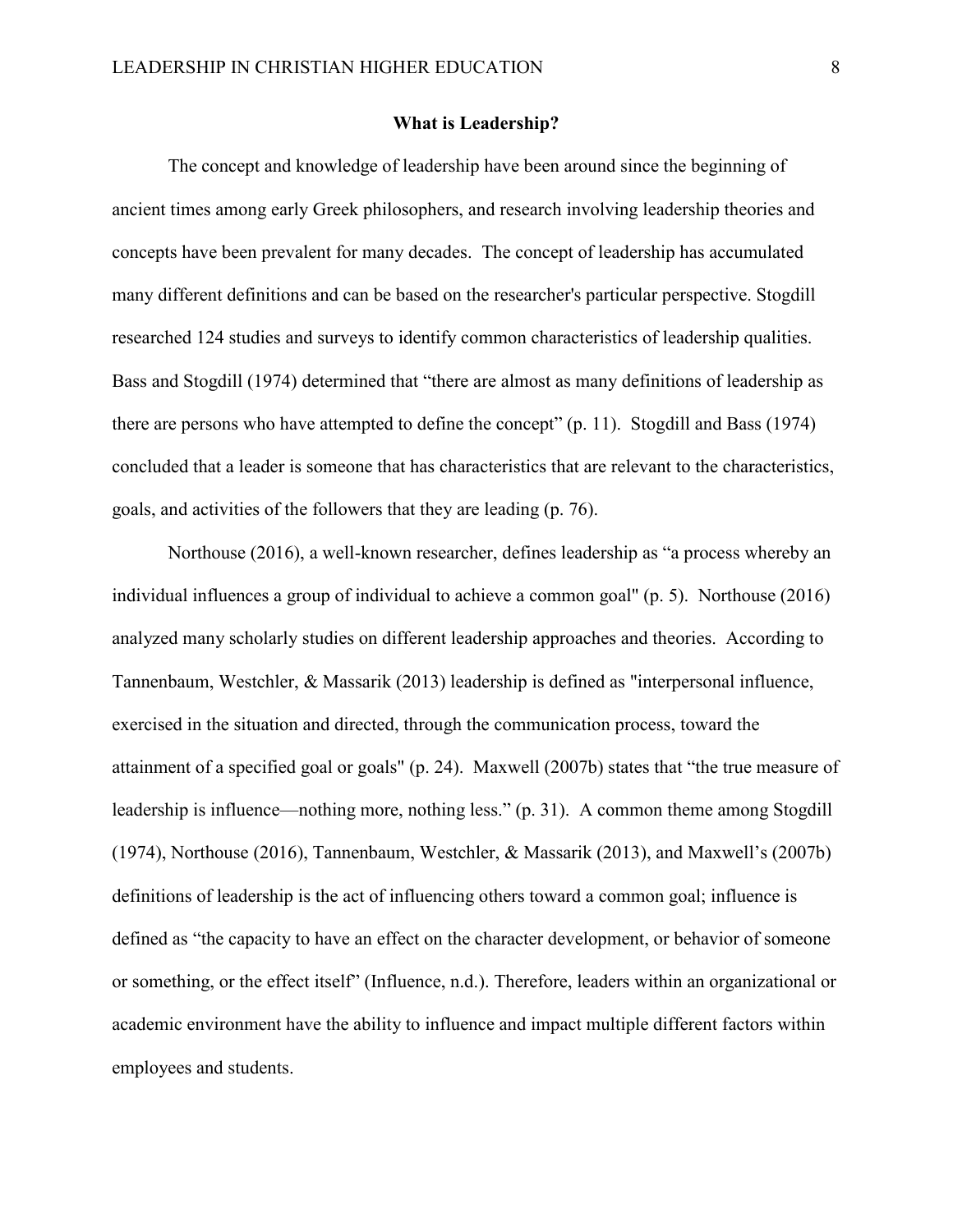#### **What is Leadership?**

<span id="page-14-0"></span>The concept and knowledge of leadership have been around since the beginning of ancient times among early Greek philosophers, and research involving leadership theories and concepts have been prevalent for many decades. The concept of leadership has accumulated many different definitions and can be based on the researcher's particular perspective. Stogdill researched 124 studies and surveys to identify common characteristics of leadership qualities. Bass and Stogdill (1974) determined that "there are almost as many definitions of leadership as there are persons who have attempted to define the concept" (p. 11). Stogdill and Bass (1974) concluded that a leader is someone that has characteristics that are relevant to the characteristics, goals, and activities of the followers that they are leading (p. 76).

Northouse (2016), a well-known researcher, defines leadership as "a process whereby an individual influences a group of individual to achieve a common goal" (p. 5). Northouse (2016) analyzed many scholarly studies on different leadership approaches and theories. According to Tannenbaum, Westchler, & Massarik (2013) leadership is defined as "interpersonal influence, exercised in the situation and directed, through the communication process, toward the attainment of a specified goal or goals" (p. 24). Maxwell (2007b) states that "the true measure of leadership is influence—nothing more, nothing less." (p. 31). A common theme among Stogdill (1974), Northouse (2016), Tannenbaum, Westchler, & Massarik (2013), and Maxwell's (2007b) definitions of leadership is the act of influencing others toward a common goal; influence is defined as "the capacity to have an effect on the character development, or behavior of someone or something, or the effect itself" (Influence, n.d.). Therefore, leaders within an organizational or academic environment have the ability to influence and impact multiple different factors within employees and students.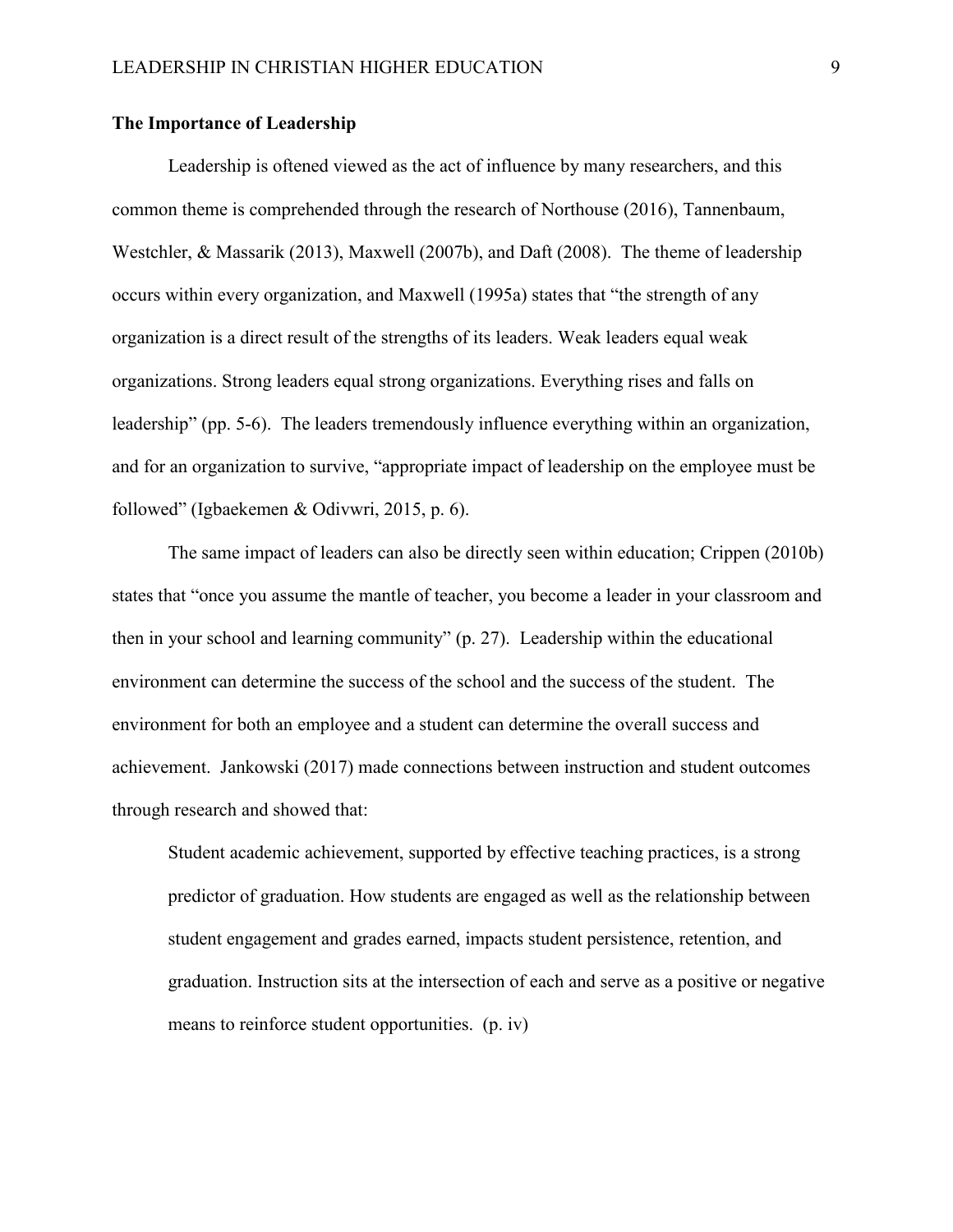#### <span id="page-15-0"></span>**The Importance of Leadership**

Leadership is oftened viewed as the act of influence by many researchers, and this common theme is comprehended through the research of Northouse (2016), Tannenbaum, Westchler, & Massarik (2013), Maxwell (2007b), and Daft (2008). The theme of leadership occurs within every organization, and Maxwell (1995a) states that "the strength of any organization is a direct result of the strengths of its leaders. Weak leaders equal weak organizations. Strong leaders equal strong organizations. Everything rises and falls on leadership" (pp. 5-6). The leaders tremendously influence everything within an organization, and for an organization to survive, "appropriate impact of leadership on the employee must be followed" (Igbaekemen & Odivwri, 2015, p. 6).

The same impact of leaders can also be directly seen within education; Crippen (2010b) states that "once you assume the mantle of teacher, you become a leader in your classroom and then in your school and learning community" (p. 27). Leadership within the educational environment can determine the success of the school and the success of the student. The environment for both an employee and a student can determine the overall success and achievement. Jankowski (2017) made connections between instruction and student outcomes through research and showed that:

Student academic achievement, supported by effective teaching practices, is a strong predictor of graduation. How students are engaged as well as the relationship between student engagement and grades earned, impacts student persistence, retention, and graduation. Instruction sits at the intersection of each and serve as a positive or negative means to reinforce student opportunities. (p. iv)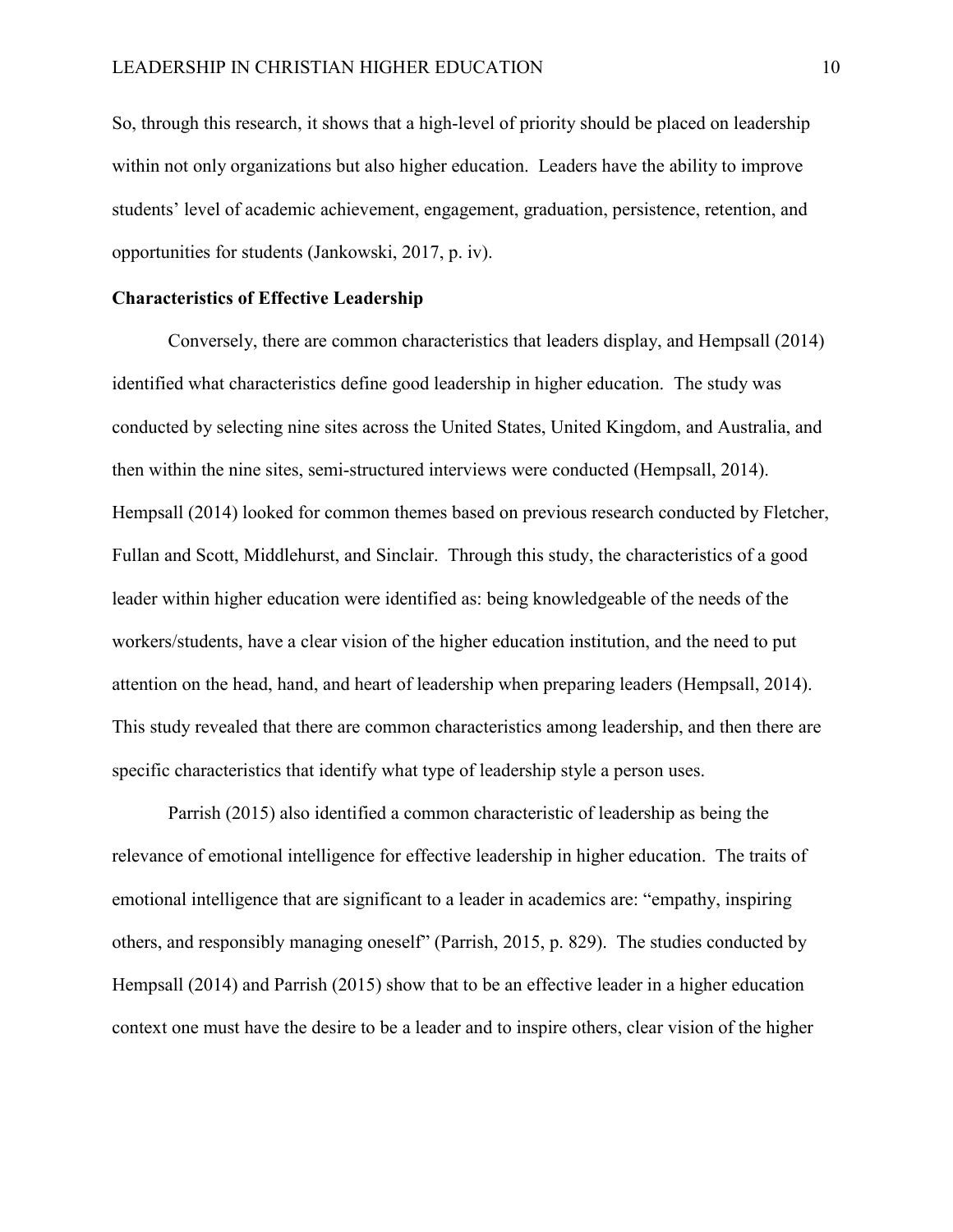So, through this research, it shows that a high-level of priority should be placed on leadership within not only organizations but also higher education. Leaders have the ability to improve students' level of academic achievement, engagement, graduation, persistence, retention, and opportunities for students (Jankowski, 2017, p. iv).

#### <span id="page-16-0"></span>**Characteristics of Effective Leadership**

Conversely, there are common characteristics that leaders display, and Hempsall (2014) identified what characteristics define good leadership in higher education. The study was conducted by selecting nine sites across the United States, United Kingdom, and Australia, and then within the nine sites, semi-structured interviews were conducted (Hempsall, 2014). Hempsall (2014) looked for common themes based on previous research conducted by Fletcher, Fullan and Scott, Middlehurst, and Sinclair. Through this study, the characteristics of a good leader within higher education were identified as: being knowledgeable of the needs of the workers/students, have a clear vision of the higher education institution, and the need to put attention on the head, hand, and heart of leadership when preparing leaders (Hempsall, 2014). This study revealed that there are common characteristics among leadership, and then there are specific characteristics that identify what type of leadership style a person uses.

Parrish (2015) also identified a common characteristic of leadership as being the relevance of emotional intelligence for effective leadership in higher education. The traits of emotional intelligence that are significant to a leader in academics are: "empathy, inspiring others, and responsibly managing oneself" (Parrish, 2015, p. 829). The studies conducted by Hempsall (2014) and Parrish (2015) show that to be an effective leader in a higher education context one must have the desire to be a leader and to inspire others, clear vision of the higher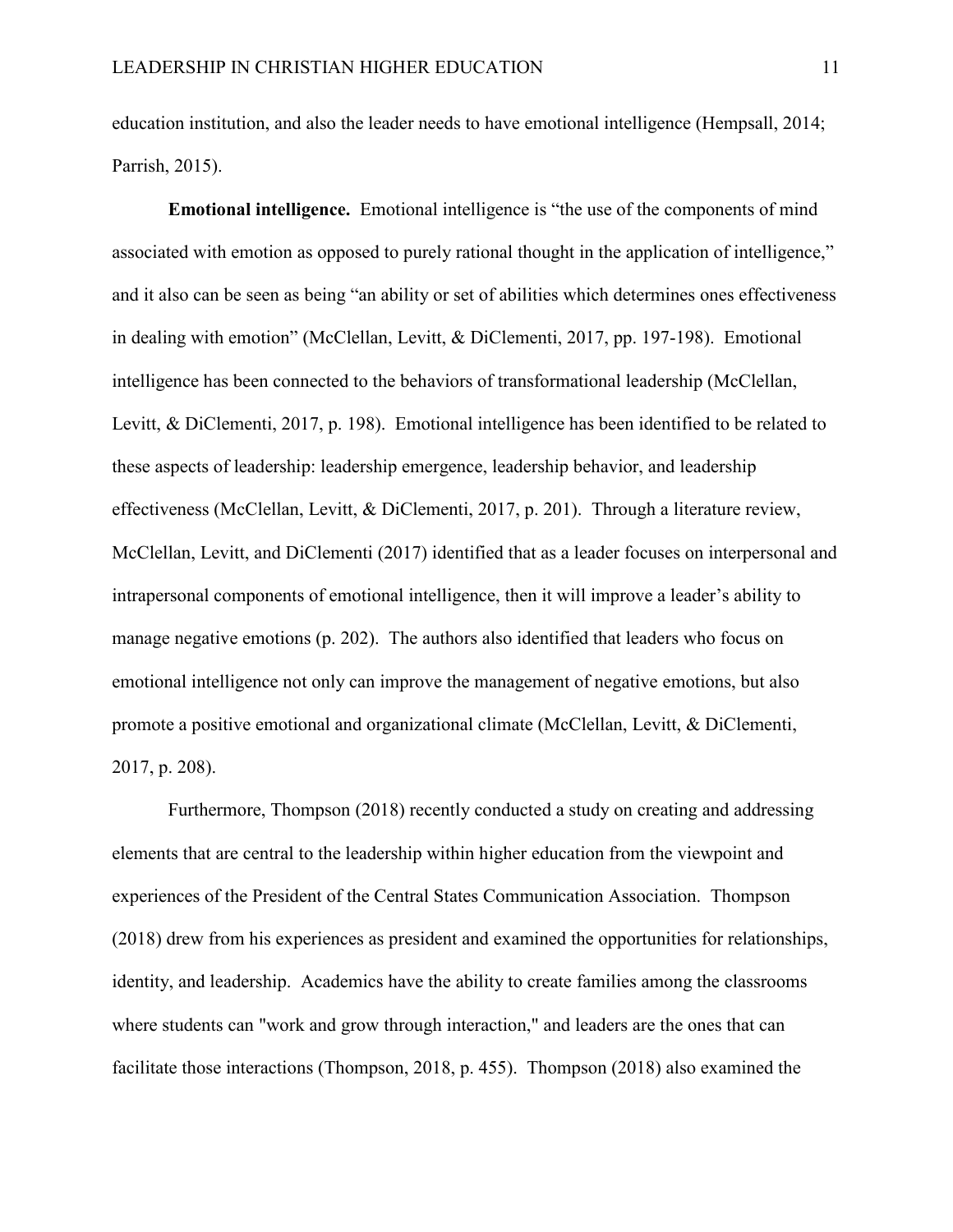education institution, and also the leader needs to have emotional intelligence (Hempsall, 2014; Parrish, 2015).

**Emotional intelligence.** Emotional intelligence is "the use of the components of mind associated with emotion as opposed to purely rational thought in the application of intelligence," and it also can be seen as being "an ability or set of abilities which determines ones effectiveness in dealing with emotion" (McClellan, Levitt, & DiClementi, 2017, pp. 197-198). Emotional intelligence has been connected to the behaviors of transformational leadership (McClellan, Levitt, & DiClementi, 2017, p. 198). Emotional intelligence has been identified to be related to these aspects of leadership: leadership emergence, leadership behavior, and leadership effectiveness (McClellan, Levitt, & DiClementi, 2017, p. 201). Through a literature review, McClellan, Levitt, and DiClementi (2017) identified that as a leader focuses on interpersonal and intrapersonal components of emotional intelligence, then it will improve a leader's ability to manage negative emotions (p. 202). The authors also identified that leaders who focus on emotional intelligence not only can improve the management of negative emotions, but also promote a positive emotional and organizational climate (McClellan, Levitt, & DiClementi, 2017, p. 208).

Furthermore, Thompson (2018) recently conducted a study on creating and addressing elements that are central to the leadership within higher education from the viewpoint and experiences of the President of the Central States Communication Association. Thompson (2018) drew from his experiences as president and examined the opportunities for relationships, identity, and leadership. Academics have the ability to create families among the classrooms where students can "work and grow through interaction," and leaders are the ones that can facilitate those interactions (Thompson, 2018, p. 455). Thompson (2018) also examined the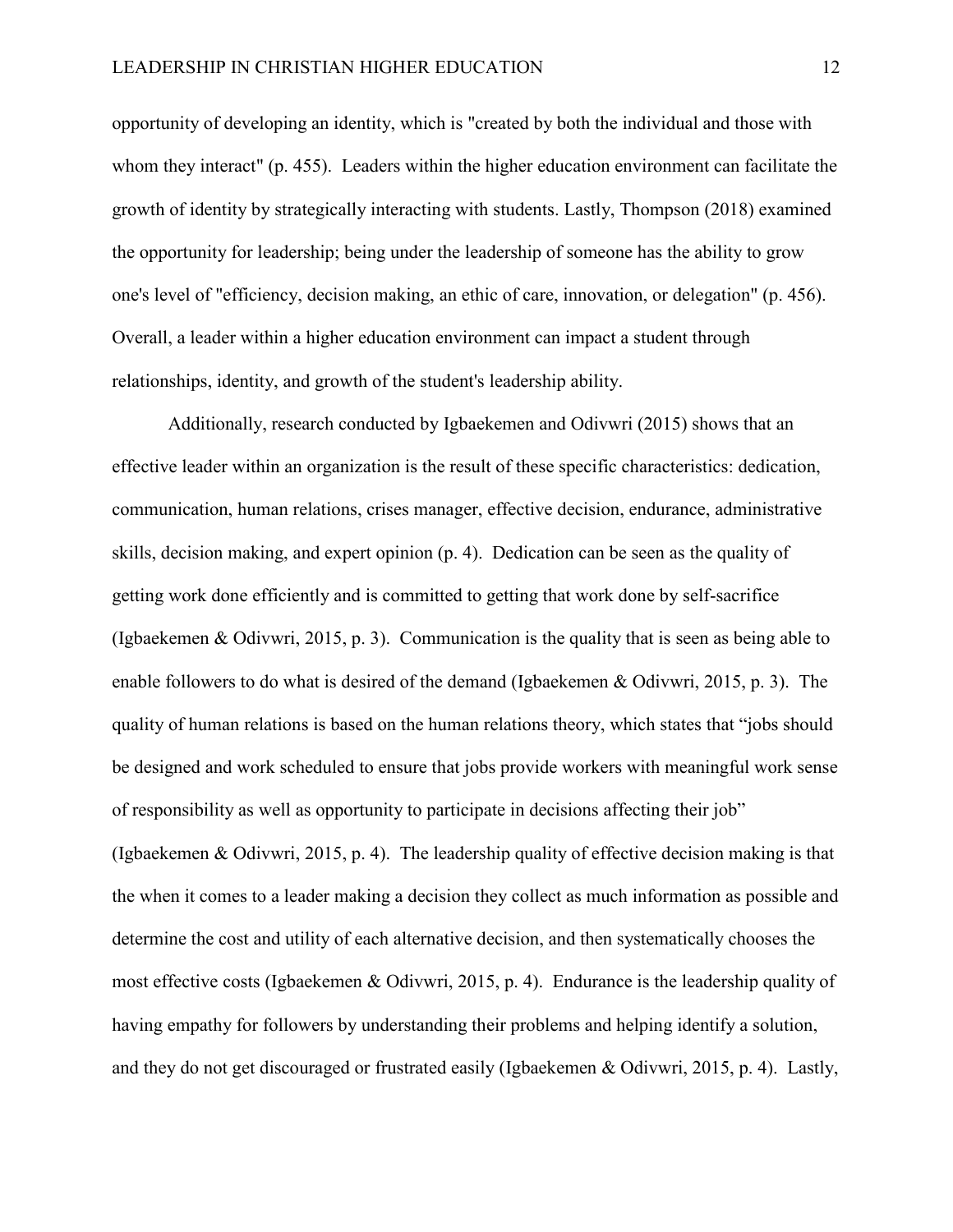opportunity of developing an identity, which is "created by both the individual and those with whom they interact" (p. 455). Leaders within the higher education environment can facilitate the growth of identity by strategically interacting with students. Lastly, Thompson (2018) examined the opportunity for leadership; being under the leadership of someone has the ability to grow one's level of "efficiency, decision making, an ethic of care, innovation, or delegation" (p. 456). Overall, a leader within a higher education environment can impact a student through relationships, identity, and growth of the student's leadership ability.

Additionally, research conducted by Igbaekemen and Odivwri (2015) shows that an effective leader within an organization is the result of these specific characteristics: dedication, communication, human relations, crises manager, effective decision, endurance, administrative skills, decision making, and expert opinion (p. 4). Dedication can be seen as the quality of getting work done efficiently and is committed to getting that work done by self-sacrifice (Igbaekemen & Odivwri, 2015, p. 3). Communication is the quality that is seen as being able to enable followers to do what is desired of the demand (Igbaekemen & Odivwri, 2015, p. 3). The quality of human relations is based on the human relations theory, which states that "jobs should be designed and work scheduled to ensure that jobs provide workers with meaningful work sense of responsibility as well as opportunity to participate in decisions affecting their job" (Igbaekemen & Odivwri, 2015, p. 4). The leadership quality of effective decision making is that the when it comes to a leader making a decision they collect as much information as possible and determine the cost and utility of each alternative decision, and then systematically chooses the most effective costs (Igbaekemen & Odivwri, 2015, p. 4). Endurance is the leadership quality of having empathy for followers by understanding their problems and helping identify a solution, and they do not get discouraged or frustrated easily (Igbaekemen & Odivwri, 2015, p. 4). Lastly,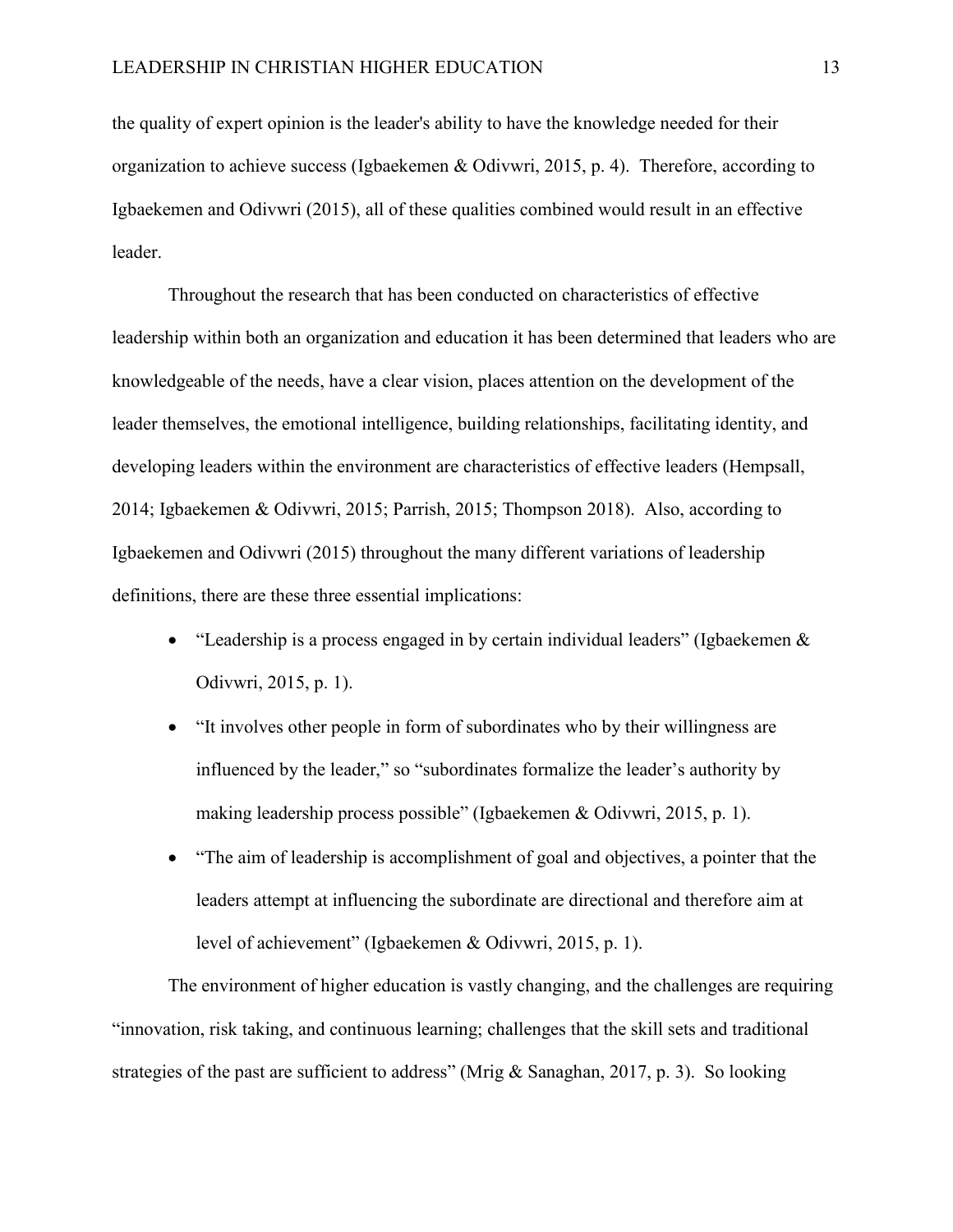the quality of expert opinion is the leader's ability to have the knowledge needed for their organization to achieve success (Igbaekemen & Odivwri, 2015, p. 4). Therefore, according to Igbaekemen and Odivwri (2015), all of these qualities combined would result in an effective leader.

Throughout the research that has been conducted on characteristics of effective leadership within both an organization and education it has been determined that leaders who are knowledgeable of the needs, have a clear vision, places attention on the development of the leader themselves, the emotional intelligence, building relationships, facilitating identity, and developing leaders within the environment are characteristics of effective leaders (Hempsall, 2014; Igbaekemen & Odivwri, 2015; Parrish, 2015; Thompson 2018). Also, according to Igbaekemen and Odivwri (2015) throughout the many different variations of leadership definitions, there are these three essential implications:

- "Leadership is a process engaged in by certain individual leaders" (Igbaekemen  $\&$ Odivwri, 2015, p. 1).
- "It involves other people in form of subordinates who by their willingness are influenced by the leader," so "subordinates formalize the leader's authority by making leadership process possible" (Igbaekemen & Odivwri, 2015, p. 1).
- "The aim of leadership is accomplishment of goal and objectives, a pointer that the leaders attempt at influencing the subordinate are directional and therefore aim at level of achievement" (Igbaekemen & Odivwri, 2015, p. 1).

The environment of higher education is vastly changing, and the challenges are requiring "innovation, risk taking, and continuous learning; challenges that the skill sets and traditional strategies of the past are sufficient to address" (Mrig & Sanaghan, 2017, p. 3). So looking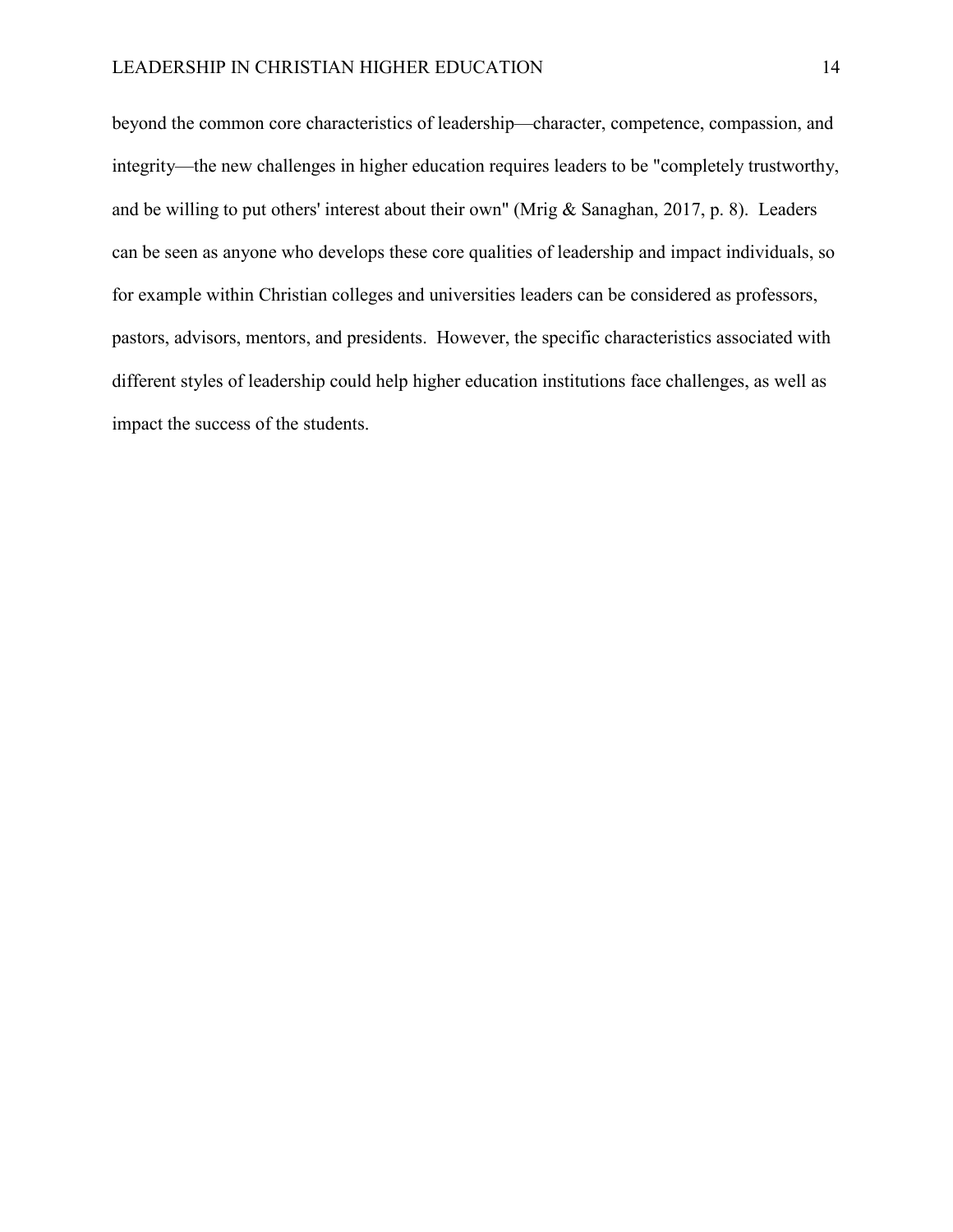beyond the common core characteristics of leadership—character, competence, compassion, and integrity—the new challenges in higher education requires leaders to be "completely trustworthy, and be willing to put others' interest about their own" (Mrig & Sanaghan, 2017, p. 8). Leaders can be seen as anyone who develops these core qualities of leadership and impact individuals, so for example within Christian colleges and universities leaders can be considered as professors, pastors, advisors, mentors, and presidents. However, the specific characteristics associated with different styles of leadership could help higher education institutions face challenges, as well as impact the success of the students.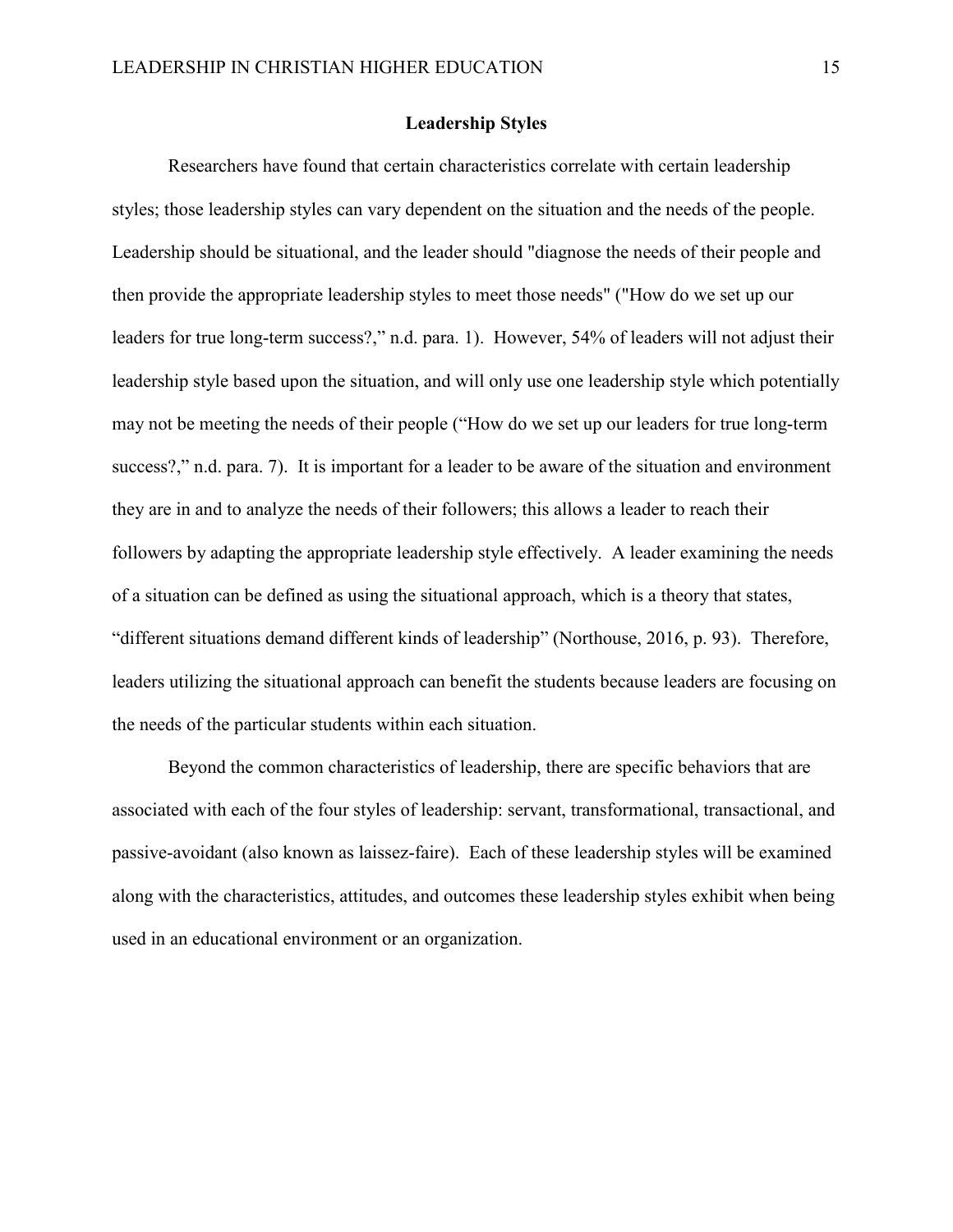#### **Leadership Styles**

<span id="page-21-0"></span>Researchers have found that certain characteristics correlate with certain leadership styles; those leadership styles can vary dependent on the situation and the needs of the people. Leadership should be situational, and the leader should "diagnose the needs of their people and then provide the appropriate leadership styles to meet those needs" ("How do we set up our leaders for true long-term success?," n.d. para. 1). However, 54% of leaders will not adjust their leadership style based upon the situation, and will only use one leadership style which potentially may not be meeting the needs of their people ("How do we set up our leaders for true long-term success?," n.d. para. 7). It is important for a leader to be aware of the situation and environment they are in and to analyze the needs of their followers; this allows a leader to reach their followers by adapting the appropriate leadership style effectively. A leader examining the needs of a situation can be defined as using the situational approach, which is a theory that states, "different situations demand different kinds of leadership" (Northouse, 2016, p. 93). Therefore, leaders utilizing the situational approach can benefit the students because leaders are focusing on the needs of the particular students within each situation.

Beyond the common characteristics of leadership, there are specific behaviors that are associated with each of the four styles of leadership: servant, transformational, transactional, and passive-avoidant (also known as laissez-faire). Each of these leadership styles will be examined along with the characteristics, attitudes, and outcomes these leadership styles exhibit when being used in an educational environment or an organization.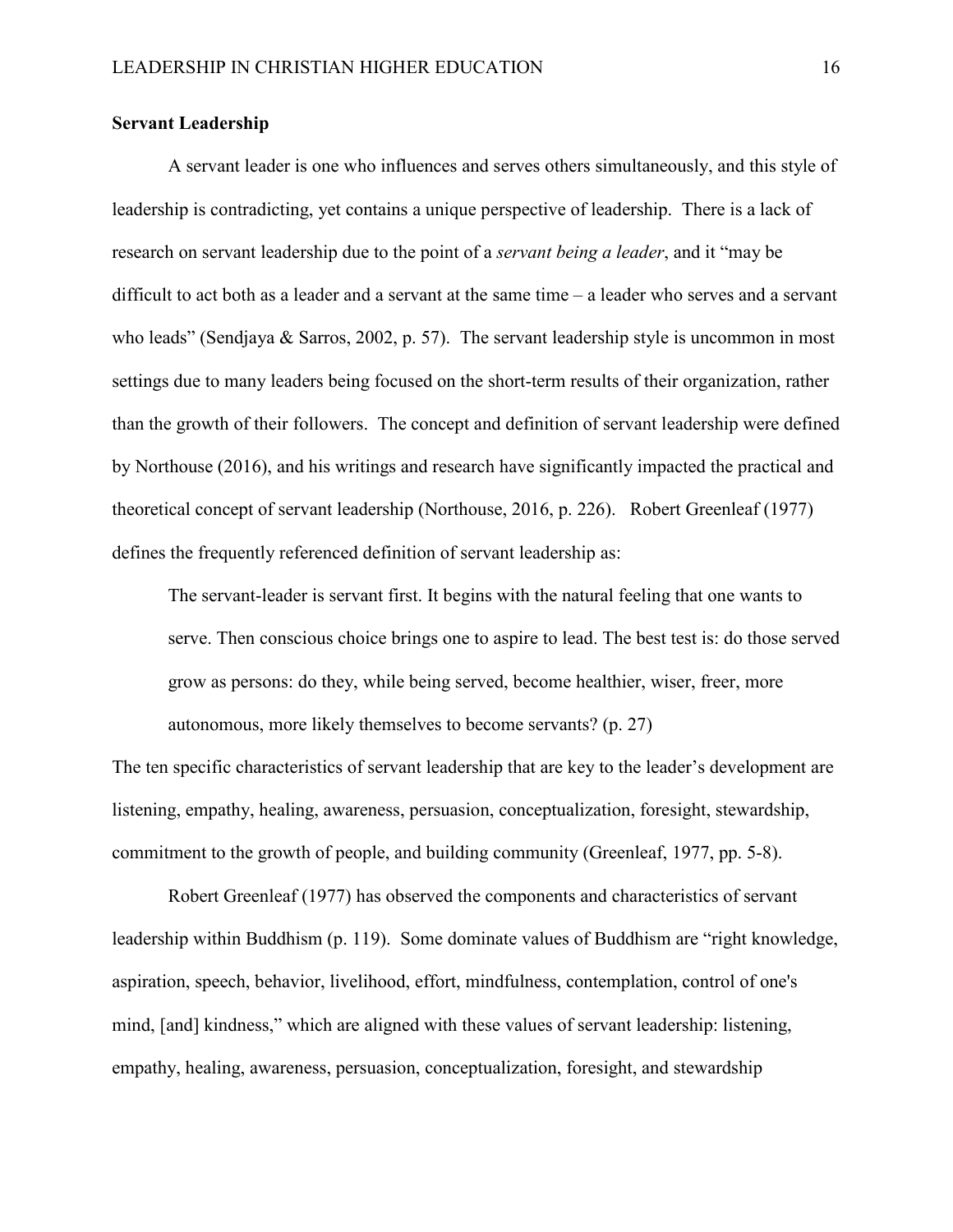#### <span id="page-22-0"></span>**Servant Leadership**

A servant leader is one who influences and serves others simultaneously, and this style of leadership is contradicting, yet contains a unique perspective of leadership. There is a lack of research on servant leadership due to the point of a *servant being a leader*, and it "may be difficult to act both as a leader and a servant at the same time – a leader who serves and a servant who leads" (Sendjaya & Sarros, 2002, p. 57). The servant leadership style is uncommon in most settings due to many leaders being focused on the short-term results of their organization, rather than the growth of their followers. The concept and definition of servant leadership were defined by Northouse (2016), and his writings and research have significantly impacted the practical and theoretical concept of servant leadership (Northouse, 2016, p. 226). Robert Greenleaf (1977) defines the frequently referenced definition of servant leadership as:

The servant-leader is servant first. It begins with the natural feeling that one wants to serve. Then conscious choice brings one to aspire to lead. The best test is: do those served grow as persons: do they, while being served, become healthier, wiser, freer, more autonomous, more likely themselves to become servants? (p. 27)

The ten specific characteristics of servant leadership that are key to the leader's development are listening, empathy, healing, awareness, persuasion, conceptualization, foresight, stewardship, commitment to the growth of people, and building community (Greenleaf, 1977, pp. 5-8).

Robert Greenleaf (1977) has observed the components and characteristics of servant leadership within Buddhism (p. 119). Some dominate values of Buddhism are "right knowledge, aspiration, speech, behavior, livelihood, effort, mindfulness, contemplation, control of one's mind, [and] kindness," which are aligned with these values of servant leadership: listening, empathy, healing, awareness, persuasion, conceptualization, foresight, and stewardship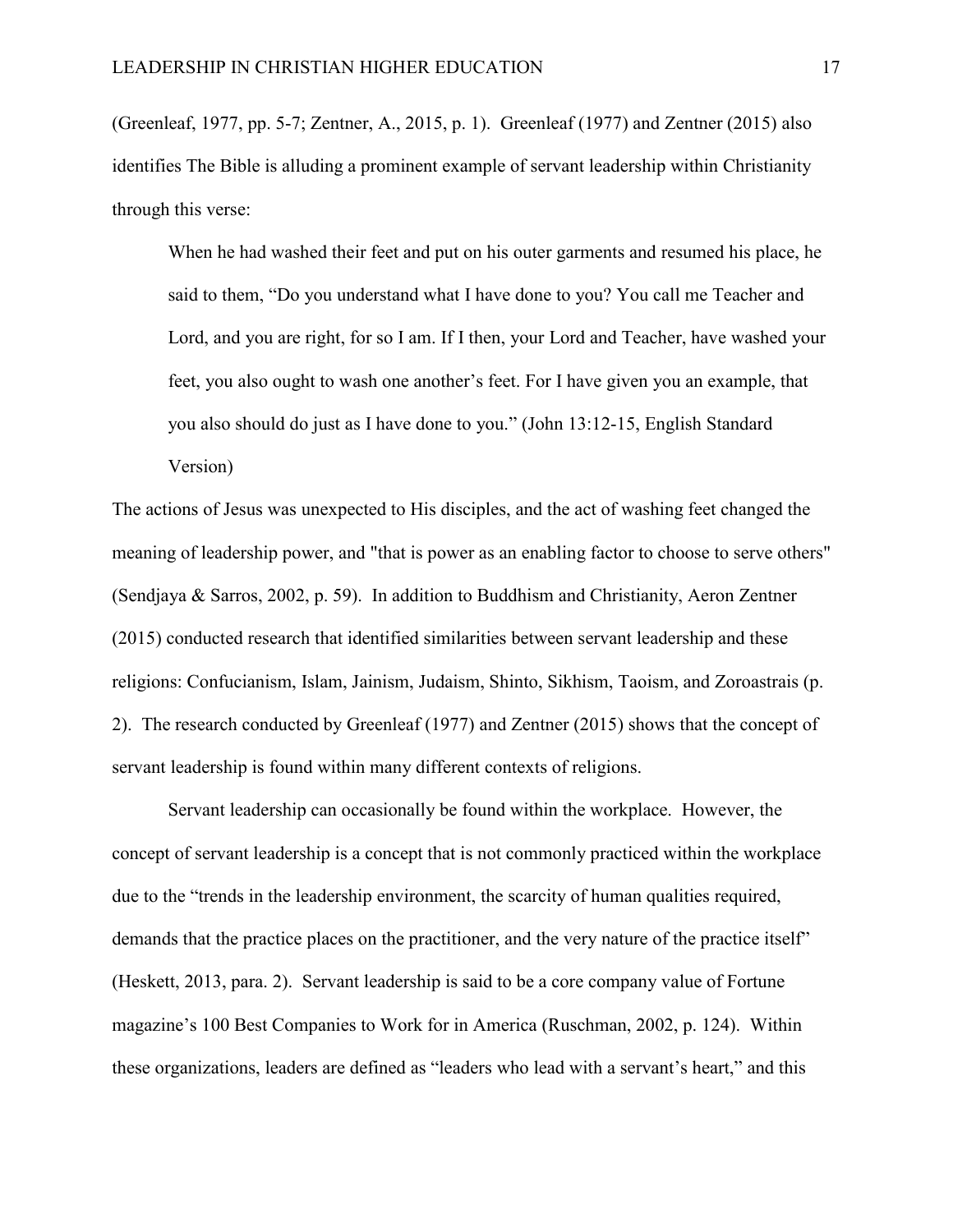(Greenleaf, 1977, pp. 5-7; Zentner, A., 2015, p. 1). Greenleaf (1977) and Zentner (2015) also identifies The Bible is alluding a prominent example of servant leadership within Christianity through this verse:

When he had washed their feet and put on his outer garments and resumed his place, he said to them, "Do you understand what I have done to you? You call me Teacher and Lord, and you are right, for so I am. If I then, your Lord and Teacher, have washed your feet, you also ought to wash one another's feet. For I have given you an example, that you also should do just as I have done to you." (John 13:12-15, English Standard Version)

The actions of Jesus was unexpected to His disciples, and the act of washing feet changed the meaning of leadership power, and "that is power as an enabling factor to choose to serve others" (Sendjaya & Sarros, 2002, p. 59). In addition to Buddhism and Christianity, Aeron Zentner (2015) conducted research that identified similarities between servant leadership and these religions: Confucianism, Islam, Jainism, Judaism, Shinto, Sikhism, Taoism, and Zoroastrais (p. 2). The research conducted by Greenleaf (1977) and Zentner (2015) shows that the concept of servant leadership is found within many different contexts of religions.

Servant leadership can occasionally be found within the workplace. However, the concept of servant leadership is a concept that is not commonly practiced within the workplace due to the "trends in the leadership environment, the scarcity of human qualities required, demands that the practice places on the practitioner, and the very nature of the practice itself" (Heskett, 2013, para. 2). Servant leadership is said to be a core company value of Fortune magazine's 100 Best Companies to Work for in America (Ruschman, 2002, p. 124). Within these organizations, leaders are defined as "leaders who lead with a servant's heart," and this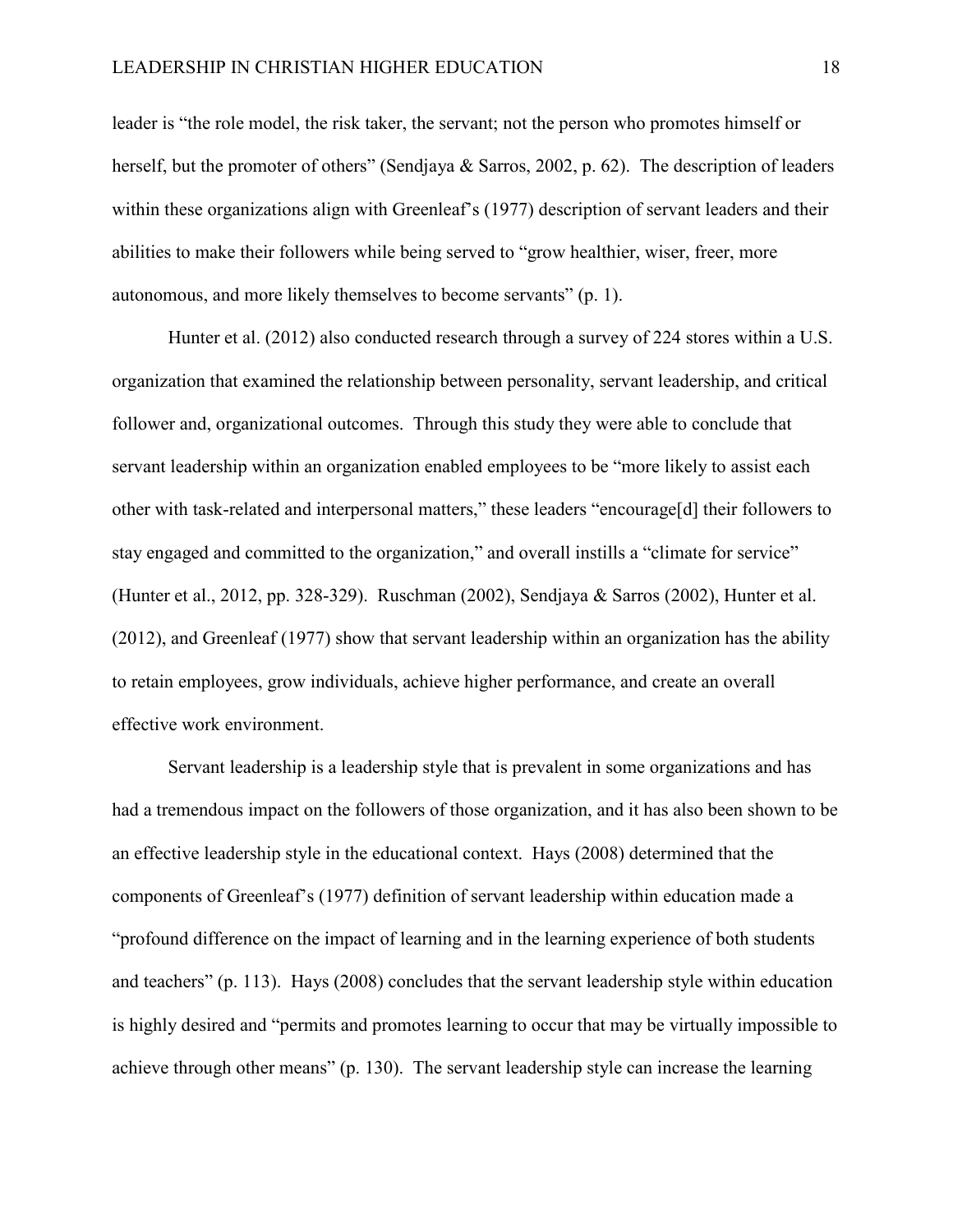leader is "the role model, the risk taker, the servant; not the person who promotes himself or herself, but the promoter of others" (Sendjaya & Sarros, 2002, p. 62). The description of leaders within these organizations align with Greenleaf's (1977) description of servant leaders and their abilities to make their followers while being served to "grow healthier, wiser, freer, more autonomous, and more likely themselves to become servants" (p. 1).

Hunter et al. (2012) also conducted research through a survey of 224 stores within a U.S. organization that examined the relationship between personality, servant leadership, and critical follower and, organizational outcomes. Through this study they were able to conclude that servant leadership within an organization enabled employees to be "more likely to assist each other with task-related and interpersonal matters," these leaders "encourage[d] their followers to stay engaged and committed to the organization," and overall instills a "climate for service" (Hunter et al., 2012, pp. 328-329). Ruschman (2002), Sendjaya & Sarros (2002), Hunter et al. (2012), and Greenleaf (1977) show that servant leadership within an organization has the ability to retain employees, grow individuals, achieve higher performance, and create an overall effective work environment.

Servant leadership is a leadership style that is prevalent in some organizations and has had a tremendous impact on the followers of those organization, and it has also been shown to be an effective leadership style in the educational context. Hays (2008) determined that the components of Greenleaf's (1977) definition of servant leadership within education made a "profound difference on the impact of learning and in the learning experience of both students and teachers" (p. 113). Hays (2008) concludes that the servant leadership style within education is highly desired and "permits and promotes learning to occur that may be virtually impossible to achieve through other means" (p. 130). The servant leadership style can increase the learning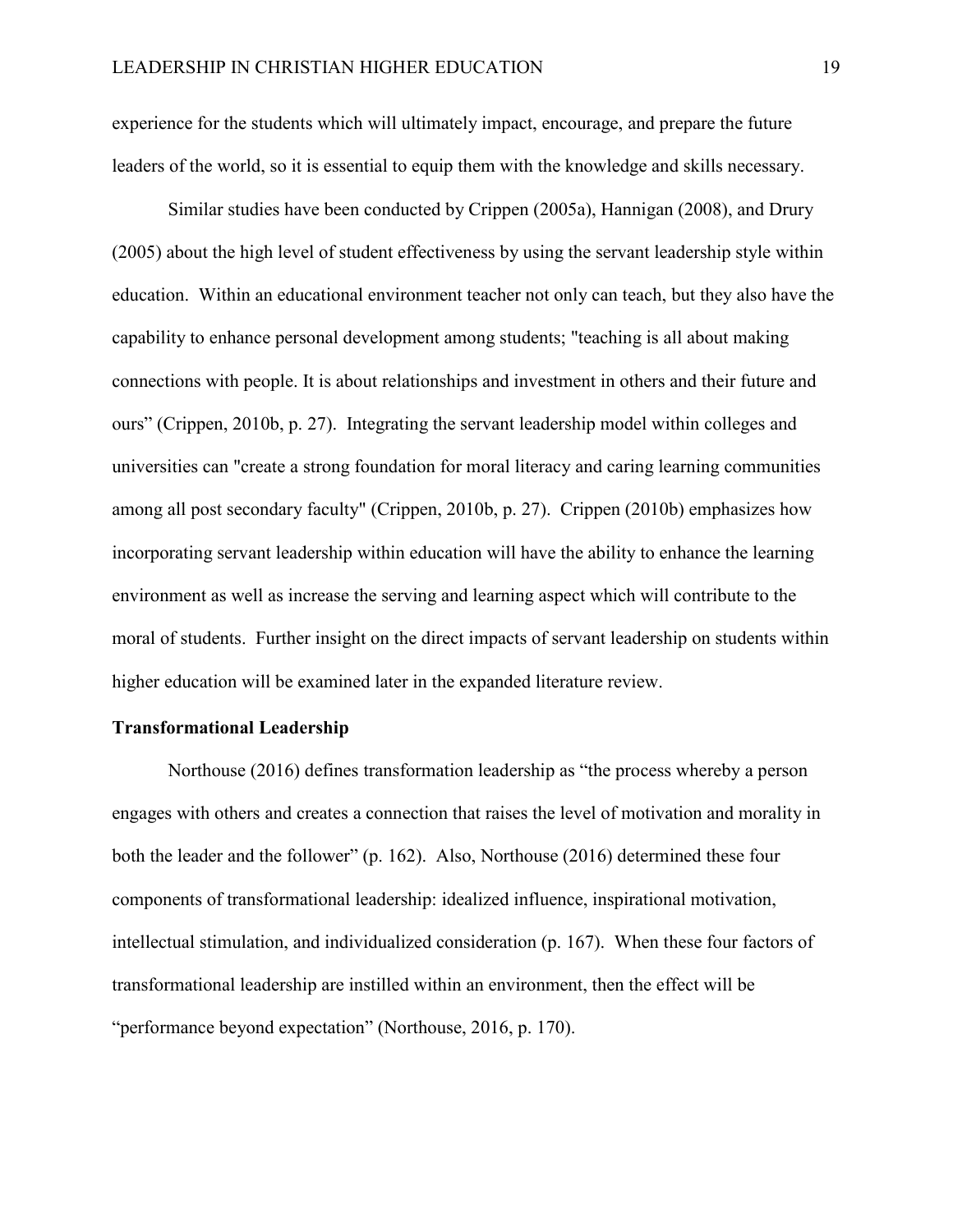experience for the students which will ultimately impact, encourage, and prepare the future leaders of the world, so it is essential to equip them with the knowledge and skills necessary.

Similar studies have been conducted by Crippen (2005a), Hannigan (2008), and Drury (2005) about the high level of student effectiveness by using the servant leadership style within education. Within an educational environment teacher not only can teach, but they also have the capability to enhance personal development among students; "teaching is all about making connections with people. It is about relationships and investment in others and their future and ours" (Crippen, 2010b, p. 27). Integrating the servant leadership model within colleges and universities can "create a strong foundation for moral literacy and caring learning communities among all post secondary faculty" (Crippen, 2010b, p. 27). Crippen (2010b) emphasizes how incorporating servant leadership within education will have the ability to enhance the learning environment as well as increase the serving and learning aspect which will contribute to the moral of students. Further insight on the direct impacts of servant leadership on students within higher education will be examined later in the expanded literature review.

#### <span id="page-25-0"></span>**Transformational Leadership**

Northouse (2016) defines transformation leadership as "the process whereby a person engages with others and creates a connection that raises the level of motivation and morality in both the leader and the follower" (p. 162). Also, Northouse (2016) determined these four components of transformational leadership: idealized influence, inspirational motivation, intellectual stimulation, and individualized consideration (p. 167). When these four factors of transformational leadership are instilled within an environment, then the effect will be "performance beyond expectation" (Northouse, 2016, p. 170).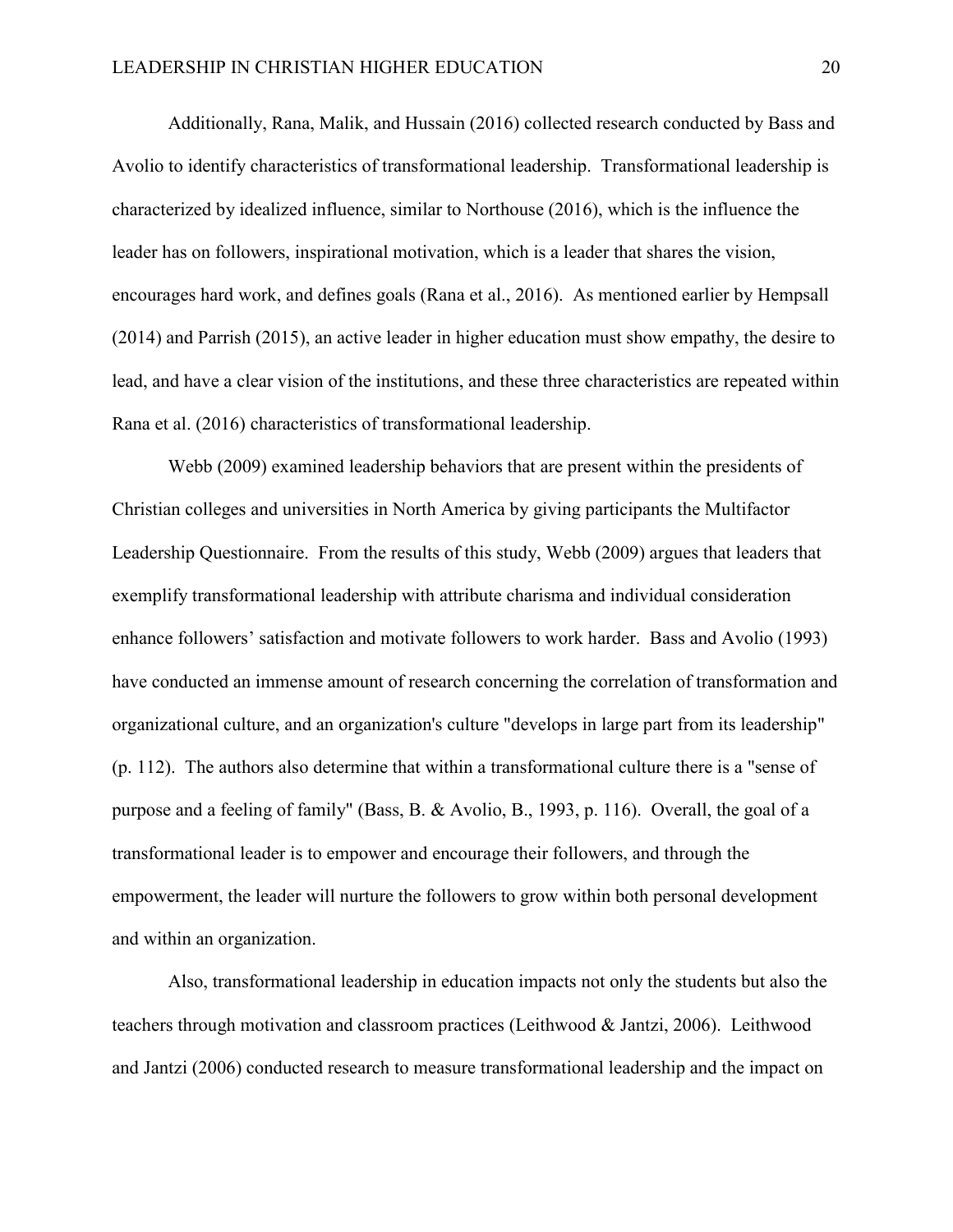Additionally, Rana, Malik, and Hussain (2016) collected research conducted by Bass and Avolio to identify characteristics of transformational leadership. Transformational leadership is characterized by idealized influence, similar to Northouse (2016), which is the influence the leader has on followers, inspirational motivation, which is a leader that shares the vision, encourages hard work, and defines goals (Rana et al., 2016). As mentioned earlier by Hempsall (2014) and Parrish (2015), an active leader in higher education must show empathy, the desire to lead, and have a clear vision of the institutions, and these three characteristics are repeated within Rana et al. (2016) characteristics of transformational leadership.

Webb (2009) examined leadership behaviors that are present within the presidents of Christian colleges and universities in North America by giving participants the Multifactor Leadership Questionnaire. From the results of this study, Webb (2009) argues that leaders that exemplify transformational leadership with attribute charisma and individual consideration enhance followers' satisfaction and motivate followers to work harder. Bass and Avolio (1993) have conducted an immense amount of research concerning the correlation of transformation and organizational culture, and an organization's culture "develops in large part from its leadership" (p. 112). The authors also determine that within a transformational culture there is a "sense of purpose and a feeling of family" (Bass, B. & Avolio, B., 1993, p. 116). Overall, the goal of a transformational leader is to empower and encourage their followers, and through the empowerment, the leader will nurture the followers to grow within both personal development and within an organization.

Also, transformational leadership in education impacts not only the students but also the teachers through motivation and classroom practices (Leithwood & Jantzi, 2006). Leithwood and Jantzi (2006) conducted research to measure transformational leadership and the impact on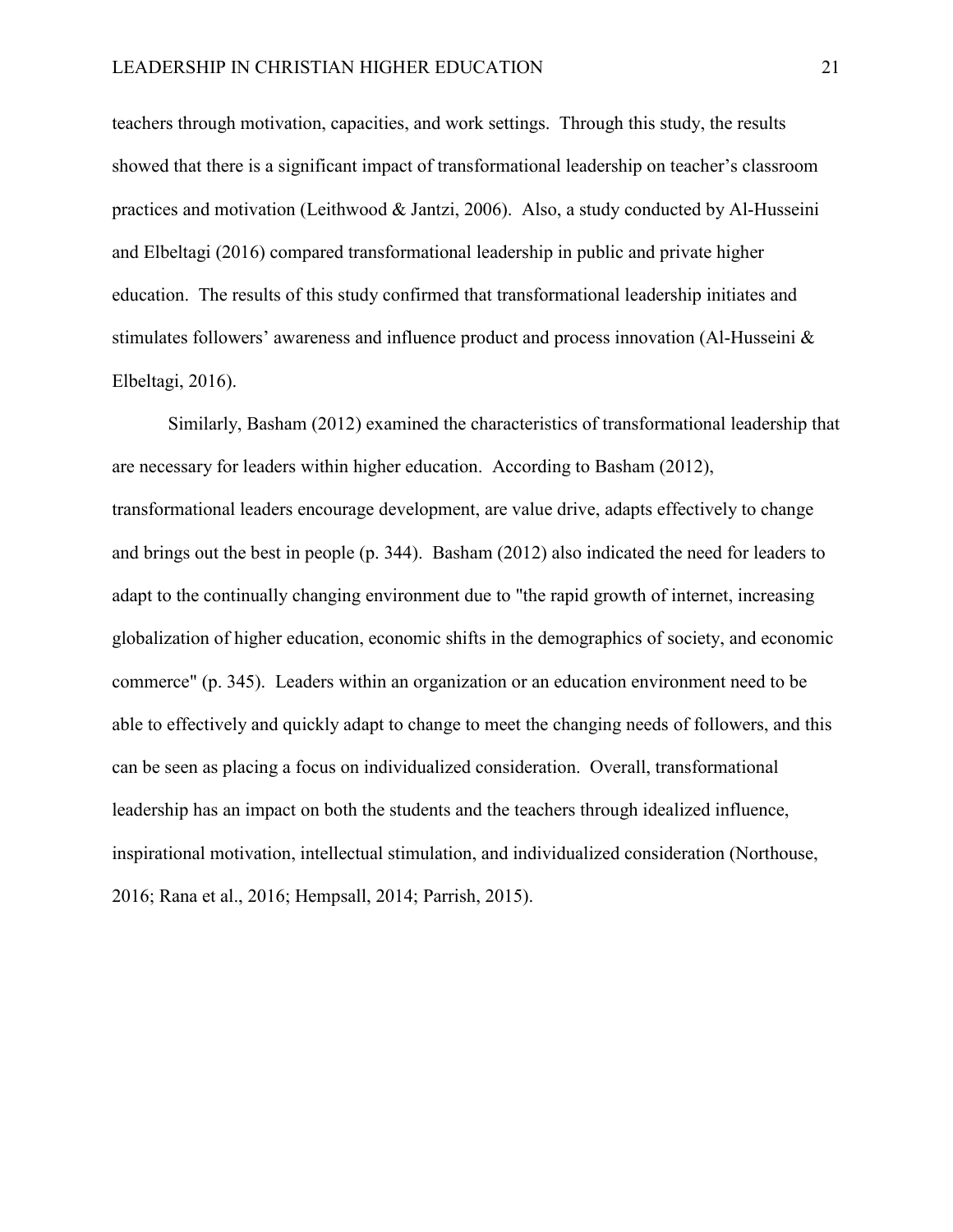teachers through motivation, capacities, and work settings. Through this study, the results showed that there is a significant impact of transformational leadership on teacher's classroom practices and motivation (Leithwood & Jantzi, 2006). Also, a study conducted by Al-Husseini and Elbeltagi (2016) compared transformational leadership in public and private higher education. The results of this study confirmed that transformational leadership initiates and stimulates followers' awareness and influence product and process innovation (Al-Husseini & Elbeltagi, 2016).

Similarly, Basham (2012) examined the characteristics of transformational leadership that are necessary for leaders within higher education. According to Basham (2012), transformational leaders encourage development, are value drive, adapts effectively to change and brings out the best in people (p. 344). Basham (2012) also indicated the need for leaders to adapt to the continually changing environment due to "the rapid growth of internet, increasing globalization of higher education, economic shifts in the demographics of society, and economic commerce" (p. 345). Leaders within an organization or an education environment need to be able to effectively and quickly adapt to change to meet the changing needs of followers, and this can be seen as placing a focus on individualized consideration. Overall, transformational leadership has an impact on both the students and the teachers through idealized influence, inspirational motivation, intellectual stimulation, and individualized consideration (Northouse, 2016; Rana et al., 2016; Hempsall, 2014; Parrish, 2015).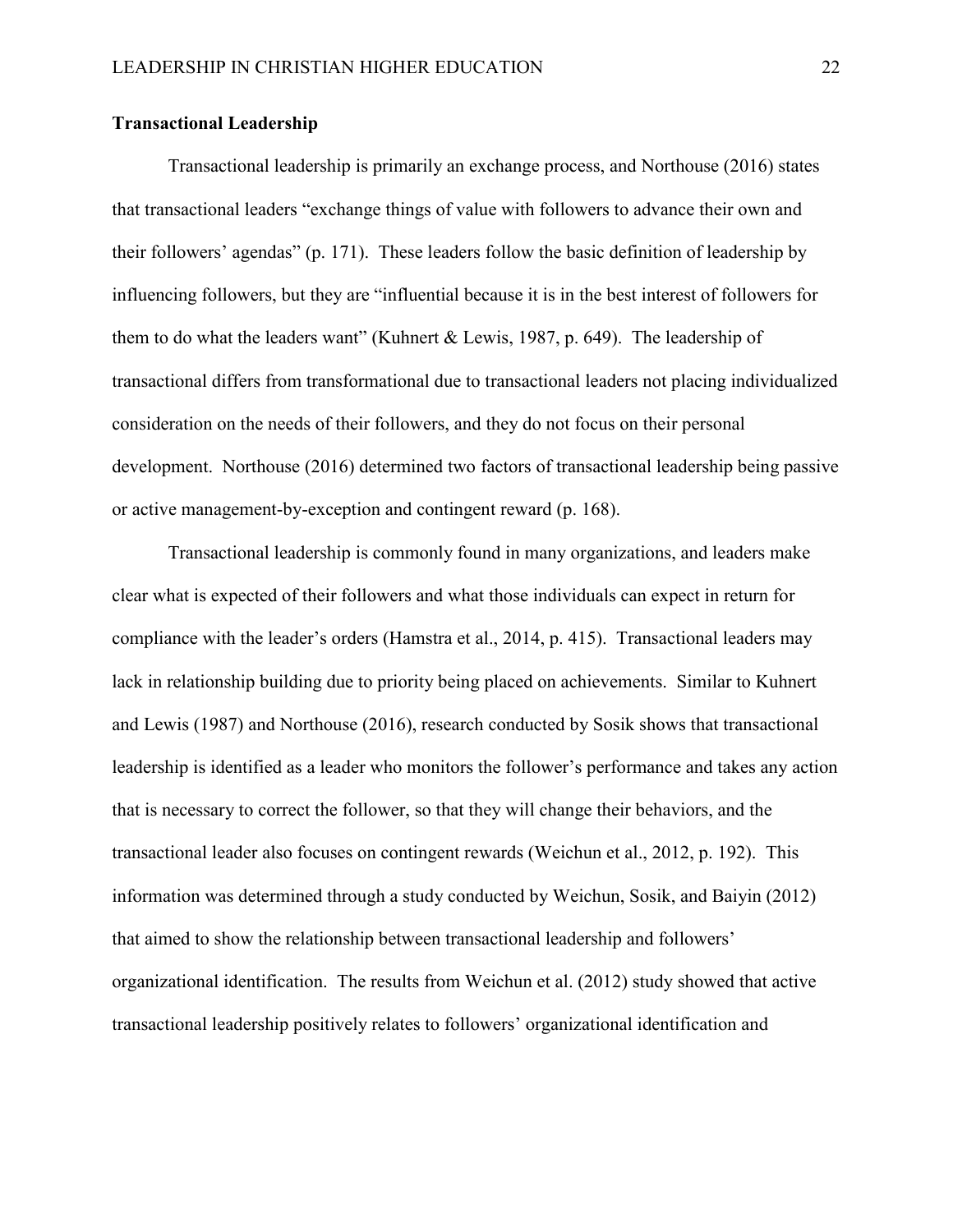#### <span id="page-28-0"></span>**Transactional Leadership**

Transactional leadership is primarily an exchange process, and Northouse (2016) states that transactional leaders "exchange things of value with followers to advance their own and their followers' agendas" (p. 171). These leaders follow the basic definition of leadership by influencing followers, but they are "influential because it is in the best interest of followers for them to do what the leaders want" (Kuhnert & Lewis, 1987, p. 649). The leadership of transactional differs from transformational due to transactional leaders not placing individualized consideration on the needs of their followers, and they do not focus on their personal development. Northouse (2016) determined two factors of transactional leadership being passive or active management-by-exception and contingent reward (p. 168).

Transactional leadership is commonly found in many organizations, and leaders make clear what is expected of their followers and what those individuals can expect in return for compliance with the leader's orders (Hamstra et al., 2014, p. 415). Transactional leaders may lack in relationship building due to priority being placed on achievements. Similar to Kuhnert and Lewis (1987) and Northouse (2016), research conducted by Sosik shows that transactional leadership is identified as a leader who monitors the follower's performance and takes any action that is necessary to correct the follower, so that they will change their behaviors, and the transactional leader also focuses on contingent rewards (Weichun et al., 2012, p. 192). This information was determined through a study conducted by Weichun, Sosik, and Baiyin (2012) that aimed to show the relationship between transactional leadership and followers' organizational identification. The results from Weichun et al. (2012) study showed that active transactional leadership positively relates to followers' organizational identification and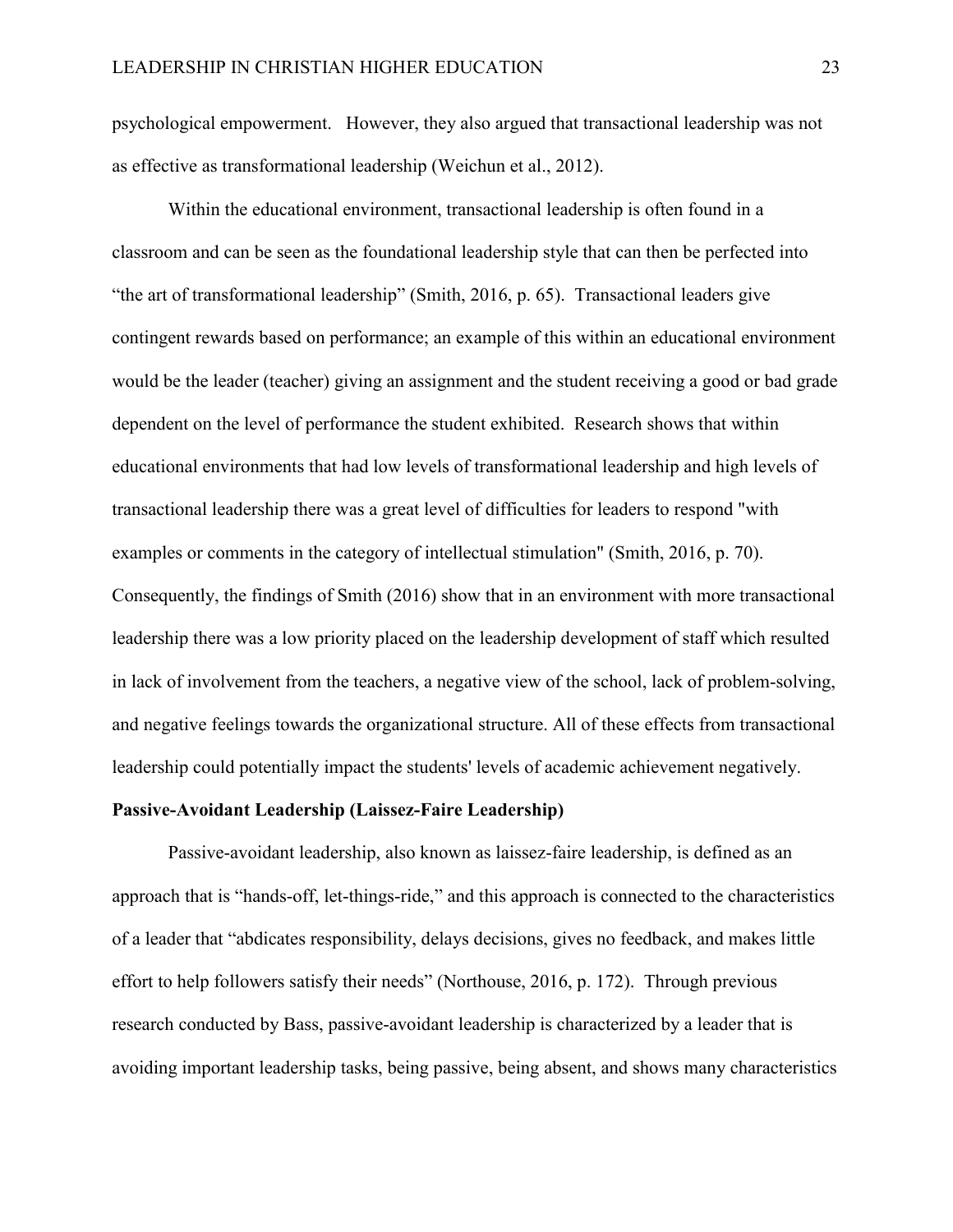psychological empowerment. However, they also argued that transactional leadership was not as effective as transformational leadership (Weichun et al., 2012).

Within the educational environment, transactional leadership is often found in a classroom and can be seen as the foundational leadership style that can then be perfected into "the art of transformational leadership" (Smith, 2016, p. 65). Transactional leaders give contingent rewards based on performance; an example of this within an educational environment would be the leader (teacher) giving an assignment and the student receiving a good or bad grade dependent on the level of performance the student exhibited. Research shows that within educational environments that had low levels of transformational leadership and high levels of transactional leadership there was a great level of difficulties for leaders to respond "with examples or comments in the category of intellectual stimulation" (Smith, 2016, p. 70). Consequently, the findings of Smith (2016) show that in an environment with more transactional leadership there was a low priority placed on the leadership development of staff which resulted in lack of involvement from the teachers, a negative view of the school, lack of problem-solving, and negative feelings towards the organizational structure. All of these effects from transactional leadership could potentially impact the students' levels of academic achievement negatively.

#### <span id="page-29-0"></span>**Passive-Avoidant Leadership (Laissez-Faire Leadership)**

Passive-avoidant leadership, also known as laissez-faire leadership, is defined as an approach that is "hands-off, let-things-ride," and this approach is connected to the characteristics of a leader that "abdicates responsibility, delays decisions, gives no feedback, and makes little effort to help followers satisfy their needs" (Northouse, 2016, p. 172). Through previous research conducted by Bass, passive-avoidant leadership is characterized by a leader that is avoiding important leadership tasks, being passive, being absent, and shows many characteristics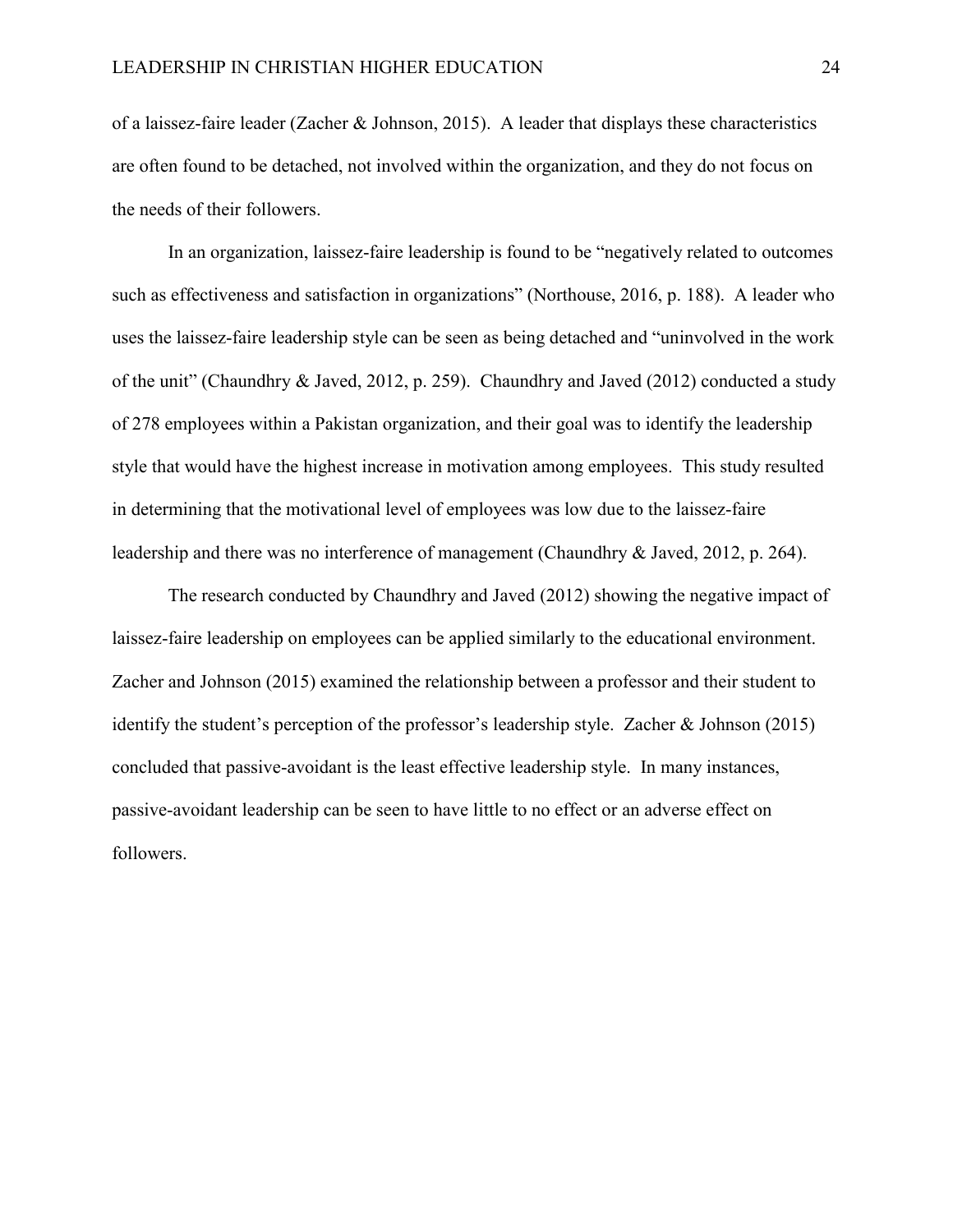of a laissez-faire leader (Zacher & Johnson, 2015). A leader that displays these characteristics are often found to be detached, not involved within the organization, and they do not focus on the needs of their followers.

In an organization, laissez-faire leadership is found to be "negatively related to outcomes such as effectiveness and satisfaction in organizations" (Northouse, 2016, p. 188). A leader who uses the laissez-faire leadership style can be seen as being detached and "uninvolved in the work of the unit" (Chaundhry & Javed, 2012, p. 259). Chaundhry and Javed (2012) conducted a study of 278 employees within a Pakistan organization, and their goal was to identify the leadership style that would have the highest increase in motivation among employees. This study resulted in determining that the motivational level of employees was low due to the laissez-faire leadership and there was no interference of management (Chaundhry & Javed, 2012, p. 264).

The research conducted by Chaundhry and Javed (2012) showing the negative impact of laissez-faire leadership on employees can be applied similarly to the educational environment. Zacher and Johnson (2015) examined the relationship between a professor and their student to identify the student's perception of the professor's leadership style. Zacher & Johnson (2015) concluded that passive-avoidant is the least effective leadership style. In many instances, passive-avoidant leadership can be seen to have little to no effect or an adverse effect on followers.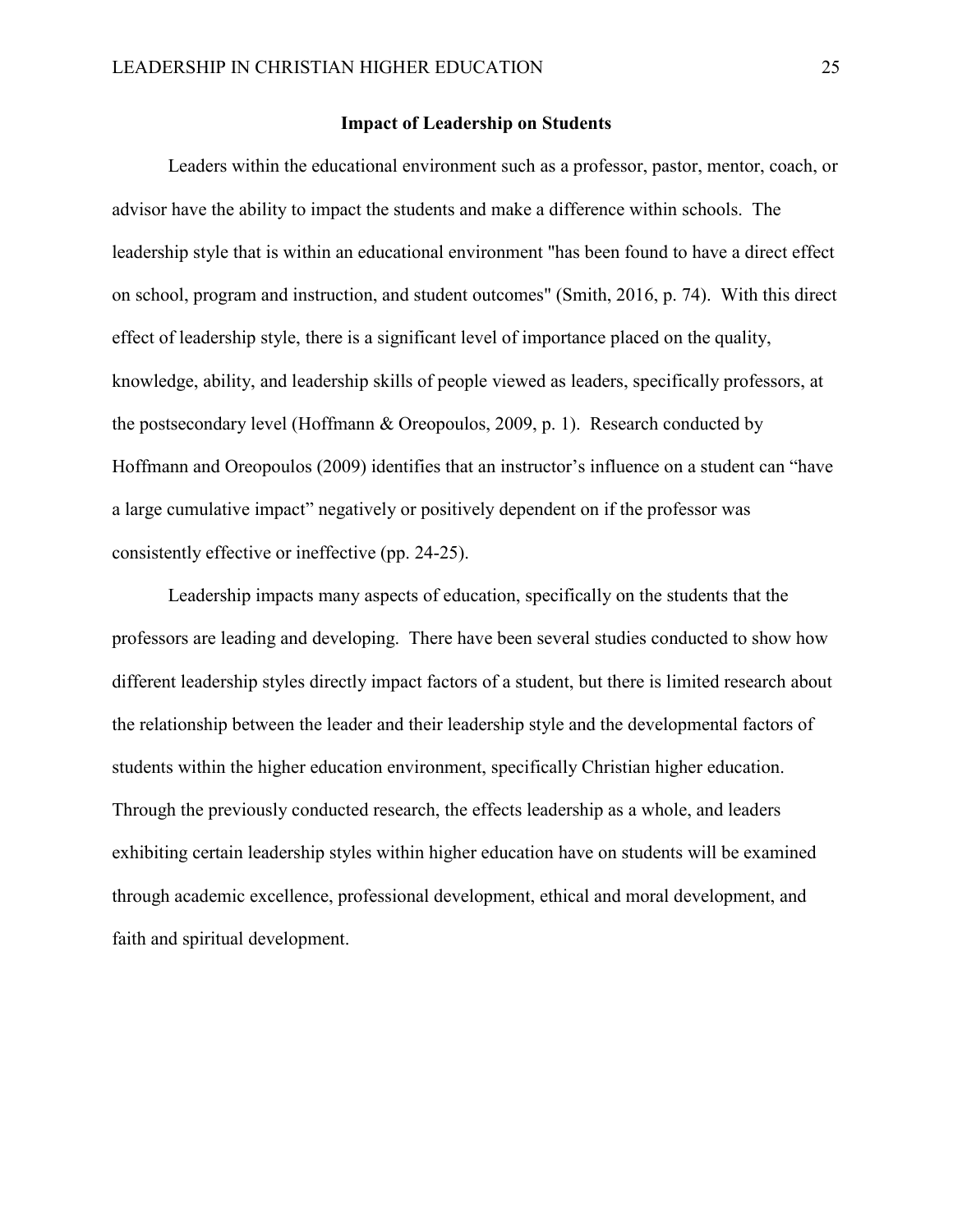#### **Impact of Leadership on Students**

<span id="page-31-0"></span>Leaders within the educational environment such as a professor, pastor, mentor, coach, or advisor have the ability to impact the students and make a difference within schools. The leadership style that is within an educational environment "has been found to have a direct effect on school, program and instruction, and student outcomes" (Smith, 2016, p. 74). With this direct effect of leadership style, there is a significant level of importance placed on the quality, knowledge, ability, and leadership skills of people viewed as leaders, specifically professors, at the postsecondary level (Hoffmann & Oreopoulos, 2009, p. 1). Research conducted by Hoffmann and Oreopoulos (2009) identifies that an instructor's influence on a student can "have a large cumulative impact" negatively or positively dependent on if the professor was consistently effective or ineffective (pp. 24-25).

Leadership impacts many aspects of education, specifically on the students that the professors are leading and developing. There have been several studies conducted to show how different leadership styles directly impact factors of a student, but there is limited research about the relationship between the leader and their leadership style and the developmental factors of students within the higher education environment, specifically Christian higher education. Through the previously conducted research, the effects leadership as a whole, and leaders exhibiting certain leadership styles within higher education have on students will be examined through academic excellence, professional development, ethical and moral development, and faith and spiritual development.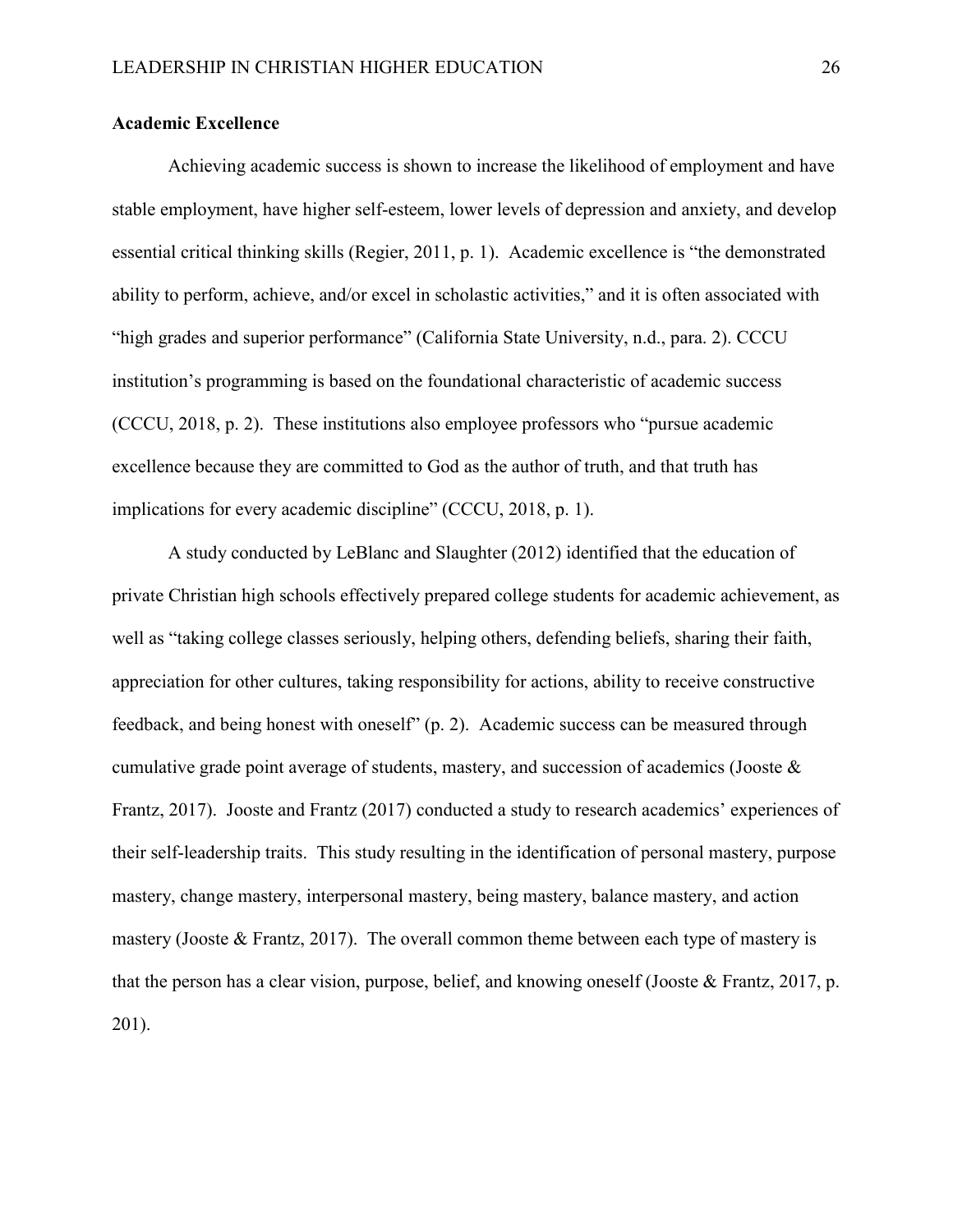#### <span id="page-32-0"></span>**Academic Excellence**

Achieving academic success is shown to increase the likelihood of employment and have stable employment, have higher self-esteem, lower levels of depression and anxiety, and develop essential critical thinking skills (Regier, 2011, p. 1). Academic excellence is "the demonstrated ability to perform, achieve, and/or excel in scholastic activities," and it is often associated with "high grades and superior performance" (California State University, n.d., para. 2). CCCU institution's programming is based on the foundational characteristic of academic success (CCCU, 2018, p. 2). These institutions also employee professors who "pursue academic excellence because they are committed to God as the author of truth, and that truth has implications for every academic discipline" (CCCU, 2018, p. 1).

A study conducted by LeBlanc and Slaughter (2012) identified that the education of private Christian high schools effectively prepared college students for academic achievement, as well as "taking college classes seriously, helping others, defending beliefs, sharing their faith, appreciation for other cultures, taking responsibility for actions, ability to receive constructive feedback, and being honest with oneself" (p. 2). Academic success can be measured through cumulative grade point average of students, mastery, and succession of academics (Jooste & Frantz, 2017). Jooste and Frantz (2017) conducted a study to research academics' experiences of their self-leadership traits. This study resulting in the identification of personal mastery, purpose mastery, change mastery, interpersonal mastery, being mastery, balance mastery, and action mastery (Jooste  $&$  Frantz, 2017). The overall common theme between each type of mastery is that the person has a clear vision, purpose, belief, and knowing oneself (Jooste & Frantz, 2017, p. 201).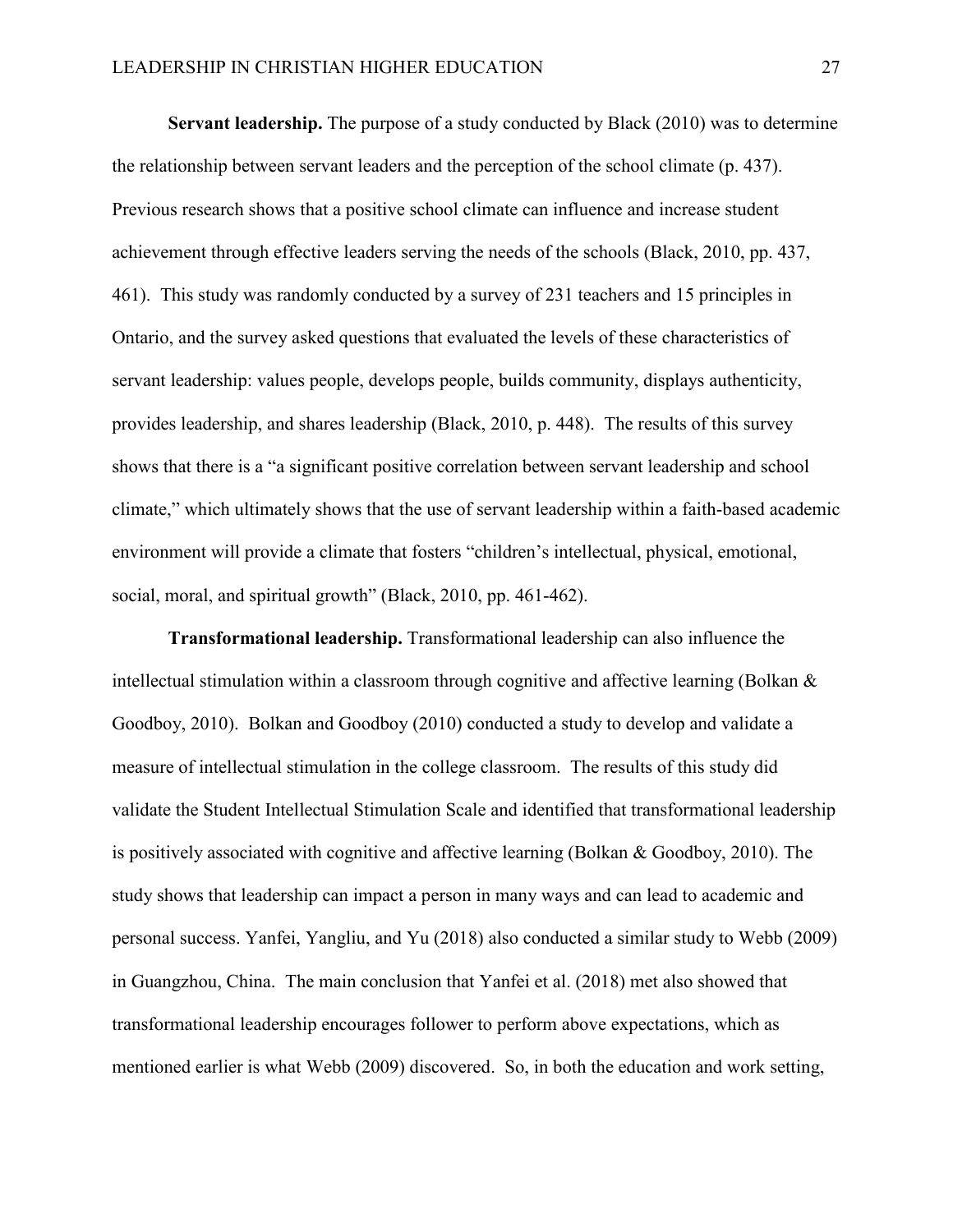**Servant leadership.** The purpose of a study conducted by Black (2010) was to determine the relationship between servant leaders and the perception of the school climate (p. 437). Previous research shows that a positive school climate can influence and increase student achievement through effective leaders serving the needs of the schools (Black, 2010, pp. 437, 461). This study was randomly conducted by a survey of 231 teachers and 15 principles in Ontario, and the survey asked questions that evaluated the levels of these characteristics of servant leadership: values people, develops people, builds community, displays authenticity, provides leadership, and shares leadership (Black, 2010, p. 448). The results of this survey shows that there is a "a significant positive correlation between servant leadership and school climate," which ultimately shows that the use of servant leadership within a faith-based academic environment will provide a climate that fosters "children's intellectual, physical, emotional, social, moral, and spiritual growth" (Black, 2010, pp. 461-462).

**Transformational leadership.** Transformational leadership can also influence the intellectual stimulation within a classroom through cognitive and affective learning (Bolkan & Goodboy, 2010). Bolkan and Goodboy (2010) conducted a study to develop and validate a measure of intellectual stimulation in the college classroom. The results of this study did validate the Student Intellectual Stimulation Scale and identified that transformational leadership is positively associated with cognitive and affective learning (Bolkan & Goodboy, 2010). The study shows that leadership can impact a person in many ways and can lead to academic and personal success. Yanfei, Yangliu, and Yu (2018) also conducted a similar study to Webb (2009) in Guangzhou, China. The main conclusion that Yanfei et al. (2018) met also showed that transformational leadership encourages follower to perform above expectations, which as mentioned earlier is what Webb (2009) discovered. So, in both the education and work setting,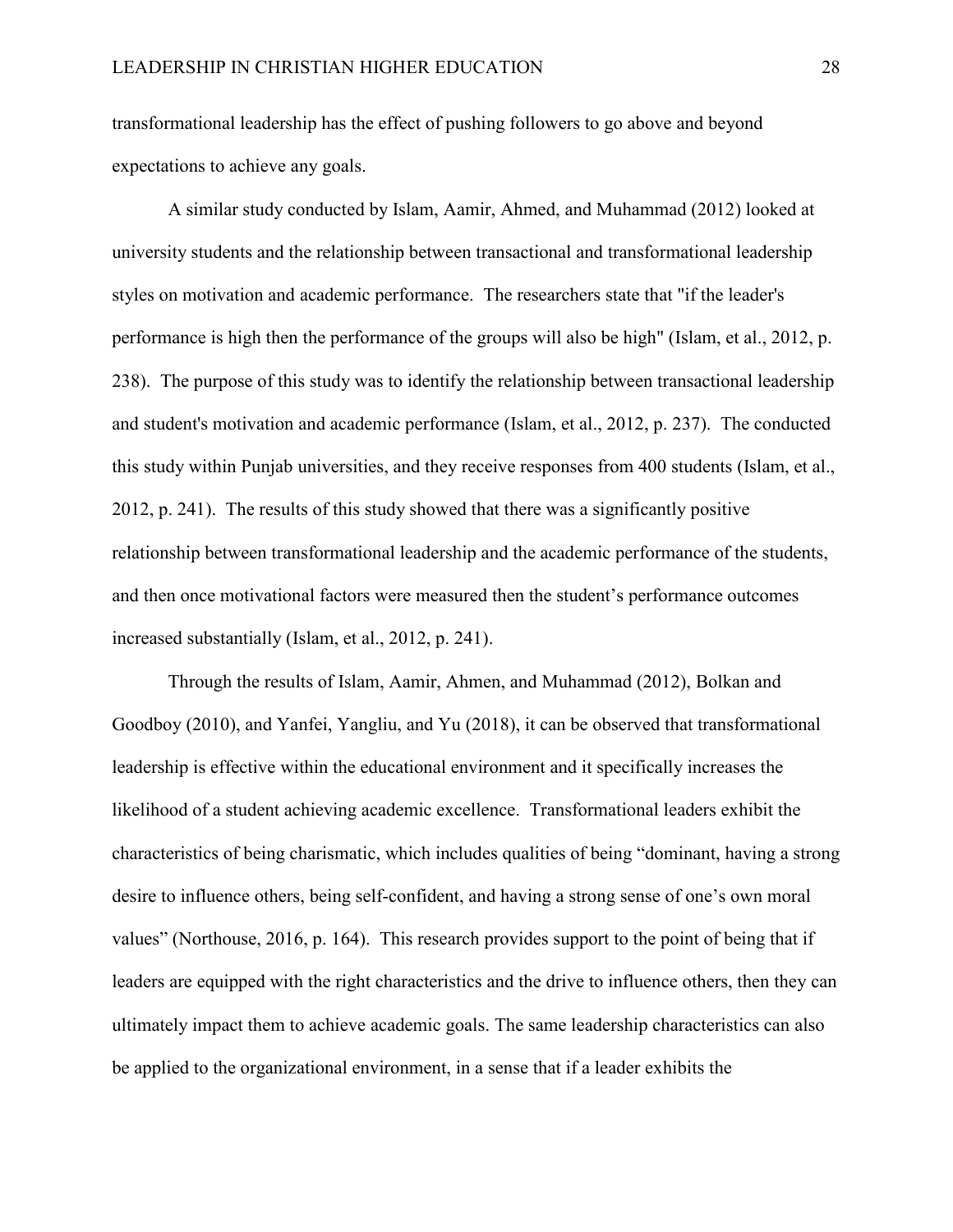transformational leadership has the effect of pushing followers to go above and beyond expectations to achieve any goals.

A similar study conducted by Islam, Aamir, Ahmed, and Muhammad (2012) looked at university students and the relationship between transactional and transformational leadership styles on motivation and academic performance. The researchers state that "if the leader's performance is high then the performance of the groups will also be high" (Islam, et al., 2012, p. 238). The purpose of this study was to identify the relationship between transactional leadership and student's motivation and academic performance (Islam, et al., 2012, p. 237). The conducted this study within Punjab universities, and they receive responses from 400 students (Islam, et al., 2012, p. 241). The results of this study showed that there was a significantly positive relationship between transformational leadership and the academic performance of the students, and then once motivational factors were measured then the student's performance outcomes increased substantially (Islam, et al., 2012, p. 241).

Through the results of Islam, Aamir, Ahmen, and Muhammad (2012), Bolkan and Goodboy (2010), and Yanfei, Yangliu, and Yu (2018), it can be observed that transformational leadership is effective within the educational environment and it specifically increases the likelihood of a student achieving academic excellence. Transformational leaders exhibit the characteristics of being charismatic, which includes qualities of being "dominant, having a strong desire to influence others, being self-confident, and having a strong sense of one's own moral values" (Northouse, 2016, p. 164). This research provides support to the point of being that if leaders are equipped with the right characteristics and the drive to influence others, then they can ultimately impact them to achieve academic goals. The same leadership characteristics can also be applied to the organizational environment, in a sense that if a leader exhibits the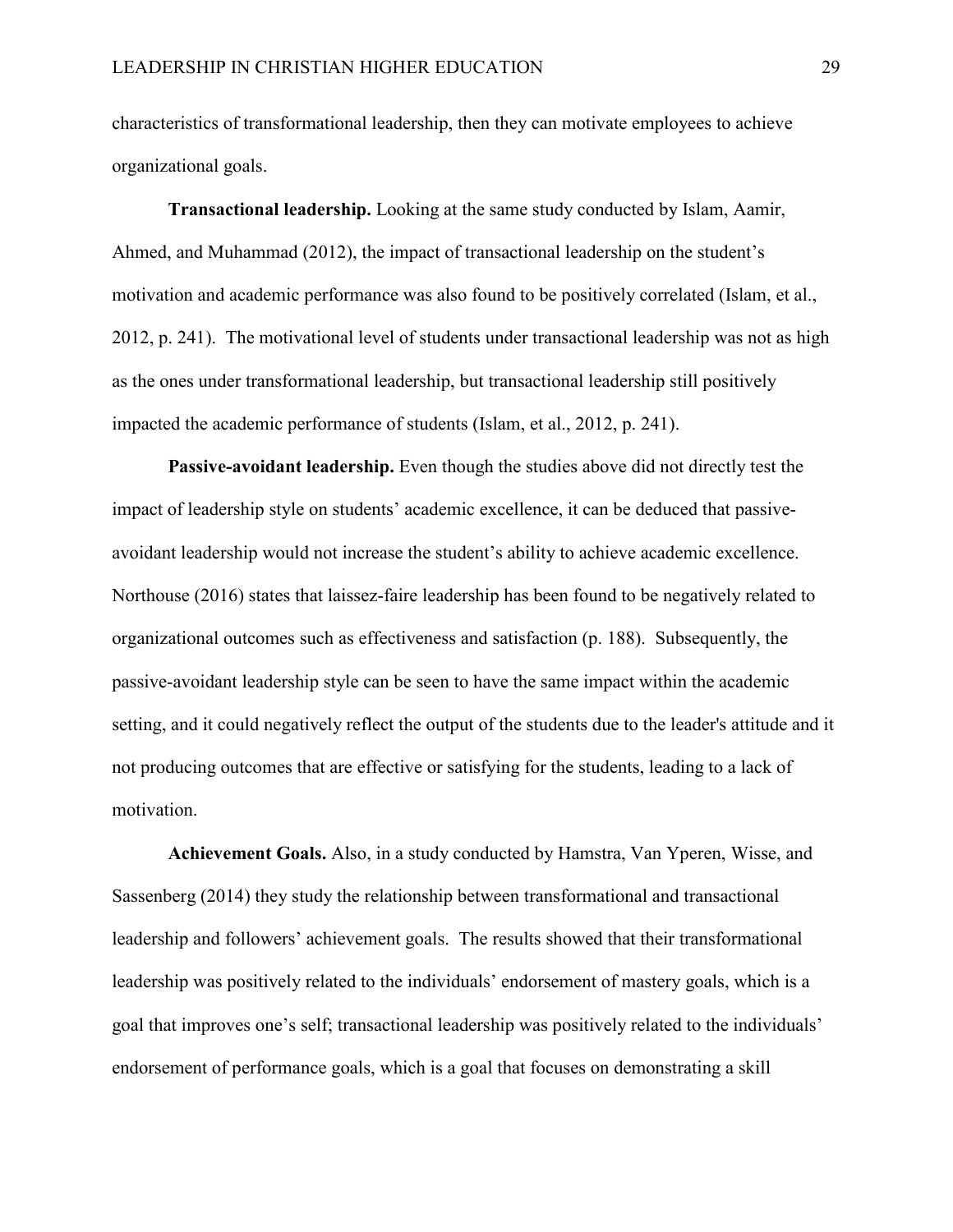characteristics of transformational leadership, then they can motivate employees to achieve organizational goals.

**Transactional leadership.** Looking at the same study conducted by Islam, Aamir, Ahmed, and Muhammad (2012), the impact of transactional leadership on the student's motivation and academic performance was also found to be positively correlated (Islam, et al., 2012, p. 241). The motivational level of students under transactional leadership was not as high as the ones under transformational leadership, but transactional leadership still positively impacted the academic performance of students (Islam, et al., 2012, p. 241).

**Passive-avoidant leadership.** Even though the studies above did not directly test the impact of leadership style on students' academic excellence, it can be deduced that passiveavoidant leadership would not increase the student's ability to achieve academic excellence. Northouse (2016) states that laissez-faire leadership has been found to be negatively related to organizational outcomes such as effectiveness and satisfaction (p. 188). Subsequently, the passive-avoidant leadership style can be seen to have the same impact within the academic setting, and it could negatively reflect the output of the students due to the leader's attitude and it not producing outcomes that are effective or satisfying for the students, leading to a lack of motivation.

**Achievement Goals.** Also, in a study conducted by Hamstra, Van Yperen, Wisse, and Sassenberg (2014) they study the relationship between transformational and transactional leadership and followers' achievement goals. The results showed that their transformational leadership was positively related to the individuals' endorsement of mastery goals, which is a goal that improves one's self; transactional leadership was positively related to the individuals' endorsement of performance goals, which is a goal that focuses on demonstrating a skill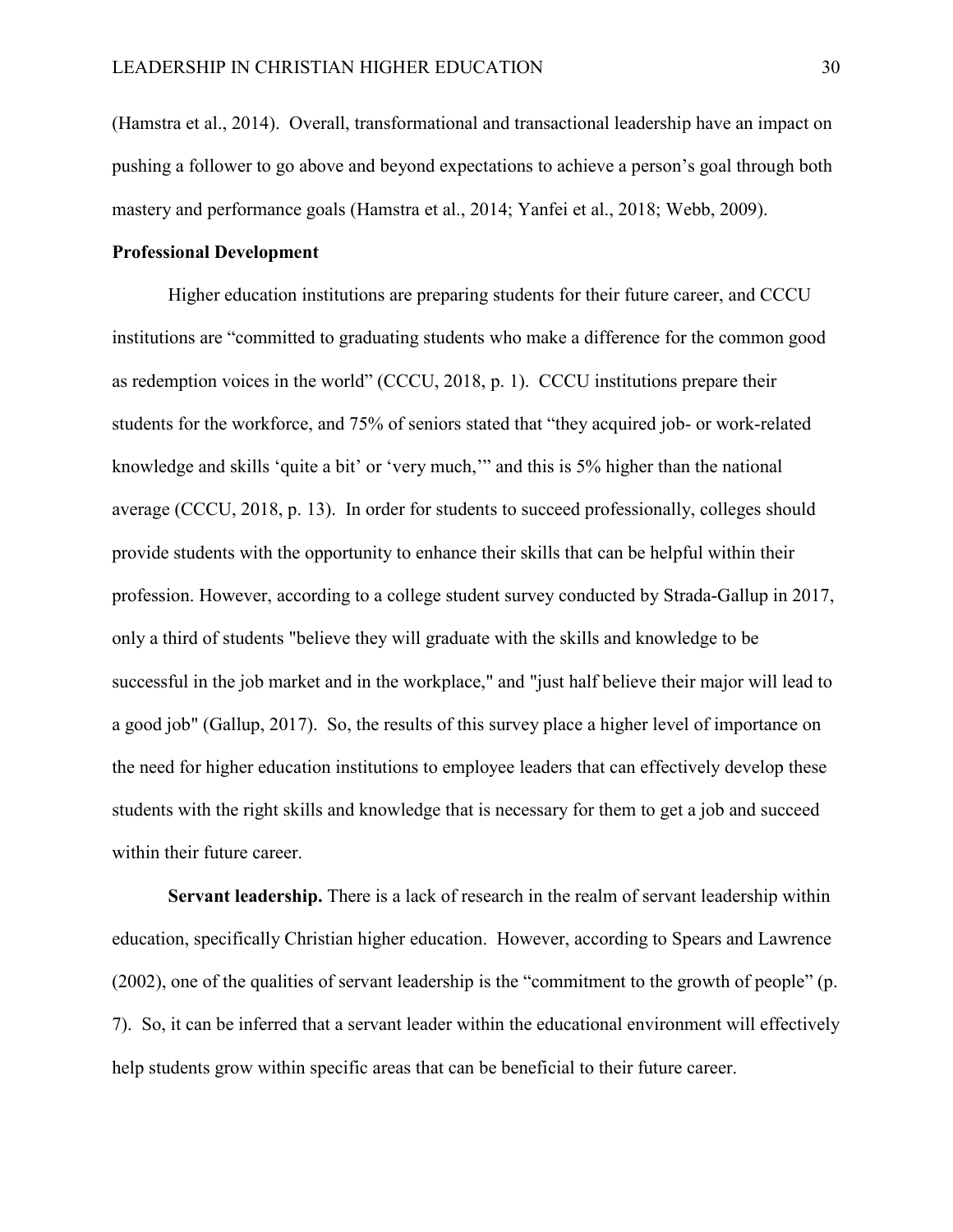(Hamstra et al., 2014). Overall, transformational and transactional leadership have an impact on pushing a follower to go above and beyond expectations to achieve a person's goal through both mastery and performance goals (Hamstra et al., 2014; Yanfei et al., 2018; Webb, 2009).

#### <span id="page-36-0"></span>**Professional Development**

Higher education institutions are preparing students for their future career, and CCCU institutions are "committed to graduating students who make a difference for the common good as redemption voices in the world" (CCCU, 2018, p. 1). CCCU institutions prepare their students for the workforce, and 75% of seniors stated that "they acquired job- or work-related knowledge and skills 'quite a bit' or 'very much,'" and this is 5% higher than the national average (CCCU, 2018, p. 13). In order for students to succeed professionally, colleges should provide students with the opportunity to enhance their skills that can be helpful within their profession. However, according to a college student survey conducted by Strada-Gallup in 2017, only a third of students "believe they will graduate with the skills and knowledge to be successful in the job market and in the workplace," and "just half believe their major will lead to a good job" (Gallup, 2017). So, the results of this survey place a higher level of importance on the need for higher education institutions to employee leaders that can effectively develop these students with the right skills and knowledge that is necessary for them to get a job and succeed within their future career.

**Servant leadership.** There is a lack of research in the realm of servant leadership within education, specifically Christian higher education. However, according to Spears and Lawrence (2002), one of the qualities of servant leadership is the "commitment to the growth of people" (p. 7). So, it can be inferred that a servant leader within the educational environment will effectively help students grow within specific areas that can be beneficial to their future career.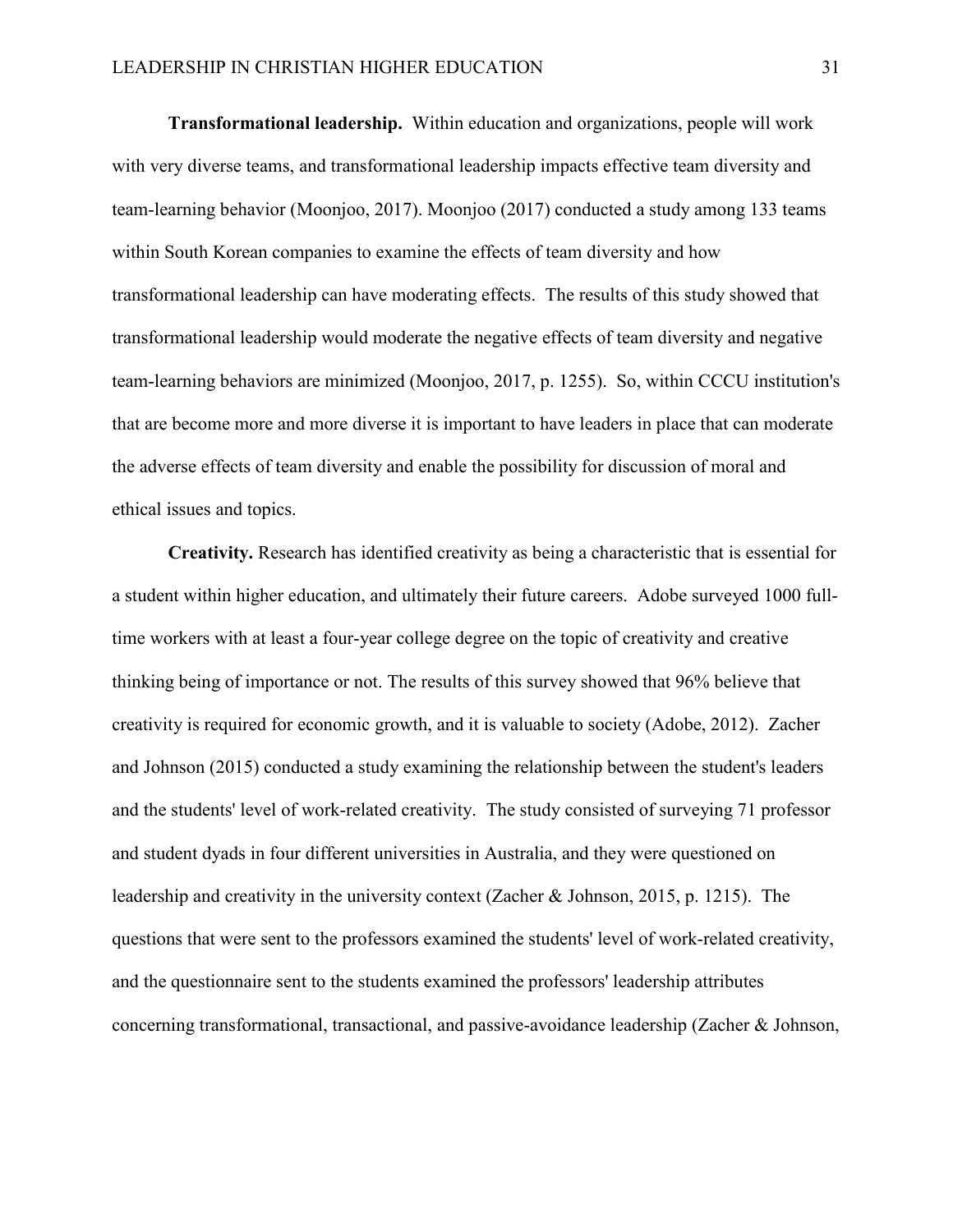**Transformational leadership.** Within education and organizations, people will work with very diverse teams, and transformational leadership impacts effective team diversity and team-learning behavior (Moonjoo, 2017). Moonjoo (2017) conducted a study among 133 teams within South Korean companies to examine the effects of team diversity and how transformational leadership can have moderating effects. The results of this study showed that transformational leadership would moderate the negative effects of team diversity and negative team-learning behaviors are minimized (Moonjoo, 2017, p. 1255). So, within CCCU institution's that are become more and more diverse it is important to have leaders in place that can moderate the adverse effects of team diversity and enable the possibility for discussion of moral and ethical issues and topics.

**Creativity.** Research has identified creativity as being a characteristic that is essential for a student within higher education, and ultimately their future careers. Adobe surveyed 1000 fulltime workers with at least a four-year college degree on the topic of creativity and creative thinking being of importance or not. The results of this survey showed that 96% believe that creativity is required for economic growth, and it is valuable to society (Adobe, 2012). Zacher and Johnson (2015) conducted a study examining the relationship between the student's leaders and the students' level of work-related creativity. The study consisted of surveying 71 professor and student dyads in four different universities in Australia, and they were questioned on leadership and creativity in the university context (Zacher & Johnson, 2015, p. 1215). The questions that were sent to the professors examined the students' level of work-related creativity, and the questionnaire sent to the students examined the professors' leadership attributes concerning transformational, transactional, and passive-avoidance leadership (Zacher & Johnson,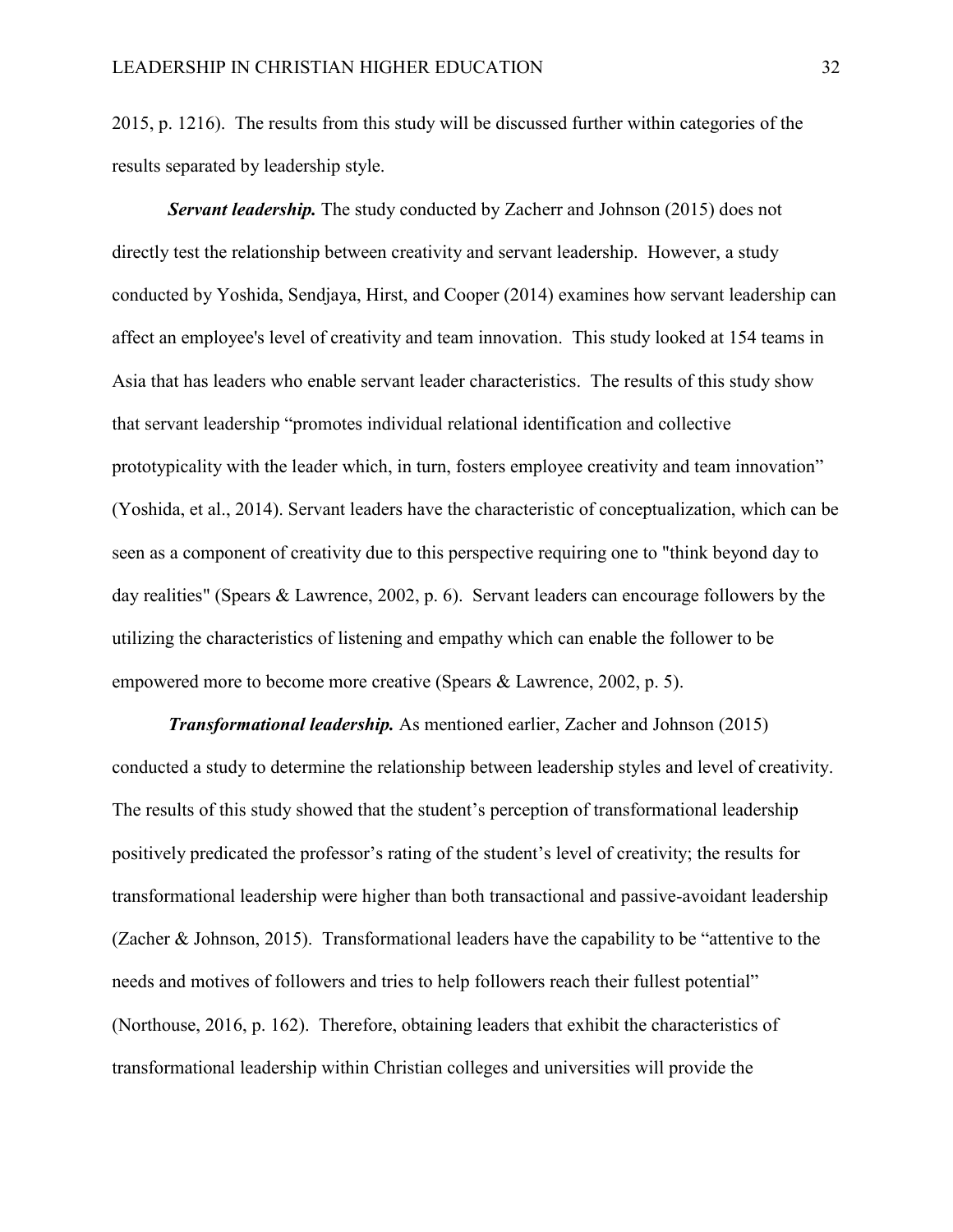2015, p. 1216). The results from this study will be discussed further within categories of the results separated by leadership style.

*Servant leadership.* The study conducted by Zacherr and Johnson (2015) does not directly test the relationship between creativity and servant leadership. However, a study conducted by Yoshida, Sendjaya, Hirst, and Cooper (2014) examines how servant leadership can affect an employee's level of creativity and team innovation. This study looked at 154 teams in Asia that has leaders who enable servant leader characteristics. The results of this study show that servant leadership "promotes individual relational identification and collective prototypicality with the leader which, in turn, fosters employee creativity and team innovation" (Yoshida, et al., 2014). Servant leaders have the characteristic of conceptualization, which can be seen as a component of creativity due to this perspective requiring one to "think beyond day to day realities" (Spears & Lawrence, 2002, p. 6). Servant leaders can encourage followers by the utilizing the characteristics of listening and empathy which can enable the follower to be empowered more to become more creative (Spears & Lawrence, 2002, p. 5).

*Transformational leadership.* As mentioned earlier, Zacher and Johnson (2015) conducted a study to determine the relationship between leadership styles and level of creativity. The results of this study showed that the student's perception of transformational leadership positively predicated the professor's rating of the student's level of creativity; the results for transformational leadership were higher than both transactional and passive-avoidant leadership (Zacher & Johnson, 2015). Transformational leaders have the capability to be "attentive to the needs and motives of followers and tries to help followers reach their fullest potential" (Northouse, 2016, p. 162). Therefore, obtaining leaders that exhibit the characteristics of transformational leadership within Christian colleges and universities will provide the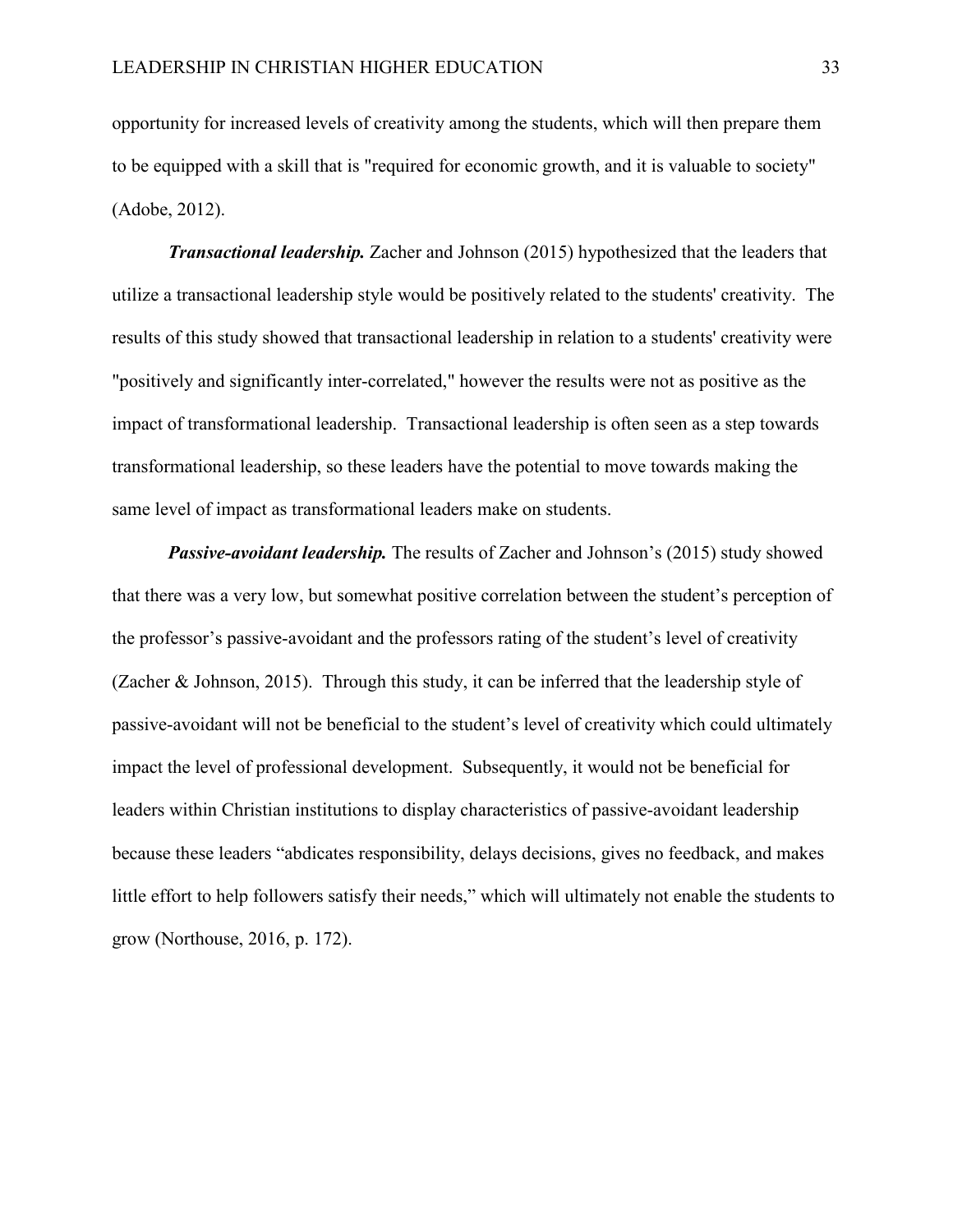opportunity for increased levels of creativity among the students, which will then prepare them to be equipped with a skill that is "required for economic growth, and it is valuable to society" (Adobe, 2012).

*Transactional leadership.* Zacher and Johnson (2015) hypothesized that the leaders that utilize a transactional leadership style would be positively related to the students' creativity. The results of this study showed that transactional leadership in relation to a students' creativity were "positively and significantly inter-correlated," however the results were not as positive as the impact of transformational leadership. Transactional leadership is often seen as a step towards transformational leadership, so these leaders have the potential to move towards making the same level of impact as transformational leaders make on students.

*Passive-avoidant leadership.* The results of Zacher and Johnson's (2015) study showed that there was a very low, but somewhat positive correlation between the student's perception of the professor's passive-avoidant and the professors rating of the student's level of creativity (Zacher & Johnson, 2015). Through this study, it can be inferred that the leadership style of passive-avoidant will not be beneficial to the student's level of creativity which could ultimately impact the level of professional development. Subsequently, it would not be beneficial for leaders within Christian institutions to display characteristics of passive-avoidant leadership because these leaders "abdicates responsibility, delays decisions, gives no feedback, and makes little effort to help followers satisfy their needs," which will ultimately not enable the students to grow (Northouse, 2016, p. 172).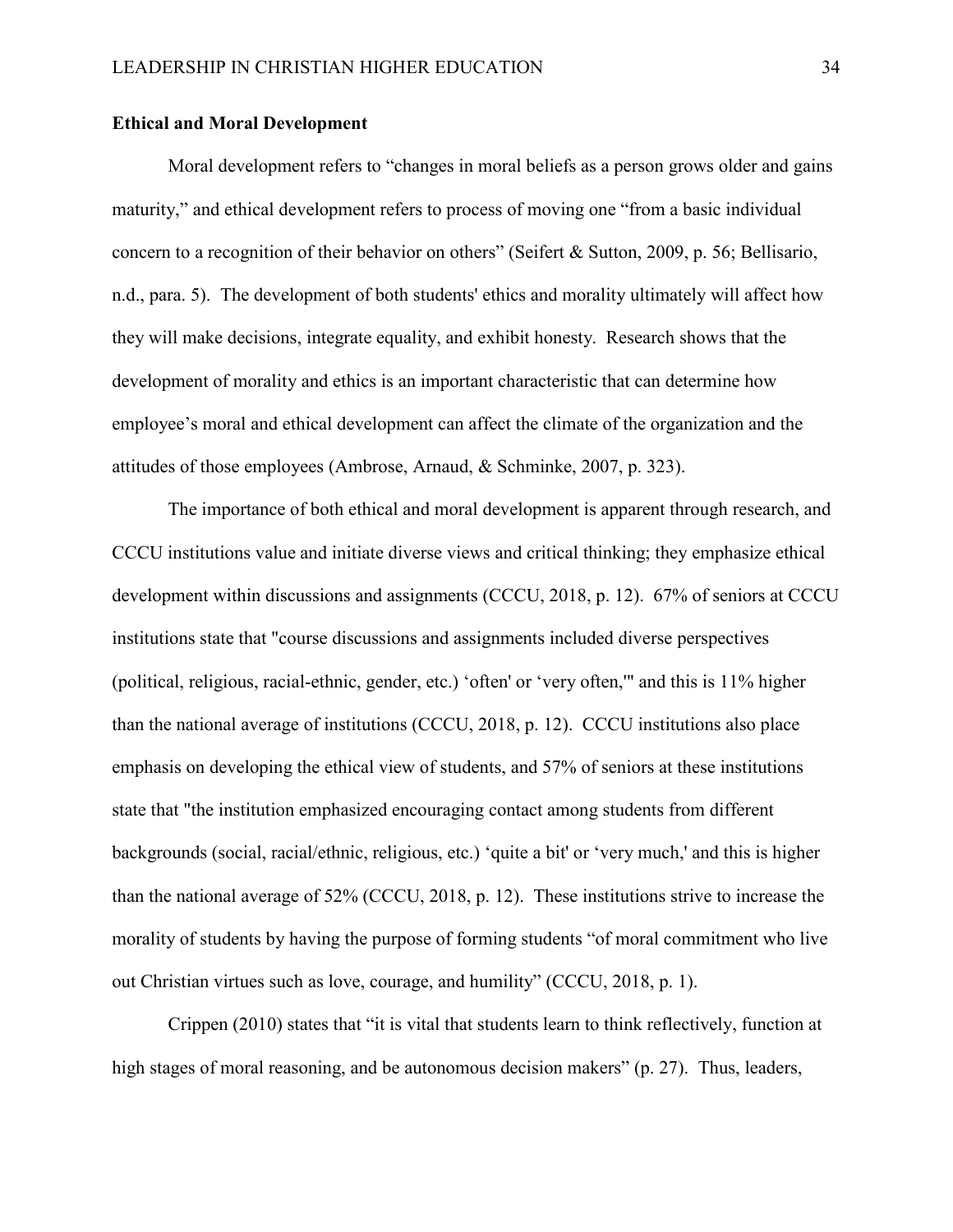#### <span id="page-40-0"></span>**Ethical and Moral Development**

Moral development refers to "changes in moral beliefs as a person grows older and gains maturity," and ethical development refers to process of moving one "from a basic individual concern to a recognition of their behavior on others" (Seifert & Sutton, 2009, p. 56; Bellisario, n.d., para. 5). The development of both students' ethics and morality ultimately will affect how they will make decisions, integrate equality, and exhibit honesty. Research shows that the development of morality and ethics is an important characteristic that can determine how employee's moral and ethical development can affect the climate of the organization and the attitudes of those employees (Ambrose, Arnaud, & Schminke, 2007, p. 323).

The importance of both ethical and moral development is apparent through research, and CCCU institutions value and initiate diverse views and critical thinking; they emphasize ethical development within discussions and assignments (CCCU, 2018, p. 12). 67% of seniors at CCCU institutions state that "course discussions and assignments included diverse perspectives (political, religious, racial-ethnic, gender, etc.) 'often' or 'very often,'" and this is 11% higher than the national average of institutions (CCCU, 2018, p. 12). CCCU institutions also place emphasis on developing the ethical view of students, and 57% of seniors at these institutions state that "the institution emphasized encouraging contact among students from different backgrounds (social, racial/ethnic, religious, etc.) 'quite a bit' or 'very much,' and this is higher than the national average of 52% (CCCU, 2018, p. 12). These institutions strive to increase the morality of students by having the purpose of forming students "of moral commitment who live out Christian virtues such as love, courage, and humility" (CCCU, 2018, p. 1).

Crippen (2010) states that "it is vital that students learn to think reflectively, function at high stages of moral reasoning, and be autonomous decision makers" (p. 27). Thus, leaders,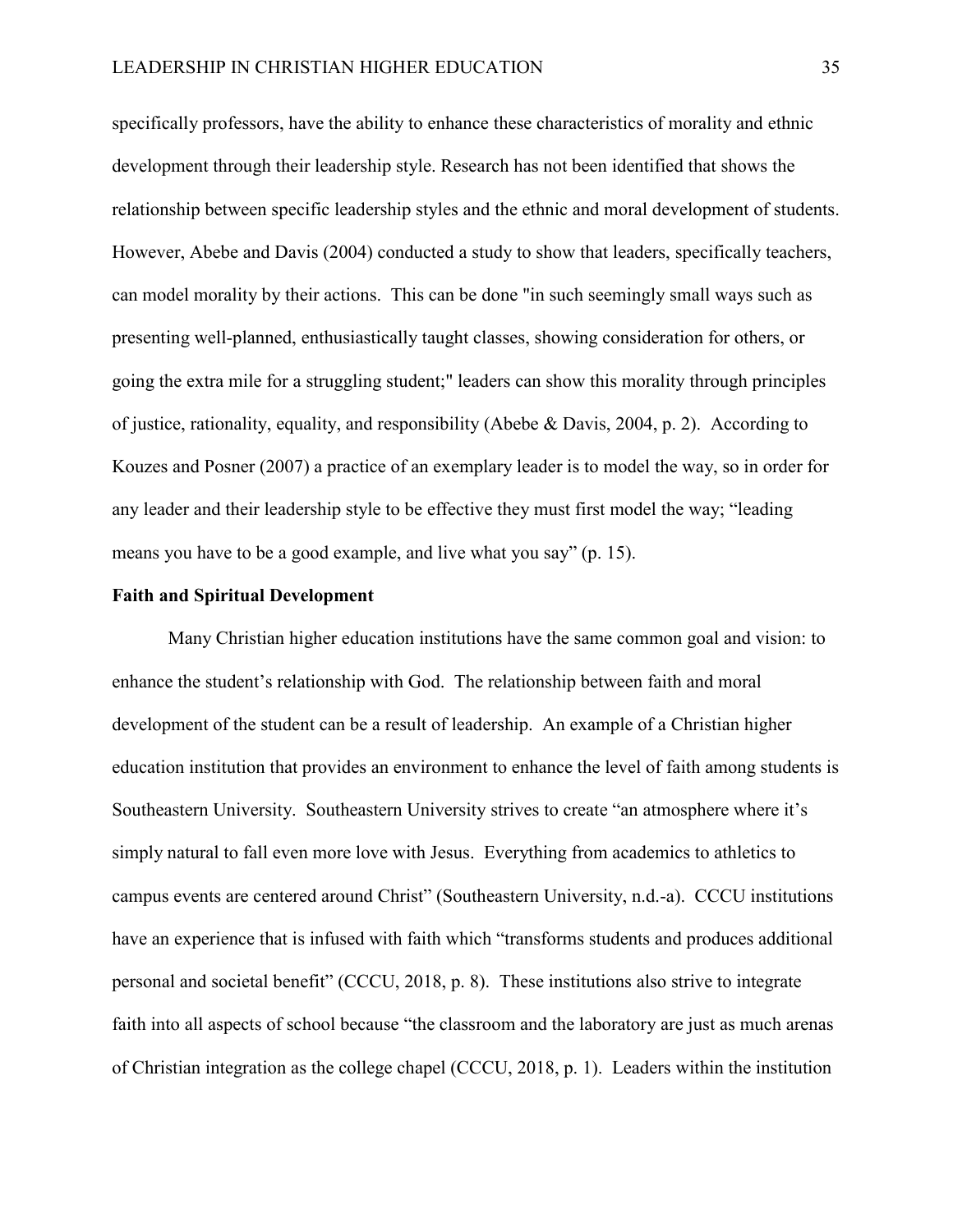specifically professors, have the ability to enhance these characteristics of morality and ethnic development through their leadership style. Research has not been identified that shows the relationship between specific leadership styles and the ethnic and moral development of students. However, Abebe and Davis (2004) conducted a study to show that leaders, specifically teachers, can model morality by their actions. This can be done "in such seemingly small ways such as presenting well-planned, enthusiastically taught classes, showing consideration for others, or going the extra mile for a struggling student;" leaders can show this morality through principles of justice, rationality, equality, and responsibility (Abebe & Davis, 2004, p. 2). According to Kouzes and Posner (2007) a practice of an exemplary leader is to model the way, so in order for any leader and their leadership style to be effective they must first model the way; "leading means you have to be a good example, and live what you say" (p. 15).

#### <span id="page-41-0"></span>**Faith and Spiritual Development**

Many Christian higher education institutions have the same common goal and vision: to enhance the student's relationship with God. The relationship between faith and moral development of the student can be a result of leadership. An example of a Christian higher education institution that provides an environment to enhance the level of faith among students is Southeastern University. Southeastern University strives to create "an atmosphere where it's simply natural to fall even more love with Jesus. Everything from academics to athletics to campus events are centered around Christ" (Southeastern University, n.d.-a). CCCU institutions have an experience that is infused with faith which "transforms students and produces additional personal and societal benefit" (CCCU, 2018, p. 8). These institutions also strive to integrate faith into all aspects of school because "the classroom and the laboratory are just as much arenas of Christian integration as the college chapel (CCCU, 2018, p. 1). Leaders within the institution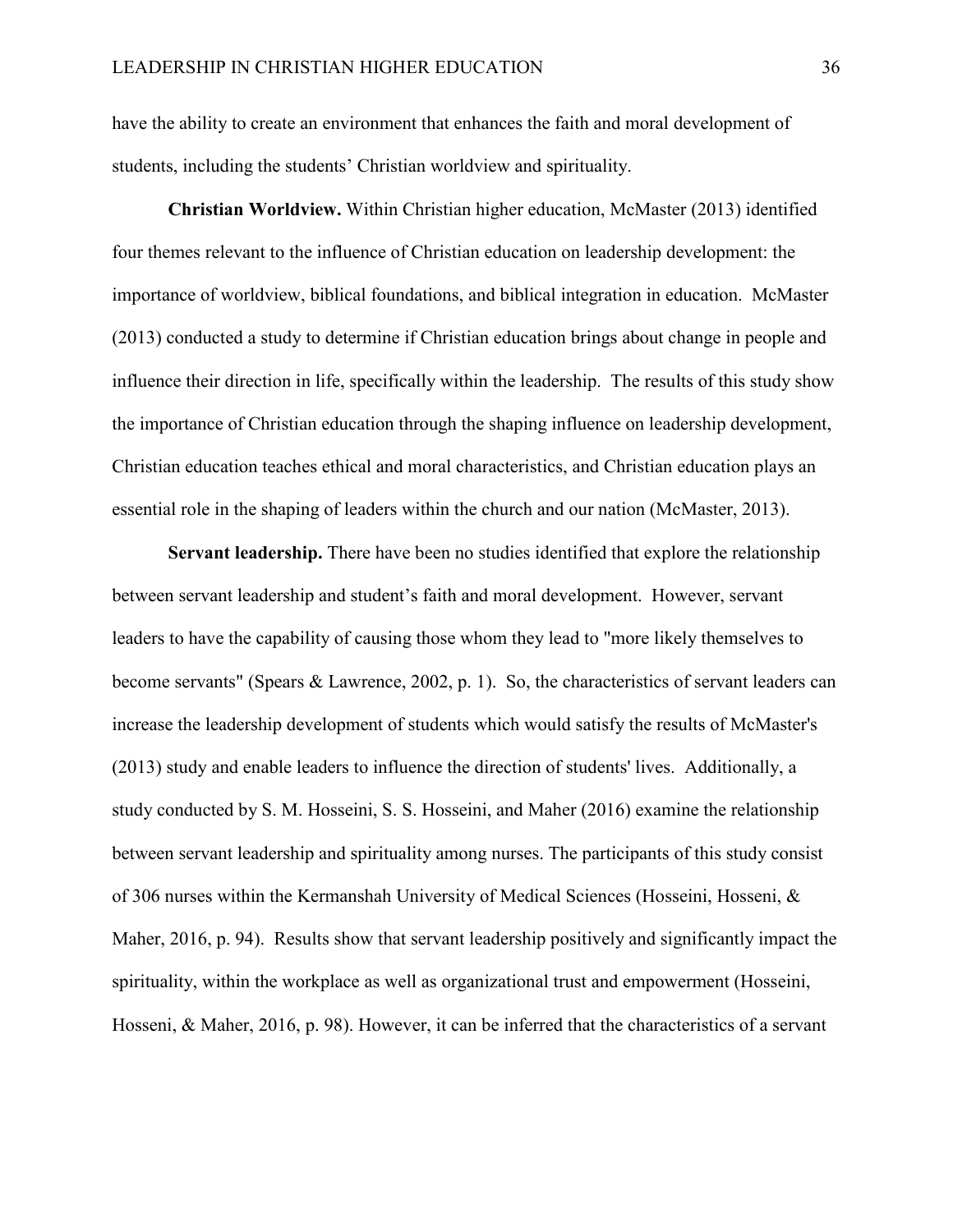have the ability to create an environment that enhances the faith and moral development of students, including the students' Christian worldview and spirituality.

**Christian Worldview.** Within Christian higher education, McMaster (2013) identified four themes relevant to the influence of Christian education on leadership development: the importance of worldview, biblical foundations, and biblical integration in education. McMaster (2013) conducted a study to determine if Christian education brings about change in people and influence their direction in life, specifically within the leadership. The results of this study show the importance of Christian education through the shaping influence on leadership development, Christian education teaches ethical and moral characteristics, and Christian education plays an essential role in the shaping of leaders within the church and our nation (McMaster, 2013).

**Servant leadership.** There have been no studies identified that explore the relationship between servant leadership and student's faith and moral development. However, servant leaders to have the capability of causing those whom they lead to "more likely themselves to become servants" (Spears & Lawrence, 2002, p. 1). So, the characteristics of servant leaders can increase the leadership development of students which would satisfy the results of McMaster's (2013) study and enable leaders to influence the direction of students' lives. Additionally, a study conducted by S. M. Hosseini, S. S. Hosseini, and Maher (2016) examine the relationship between servant leadership and spirituality among nurses. The participants of this study consist of 306 nurses within the Kermanshah University of Medical Sciences (Hosseini, Hosseni, & Maher, 2016, p. 94). Results show that servant leadership positively and significantly impact the spirituality, within the workplace as well as organizational trust and empowerment (Hosseini, Hosseni, & Maher, 2016, p. 98). However, it can be inferred that the characteristics of a servant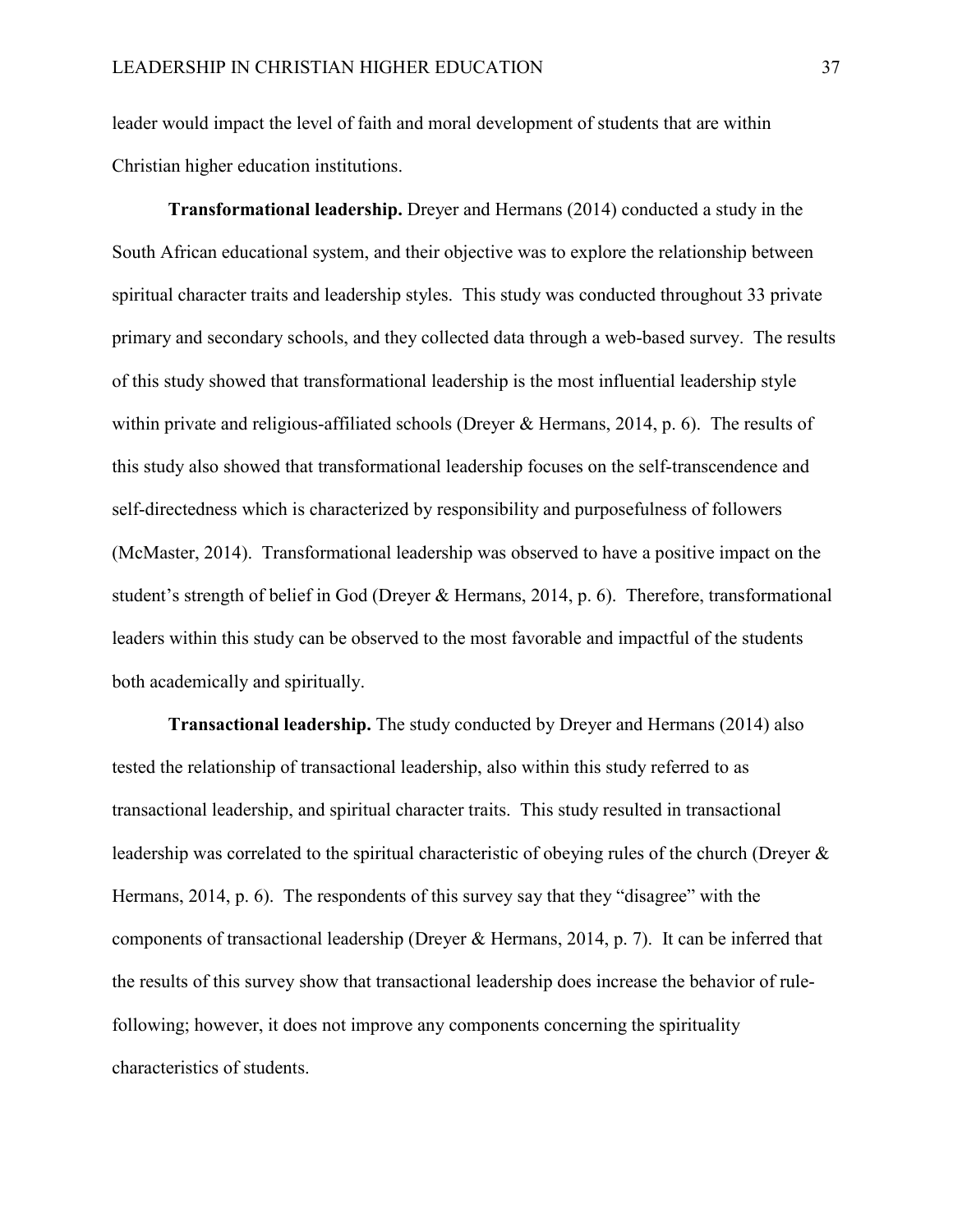leader would impact the level of faith and moral development of students that are within Christian higher education institutions.

**Transformational leadership.** Dreyer and Hermans (2014) conducted a study in the South African educational system, and their objective was to explore the relationship between spiritual character traits and leadership styles. This study was conducted throughout 33 private primary and secondary schools, and they collected data through a web-based survey. The results of this study showed that transformational leadership is the most influential leadership style within private and religious-affiliated schools (Dreyer & Hermans, 2014, p. 6). The results of this study also showed that transformational leadership focuses on the self-transcendence and self-directedness which is characterized by responsibility and purposefulness of followers (McMaster, 2014). Transformational leadership was observed to have a positive impact on the student's strength of belief in God (Dreyer & Hermans, 2014, p. 6). Therefore, transformational leaders within this study can be observed to the most favorable and impactful of the students both academically and spiritually.

**Transactional leadership.** The study conducted by Dreyer and Hermans (2014) also tested the relationship of transactional leadership, also within this study referred to as transactional leadership, and spiritual character traits. This study resulted in transactional leadership was correlated to the spiritual characteristic of obeying rules of the church (Dreyer & Hermans, 2014, p. 6). The respondents of this survey say that they "disagree" with the components of transactional leadership (Dreyer & Hermans, 2014, p. 7). It can be inferred that the results of this survey show that transactional leadership does increase the behavior of rulefollowing; however, it does not improve any components concerning the spirituality characteristics of students.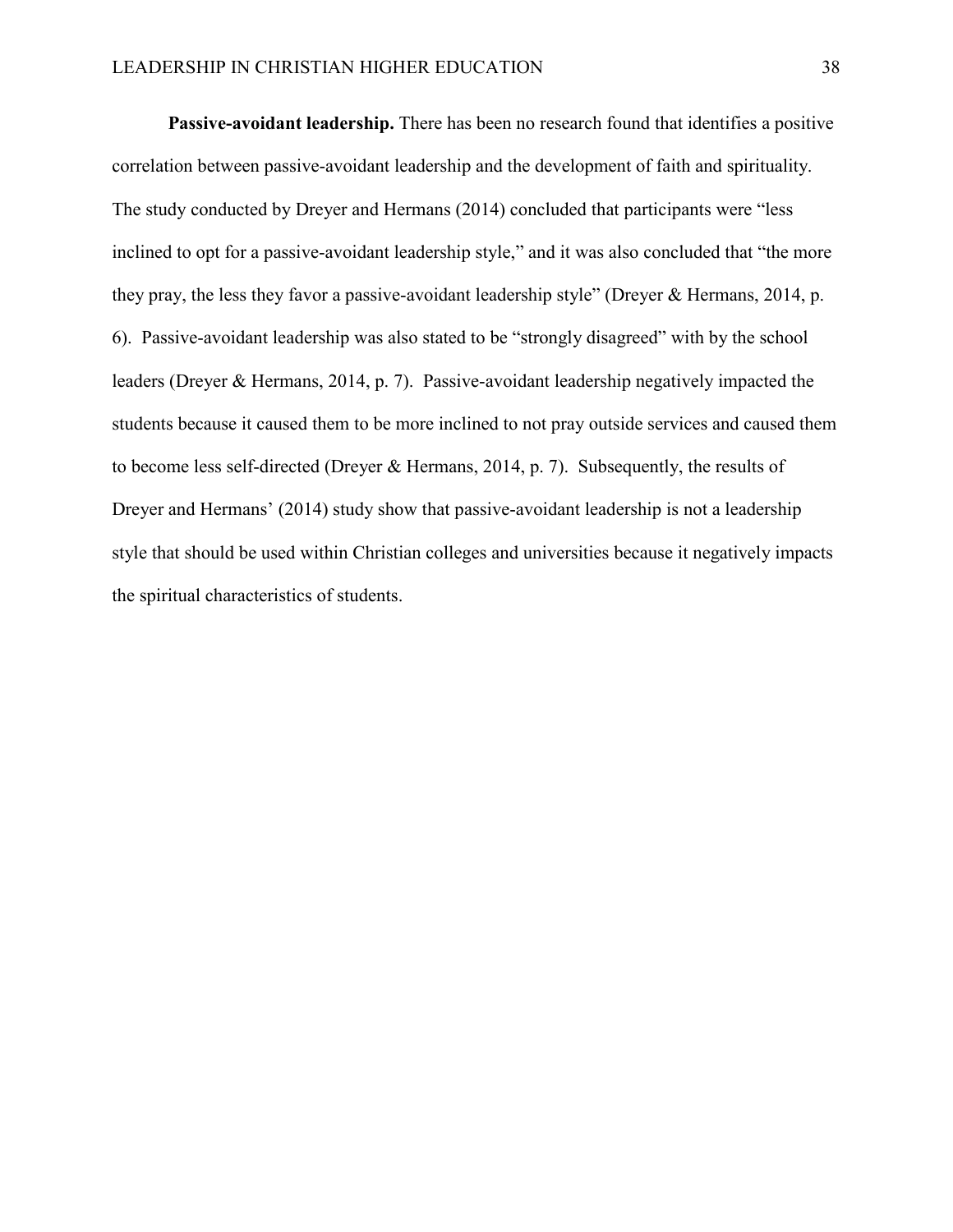**Passive-avoidant leadership.** There has been no research found that identifies a positive correlation between passive-avoidant leadership and the development of faith and spirituality. The study conducted by Dreyer and Hermans (2014) concluded that participants were "less inclined to opt for a passive-avoidant leadership style," and it was also concluded that "the more they pray, the less they favor a passive-avoidant leadership style" (Dreyer & Hermans, 2014, p. 6). Passive-avoidant leadership was also stated to be "strongly disagreed" with by the school leaders (Dreyer & Hermans, 2014, p. 7). Passive-avoidant leadership negatively impacted the students because it caused them to be more inclined to not pray outside services and caused them to become less self-directed (Dreyer & Hermans, 2014, p. 7). Subsequently, the results of Dreyer and Hermans' (2014) study show that passive-avoidant leadership is not a leadership style that should be used within Christian colleges and universities because it negatively impacts the spiritual characteristics of students.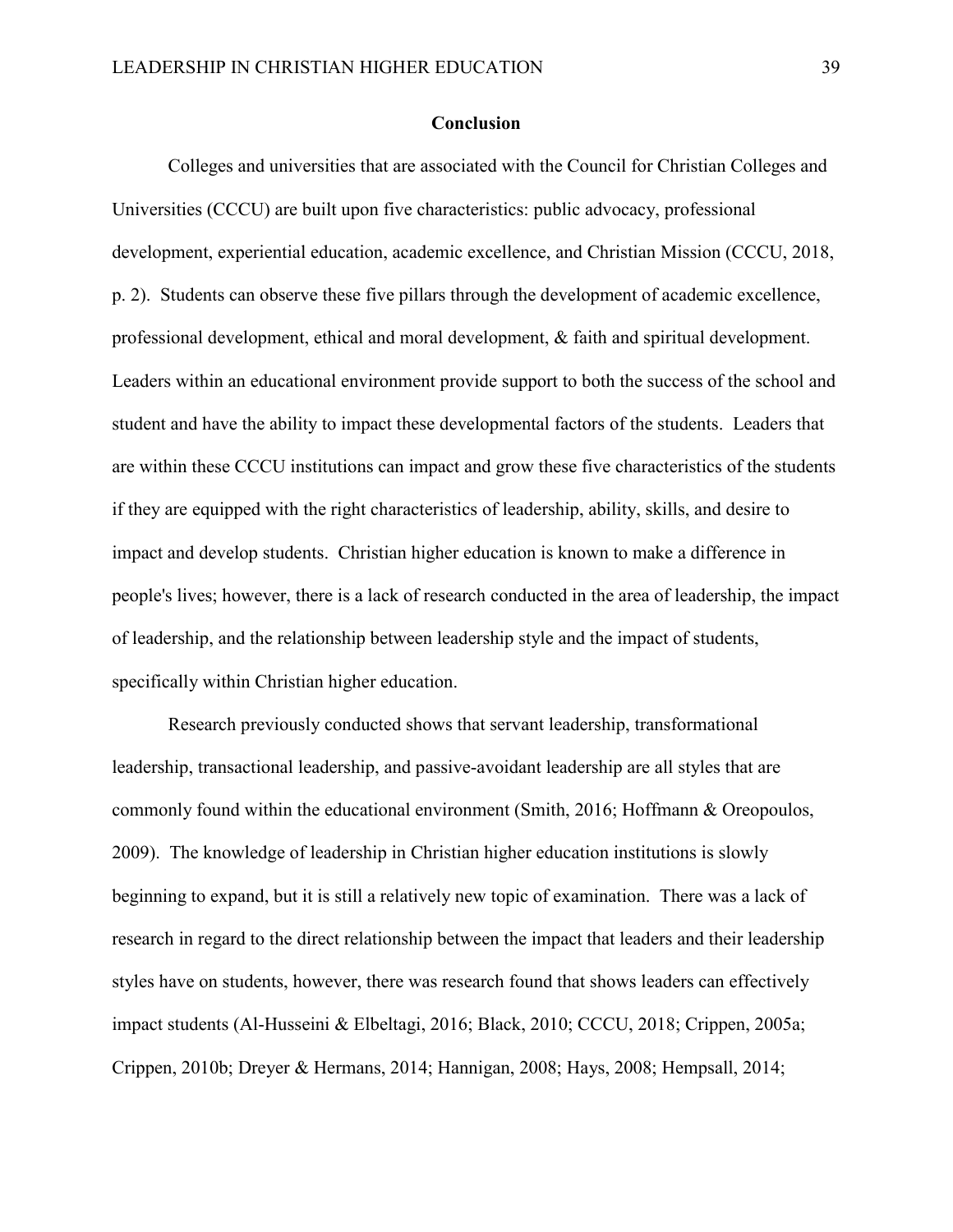#### **Conclusion**

<span id="page-45-0"></span>Colleges and universities that are associated with the Council for Christian Colleges and Universities (CCCU) are built upon five characteristics: public advocacy, professional development, experiential education, academic excellence, and Christian Mission (CCCU, 2018, p. 2). Students can observe these five pillars through the development of academic excellence, professional development, ethical and moral development, & faith and spiritual development. Leaders within an educational environment provide support to both the success of the school and student and have the ability to impact these developmental factors of the students. Leaders that are within these CCCU institutions can impact and grow these five characteristics of the students if they are equipped with the right characteristics of leadership, ability, skills, and desire to impact and develop students. Christian higher education is known to make a difference in people's lives; however, there is a lack of research conducted in the area of leadership, the impact of leadership, and the relationship between leadership style and the impact of students, specifically within Christian higher education.

Research previously conducted shows that servant leadership, transformational leadership, transactional leadership, and passive-avoidant leadership are all styles that are commonly found within the educational environment (Smith, 2016; Hoffmann & Oreopoulos, 2009). The knowledge of leadership in Christian higher education institutions is slowly beginning to expand, but it is still a relatively new topic of examination. There was a lack of research in regard to the direct relationship between the impact that leaders and their leadership styles have on students, however, there was research found that shows leaders can effectively impact students (Al-Husseini & Elbeltagi, 2016; Black, 2010; CCCU, 2018; Crippen, 2005a; Crippen, 2010b; Dreyer & Hermans, 2014; Hannigan, 2008; Hays, 2008; Hempsall, 2014;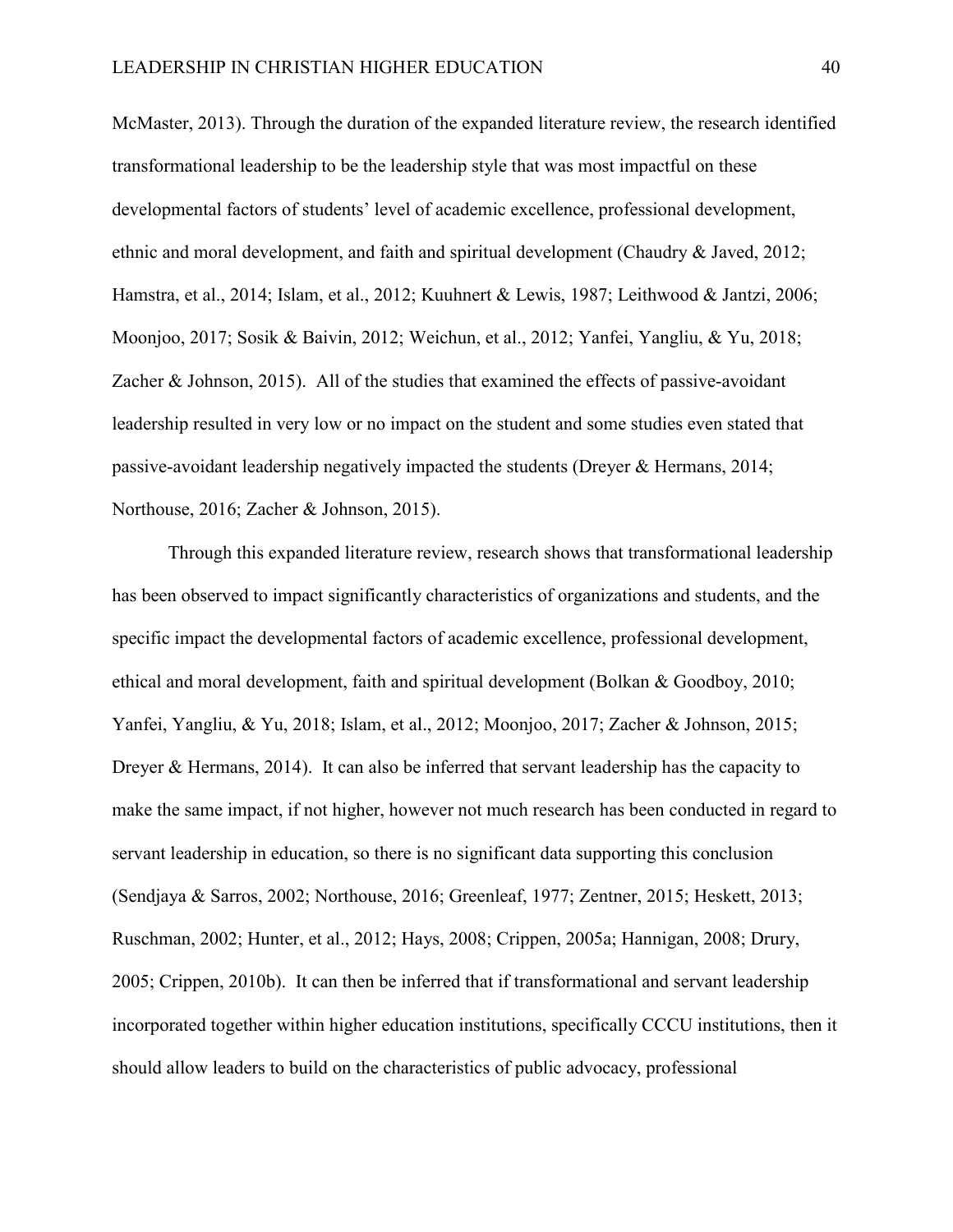McMaster, 2013). Through the duration of the expanded literature review, the research identified transformational leadership to be the leadership style that was most impactful on these developmental factors of students' level of academic excellence, professional development, ethnic and moral development, and faith and spiritual development (Chaudry & Javed, 2012; Hamstra, et al., 2014; Islam, et al., 2012; Kuuhnert & Lewis, 1987; Leithwood & Jantzi, 2006; Moonjoo, 2017; Sosik & Baivin, 2012; Weichun, et al., 2012; Yanfei, Yangliu, & Yu, 2018; Zacher & Johnson, 2015). All of the studies that examined the effects of passive-avoidant leadership resulted in very low or no impact on the student and some studies even stated that passive-avoidant leadership negatively impacted the students (Dreyer & Hermans, 2014; Northouse, 2016; Zacher & Johnson, 2015).

Through this expanded literature review, research shows that transformational leadership has been observed to impact significantly characteristics of organizations and students, and the specific impact the developmental factors of academic excellence, professional development, ethical and moral development, faith and spiritual development (Bolkan & Goodboy, 2010; Yanfei, Yangliu, & Yu, 2018; Islam, et al., 2012; Moonjoo, 2017; Zacher & Johnson, 2015; Dreyer & Hermans, 2014). It can also be inferred that servant leadership has the capacity to make the same impact, if not higher, however not much research has been conducted in regard to servant leadership in education, so there is no significant data supporting this conclusion (Sendjaya & Sarros, 2002; Northouse, 2016; Greenleaf, 1977; Zentner, 2015; Heskett, 2013; Ruschman, 2002; Hunter, et al., 2012; Hays, 2008; Crippen, 2005a; Hannigan, 2008; Drury, 2005; Crippen, 2010b). It can then be inferred that if transformational and servant leadership incorporated together within higher education institutions, specifically CCCU institutions, then it should allow leaders to build on the characteristics of public advocacy, professional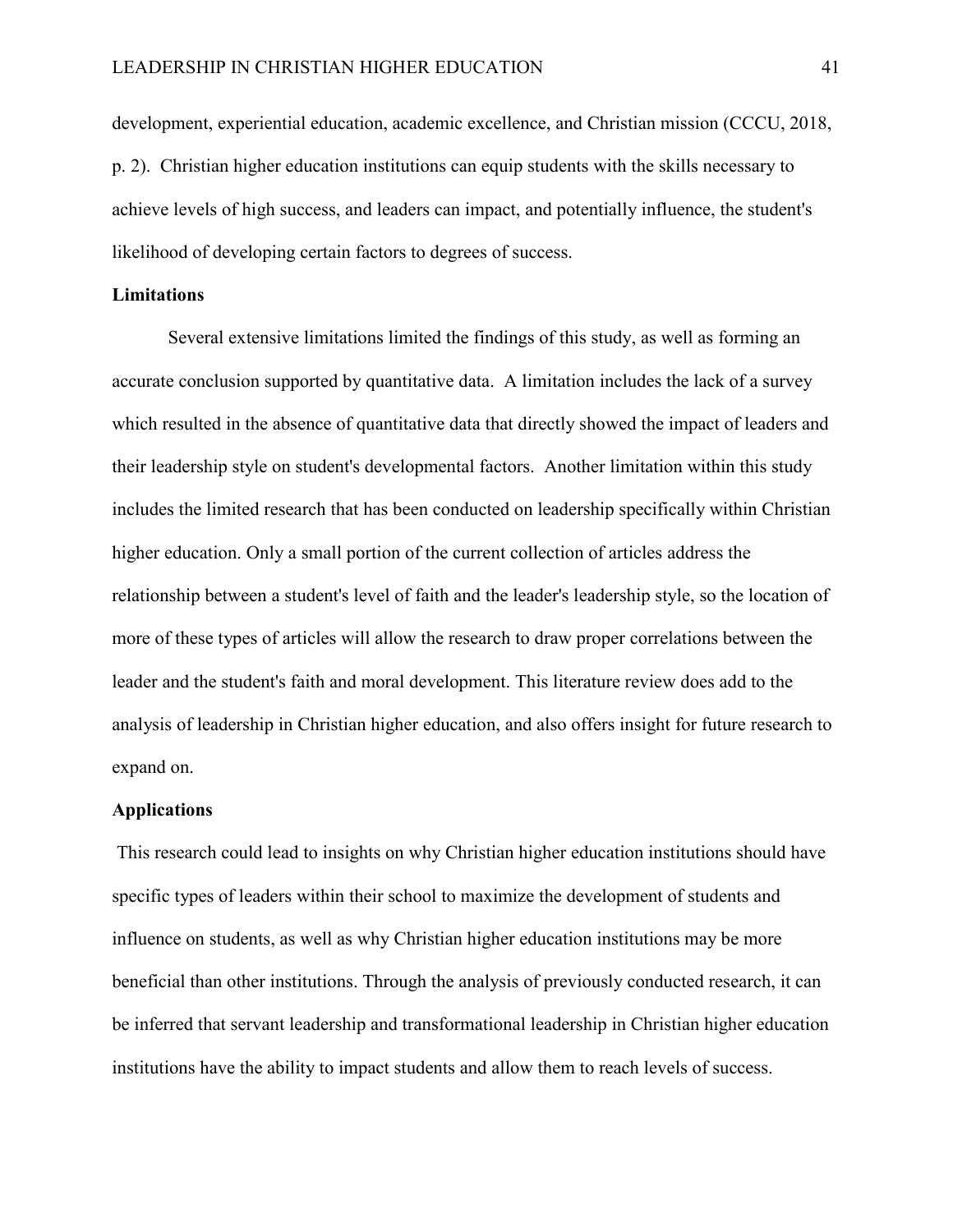development, experiential education, academic excellence, and Christian mission (CCCU, 2018, p. 2). Christian higher education institutions can equip students with the skills necessary to achieve levels of high success, and leaders can impact, and potentially influence, the student's likelihood of developing certain factors to degrees of success.

#### <span id="page-47-0"></span>**Limitations**

Several extensive limitations limited the findings of this study, as well as forming an accurate conclusion supported by quantitative data. A limitation includes the lack of a survey which resulted in the absence of quantitative data that directly showed the impact of leaders and their leadership style on student's developmental factors. Another limitation within this study includes the limited research that has been conducted on leadership specifically within Christian higher education. Only a small portion of the current collection of articles address the relationship between a student's level of faith and the leader's leadership style, so the location of more of these types of articles will allow the research to draw proper correlations between the leader and the student's faith and moral development. This literature review does add to the analysis of leadership in Christian higher education, and also offers insight for future research to expand on.

#### <span id="page-47-1"></span>**Applications**

This research could lead to insights on why Christian higher education institutions should have specific types of leaders within their school to maximize the development of students and influence on students, as well as why Christian higher education institutions may be more beneficial than other institutions. Through the analysis of previously conducted research, it can be inferred that servant leadership and transformational leadership in Christian higher education institutions have the ability to impact students and allow them to reach levels of success.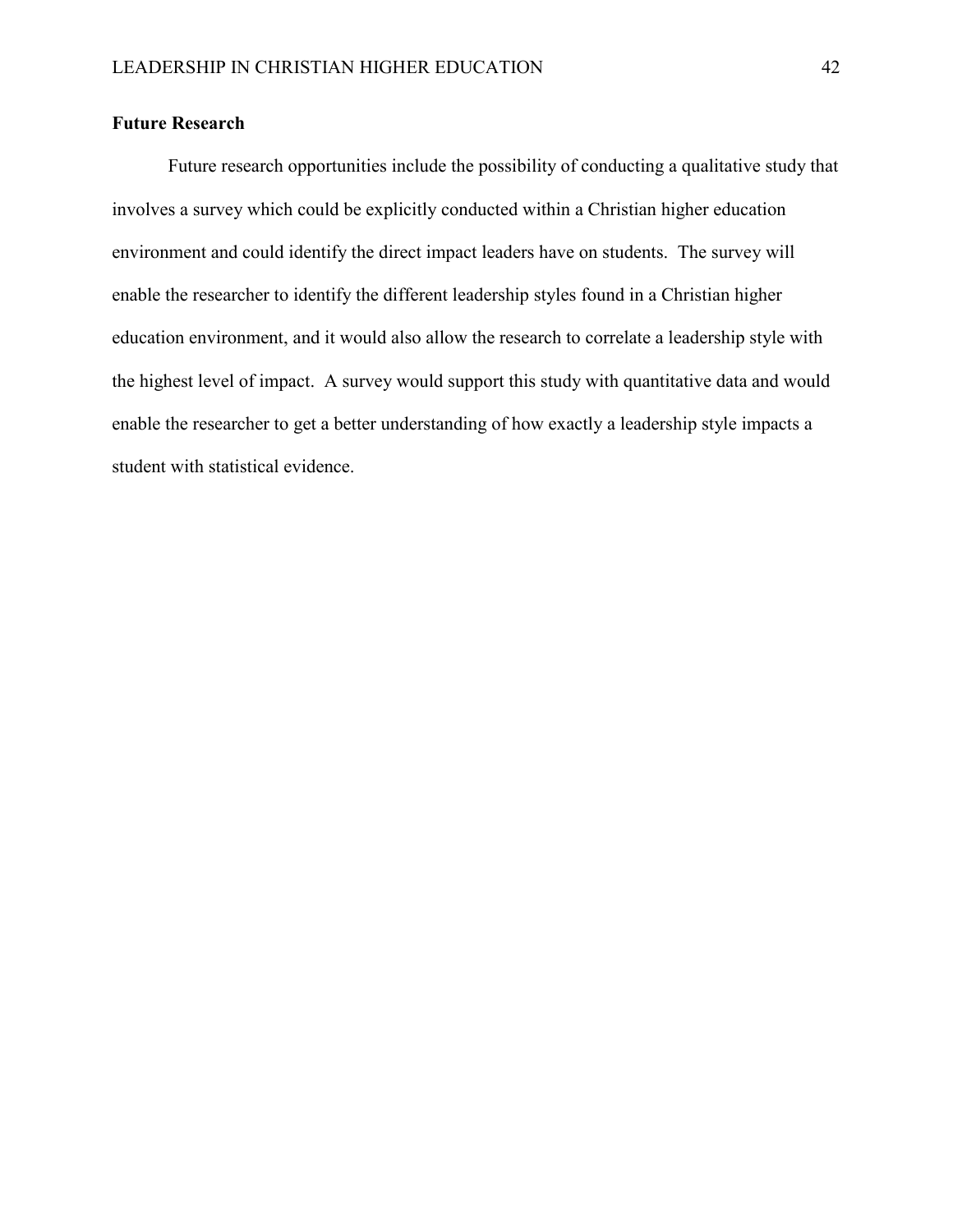#### <span id="page-48-0"></span>**Future Research**

Future research opportunities include the possibility of conducting a qualitative study that involves a survey which could be explicitly conducted within a Christian higher education environment and could identify the direct impact leaders have on students. The survey will enable the researcher to identify the different leadership styles found in a Christian higher education environment, and it would also allow the research to correlate a leadership style with the highest level of impact. A survey would support this study with quantitative data and would enable the researcher to get a better understanding of how exactly a leadership style impacts a student with statistical evidence.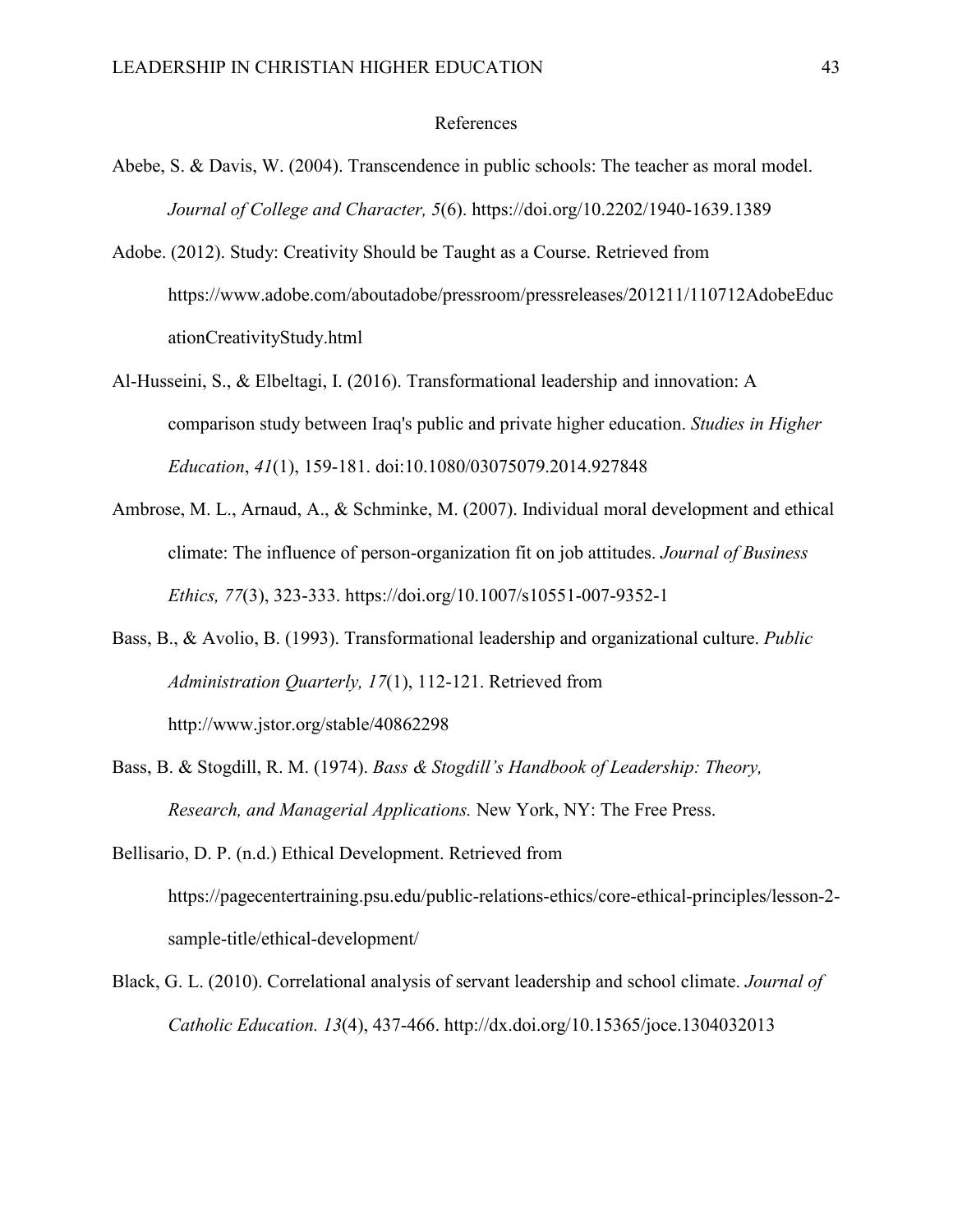#### References

- <span id="page-49-0"></span>Abebe, S. & Davis, W. (2004). Transcendence in public schools: The teacher as moral model. *Journal of College and Character, 5*(6). https://doi.org/10.2202/1940-1639.1389
- Adobe. (2012). Study: Creativity Should be Taught as a Course. Retrieved from https://www.adobe.com/aboutadobe/pressroom/pressreleases/201211/110712AdobeEduc ationCreativityStudy.html
- Al-Husseini, S., & Elbeltagi, I. (2016). Transformational leadership and innovation: A comparison study between Iraq's public and private higher education. *Studies in Higher Education*, *41*(1), 159-181. doi:10.1080/03075079.2014.927848
- Ambrose, M. L., Arnaud, A., & Schminke, M. (2007). Individual moral development and ethical climate: The influence of person-organization fit on job attitudes. *Journal of Business Ethics, 77*(3), 323-333. https://doi.org/10.1007/s10551-007-9352-1
- Bass, B., & Avolio, B. (1993). Transformational leadership and organizational culture. *Public Administration Quarterly, 17*(1), 112-121. Retrieved from http://www.jstor.org/stable/40862298
- Bass, B. & Stogdill, R. M. (1974). *Bass & Stogdill's Handbook of Leadership: Theory, Research, and Managerial Applications.* New York, NY: The Free Press.
- Bellisario, D. P. (n.d.) Ethical Development. Retrieved from https://pagecentertraining.psu.edu/public-relations-ethics/core-ethical-principles/lesson-2 sample-title/ethical-development/
- Black, G. L. (2010). Correlational analysis of servant leadership and school climate. *Journal of Catholic Education. 13*(4), 437-466. http://dx.doi.org/10.15365/joce.1304032013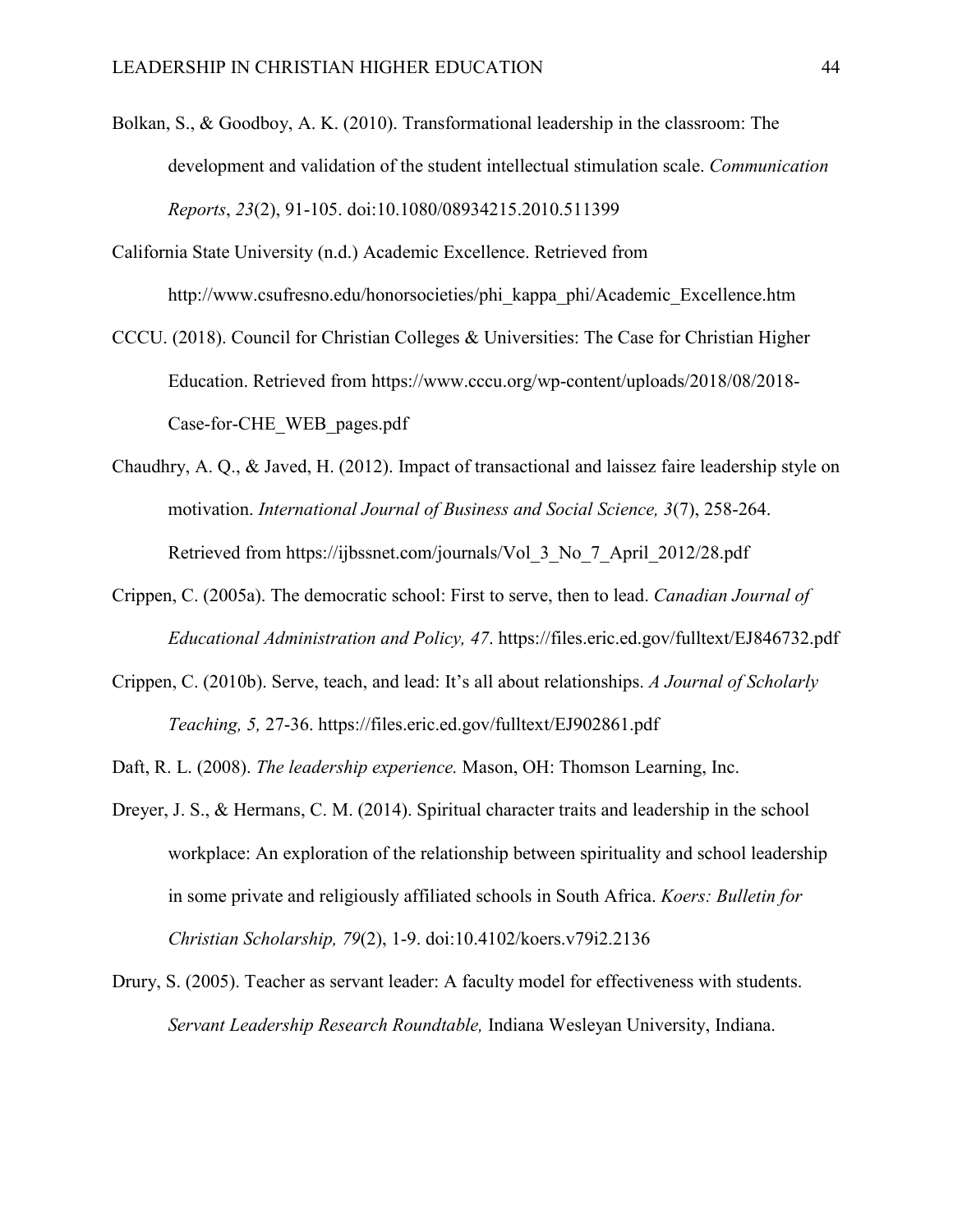- Bolkan, S., & Goodboy, A. K. (2010). Transformational leadership in the classroom: The development and validation of the student intellectual stimulation scale. *Communication Reports*, *23*(2), 91-105. doi:10.1080/08934215.2010.511399
- California State University (n.d.) Academic Excellence. Retrieved from http://www.csufresno.edu/honorsocieties/phi\_kappa\_phi/Academic\_Excellence.htm
- CCCU. (2018). Council for Christian Colleges & Universities: The Case for Christian Higher Education. Retrieved from https://www.cccu.org/wp-content/uploads/2018/08/2018- Case-for-CHE\_WEB\_pages.pdf
- Chaudhry, A. Q., & Javed, H. (2012). Impact of transactional and laissez faire leadership style on motivation. *International Journal of Business and Social Science, 3*(7), 258-264. Retrieved from https://ijbssnet.com/journals/Vol\_3\_No\_7\_April\_2012/28.pdf
- Crippen, C. (2005a). The democratic school: First to serve, then to lead. *Canadian Journal of Educational Administration and Policy, 47*. https://files.eric.ed.gov/fulltext/EJ846732.pdf
- Crippen, C. (2010b). Serve, teach, and lead: It's all about relationships. *A Journal of Scholarly Teaching, 5,* 27-36. https://files.eric.ed.gov/fulltext/EJ902861.pdf
- Daft, R. L. (2008). *The leadership experience.* Mason, OH: Thomson Learning, Inc.
- Dreyer, J. S., & Hermans, C. M. (2014). Spiritual character traits and leadership in the school workplace: An exploration of the relationship between spirituality and school leadership in some private and religiously affiliated schools in South Africa. *Koers: Bulletin for Christian Scholarship, 79*(2), 1-9. doi:10.4102/koers.v79i2.2136
- Drury, S. (2005). Teacher as servant leader: A faculty model for effectiveness with students. *Servant Leadership Research Roundtable,* Indiana Wesleyan University, Indiana.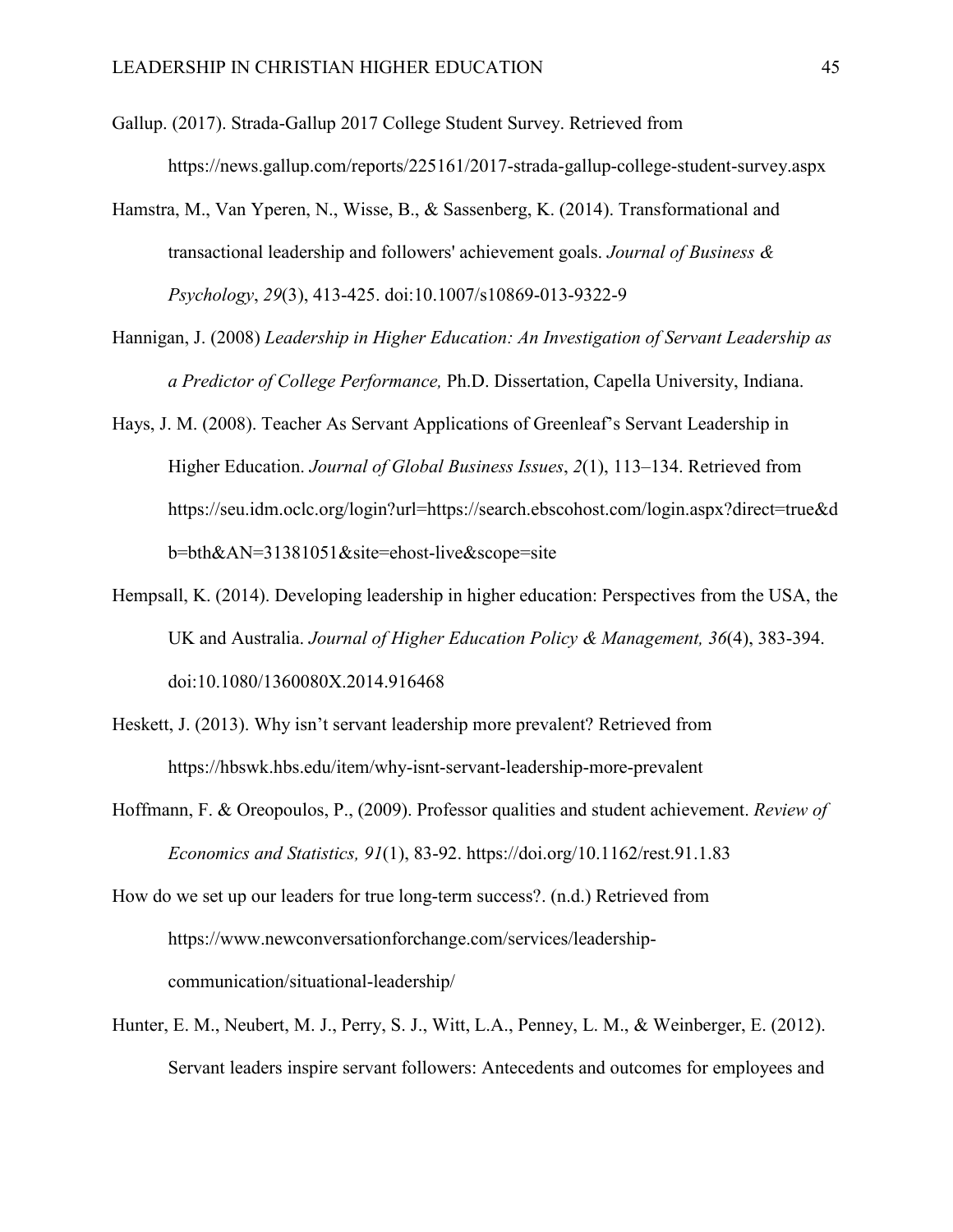- Gallup. (2017). Strada-Gallup 2017 College Student Survey. Retrieved from https://news.gallup.com/reports/225161/2017-strada-gallup-college-student-survey.aspx
- Hamstra, M., Van Yperen, N., Wisse, B., & Sassenberg, K. (2014). Transformational and transactional leadership and followers' achievement goals. *Journal of Business & Psychology*, *29*(3), 413-425. doi:10.1007/s10869-013-9322-9
- Hannigan, J. (2008) *Leadership in Higher Education: An Investigation of Servant Leadership as a Predictor of College Performance,* Ph.D. Dissertation, Capella University, Indiana.
- Hays, J. M. (2008). Teacher As Servant Applications of Greenleaf's Servant Leadership in Higher Education. *Journal of Global Business Issues*, *2*(1), 113–134. Retrieved from https://seu.idm.oclc.org/login?url=https://search.ebscohost.com/login.aspx?direct=true&d b=bth&AN=31381051&site=ehost-live&scope=site
- Hempsall, K. (2014). Developing leadership in higher education: Perspectives from the USA, the UK and Australia. *Journal of Higher Education Policy & Management, 36*(4), 383-394. doi:10.1080/1360080X.2014.916468
- Heskett, J. (2013). Why isn't servant leadership more prevalent? Retrieved from https://hbswk.hbs.edu/item/why-isnt-servant-leadership-more-prevalent
- Hoffmann, F. & Oreopoulos, P., (2009). Professor qualities and student achievement. *Review of Economics and Statistics, 91*(1), 83-92. https://doi.org/10.1162/rest.91.1.83
- How do we set up our leaders for true long-term success?. (n.d.) Retrieved from https://www.newconversationforchange.com/services/leadershipcommunication/situational-leadership/
- Hunter, E. M., Neubert, M. J., Perry, S. J., Witt, L.A., Penney, L. M., & Weinberger, E. (2012). Servant leaders inspire servant followers: Antecedents and outcomes for employees and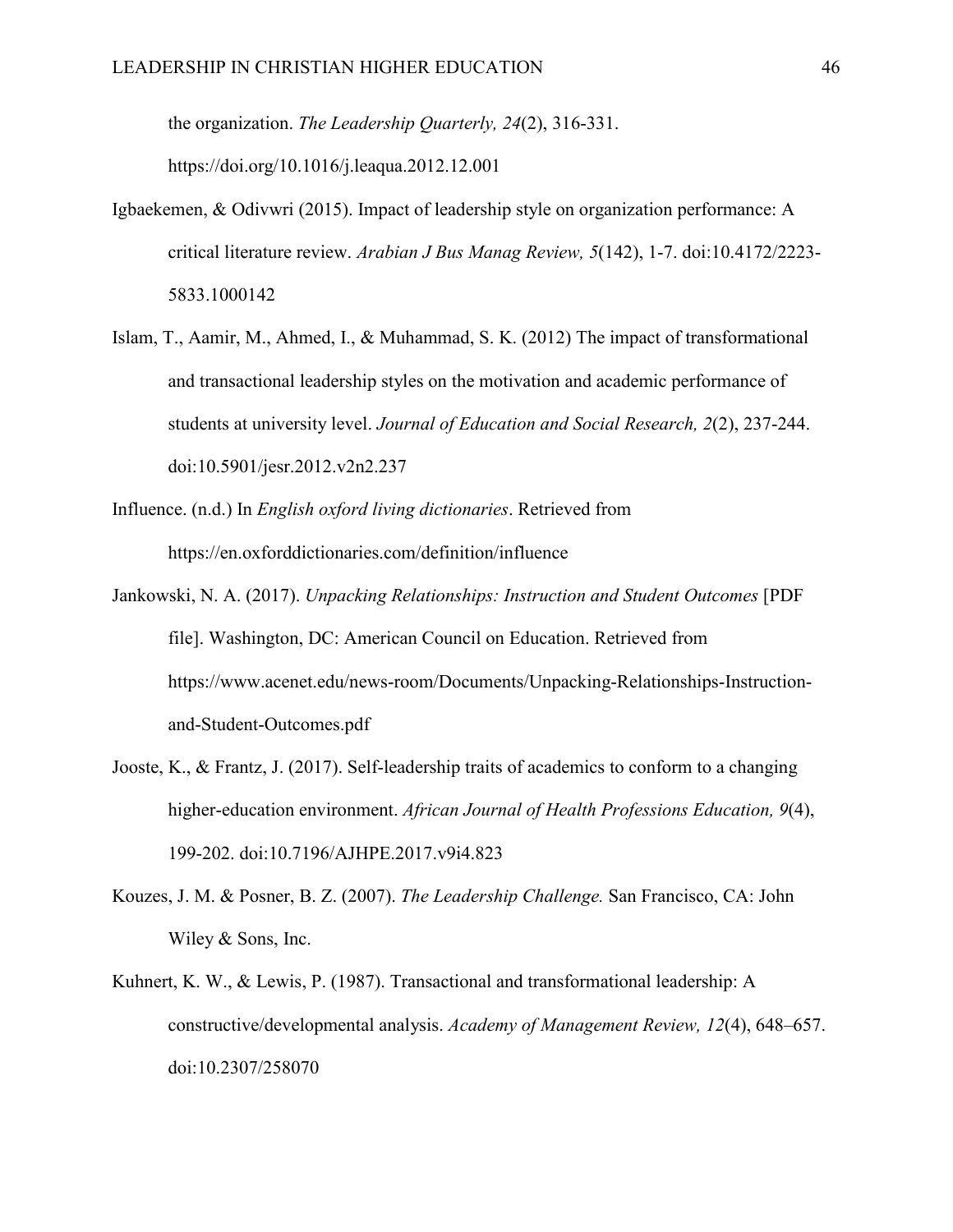the organization. *The Leadership Quarterly, 24*(2), 316-331. https://doi.org/10.1016/j.leaqua.2012.12.001

- Igbaekemen, & Odivwri (2015). Impact of leadership style on organization performance: A critical literature review. *Arabian J Bus Manag Review, 5*(142), 1-7. doi:10.4172/2223- 5833.1000142
- Islam, T., Aamir, M., Ahmed, I., & Muhammad, S. K. (2012) The impact of transformational and transactional leadership styles on the motivation and academic performance of students at university level. *Journal of Education and Social Research, 2*(2), 237-244. doi:10.5901/jesr.2012.v2n2.237
- Influence. (n.d.) In *English oxford living dictionaries*. Retrieved from https://en.oxforddictionaries.com/definition/influence
- Jankowski, N. A. (2017). *Unpacking Relationships: Instruction and Student Outcomes* [PDF file]. Washington, DC: American Council on Education. Retrieved from https://www.acenet.edu/news-room/Documents/Unpacking-Relationships-Instructionand-Student-Outcomes.pdf
- Jooste, K., & Frantz, J. (2017). Self-leadership traits of academics to conform to a changing higher-education environment. *African Journal of Health Professions Education, 9*(4), 199-202. doi:10.7196/AJHPE.2017.v9i4.823
- Kouzes, J. M. & Posner, B. Z. (2007). *The Leadership Challenge.* San Francisco, CA: John Wiley & Sons, Inc.
- Kuhnert, K. W., & Lewis, P. (1987). Transactional and transformational leadership: A constructive/developmental analysis. *Academy of Management Review, 12*(4), 648–657. doi:10.2307/258070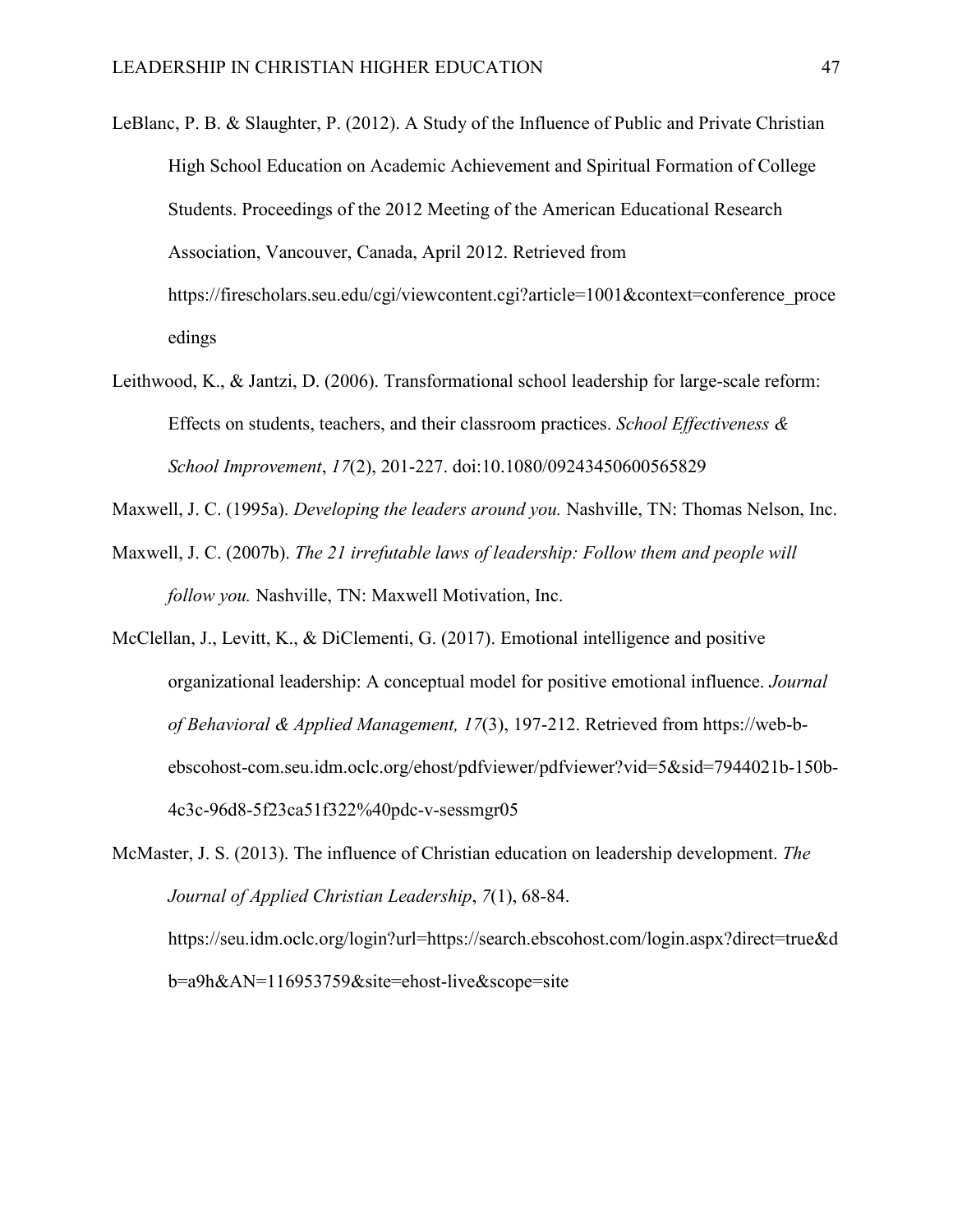- LeBlanc, P. B. & Slaughter, P. (2012). A Study of the Influence of Public and Private Christian High School Education on Academic Achievement and Spiritual Formation of College Students. Proceedings of the 2012 Meeting of the American Educational Research Association, Vancouver, Canada, April 2012. Retrieved from https://firescholars.seu.edu/cgi/viewcontent.cgi?article=1001&context=conference\_proce edings
- Leithwood, K., & Jantzi, D. (2006). Transformational school leadership for large-scale reform: Effects on students, teachers, and their classroom practices. *School Effectiveness & School Improvement*, *17*(2), 201-227. doi:10.1080/09243450600565829

Maxwell, J. C. (1995a). *Developing the leaders around you.* Nashville, TN: Thomas Nelson, Inc.

- Maxwell, J. C. (2007b). *The 21 irrefutable laws of leadership: Follow them and people will follow you.* Nashville, TN: Maxwell Motivation, Inc.
- McClellan, J., Levitt, K., & DiClementi, G. (2017). Emotional intelligence and positive organizational leadership: A conceptual model for positive emotional influence. *Journal of Behavioral & Applied Management, 17*(3), 197-212. Retrieved from https://web-bebscohost-com.seu.idm.oclc.org/ehost/pdfviewer/pdfviewer?vid=5&sid=7944021b-150b-4c3c-96d8-5f23ca51f322%40pdc-v-sessmgr05

McMaster, J. S. (2013). The influence of Christian education on leadership development. *The Journal of Applied Christian Leadership*, *7*(1), 68-84. https://seu.idm.oclc.org/login?url=https://search.ebscohost.com/login.aspx?direct=true&d b=a9h&AN=116953759&site=ehost-live&scope=site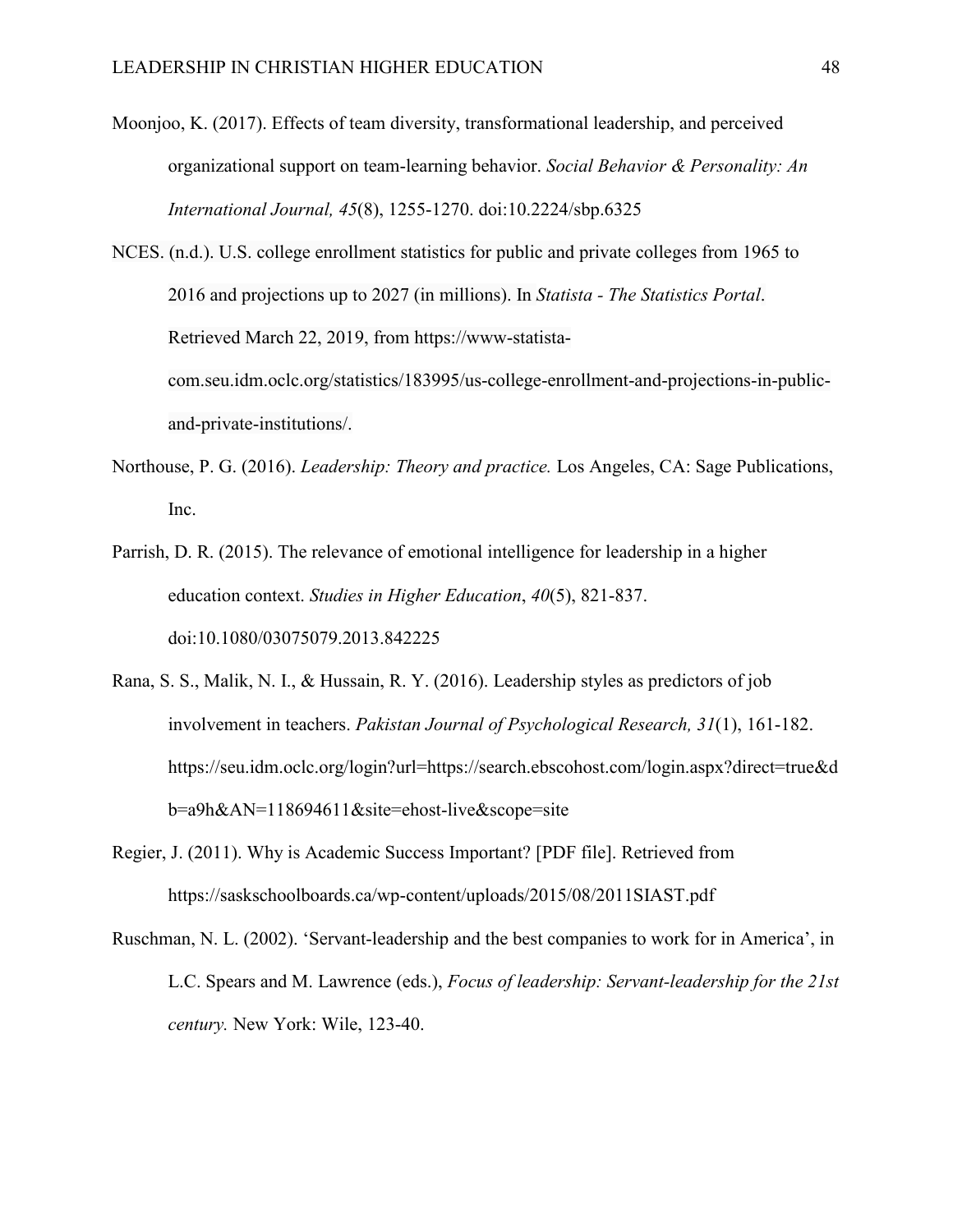Moonjoo, K. (2017). Effects of team diversity, transformational leadership, and perceived organizational support on team-learning behavior. *Social Behavior & Personality: An International Journal, 45*(8), 1255-1270. doi:10.2224/sbp.6325

NCES. (n.d.). U.S. college enrollment statistics for public and private colleges from 1965 to 2016 and projections up to 2027 (in millions). In *Statista - The Statistics Portal*. Retrieved March 22, 2019, from https://www-statistacom.seu.idm.oclc.org/statistics/183995/us-college-enrollment-and-projections-in-publicand-private-institutions/.

- Northouse, P. G. (2016). *Leadership: Theory and practice.* Los Angeles, CA: Sage Publications, Inc.
- Parrish, D. R. (2015). The relevance of emotional intelligence for leadership in a higher education context. *Studies in Higher Education*, *40*(5), 821-837. doi:10.1080/03075079.2013.842225
- Rana, S. S., Malik, N. I., & Hussain, R. Y. (2016). Leadership styles as predictors of job involvement in teachers. *Pakistan Journal of Psychological Research, 31*(1), 161-182. https://seu.idm.oclc.org/login?url=https://search.ebscohost.com/login.aspx?direct=true&d b=a9h&AN=118694611&site=ehost-live&scope=site
- Regier, J. (2011). Why is Academic Success Important? [PDF file]. Retrieved from https://saskschoolboards.ca/wp-content/uploads/2015/08/2011SIAST.pdf
- Ruschman, N. L. (2002). 'Servant-leadership and the best companies to work for in America', in L.C. Spears and M. Lawrence (eds.), *Focus of leadership: Servant-leadership for the 21st century.* New York: Wile, 123-40.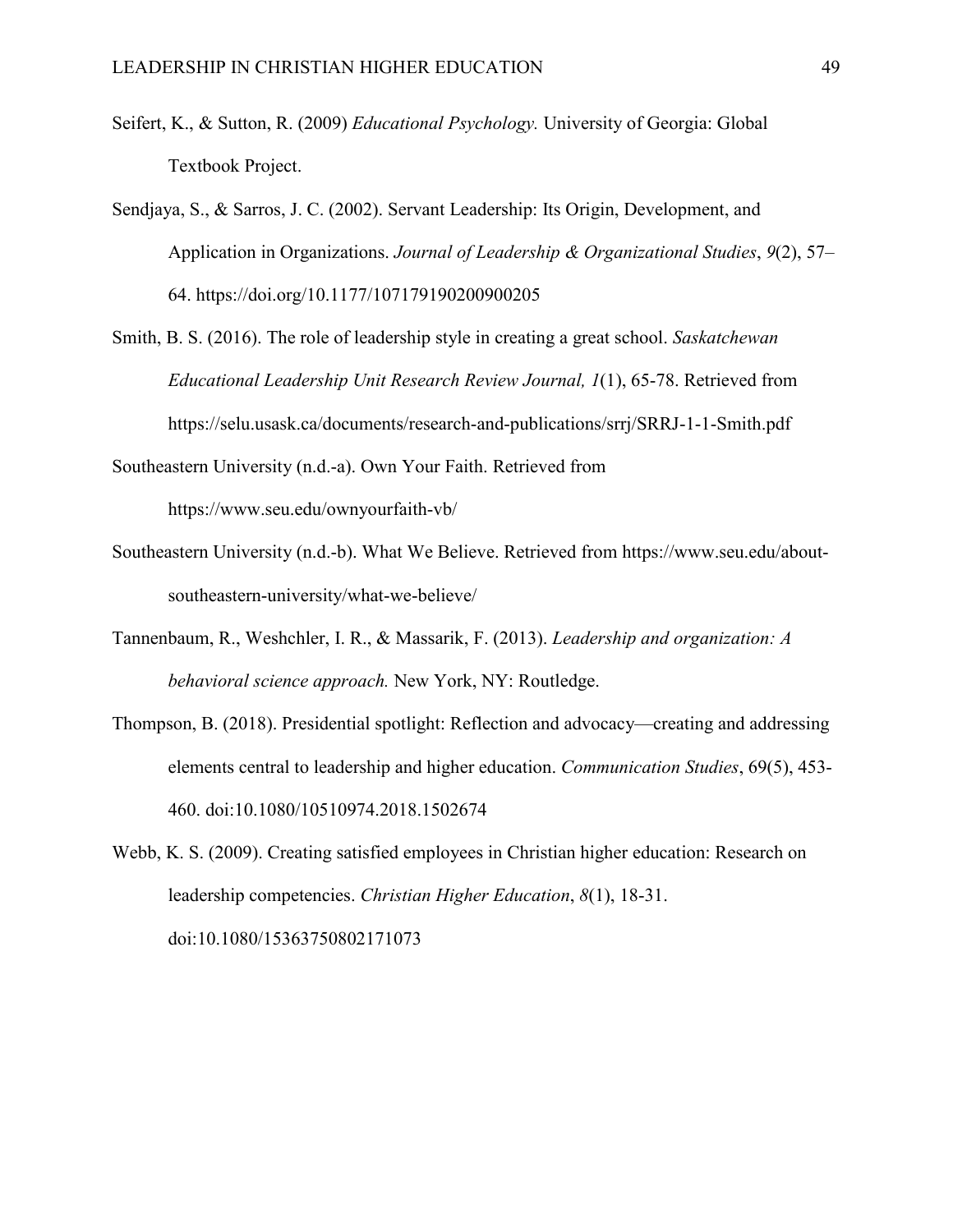- Seifert, K., & Sutton, R. (2009) *Educational Psychology.* University of Georgia: Global Textbook Project.
- Sendjaya, S., & Sarros, J. C. (2002). Servant Leadership: Its Origin, Development, and Application in Organizations. *Journal of Leadership & Organizational Studies*, *9*(2), 57– 64. https://doi.org/10.1177/107179190200900205
- Smith, B. S. (2016). The role of leadership style in creating a great school. *Saskatchewan Educational Leadership Unit Research Review Journal, 1*(1), 65-78. Retrieved from https://selu.usask.ca/documents/research-and-publications/srrj/SRRJ-1-1-Smith.pdf
- Southeastern University (n.d.-a). Own Your Faith. Retrieved from https://www.seu.edu/ownyourfaith-vb/
- Southeastern University (n.d.-b). What We Believe. Retrieved from https://www.seu.edu/aboutsoutheastern-university/what-we-believe/
- Tannenbaum, R., Weshchler, I. R., & Massarik, F. (2013). *Leadership and organization: A behavioral science approach.* New York, NY: Routledge.
- Thompson, B. (2018). Presidential spotlight: Reflection and advocacy—creating and addressing elements central to leadership and higher education. *Communication Studies*, 69(5), 453- 460. doi:10.1080/10510974.2018.1502674

Webb, K. S. (2009). Creating satisfied employees in Christian higher education: Research on leadership competencies. *Christian Higher Education*, *8*(1), 18-31. doi:10.1080/15363750802171073